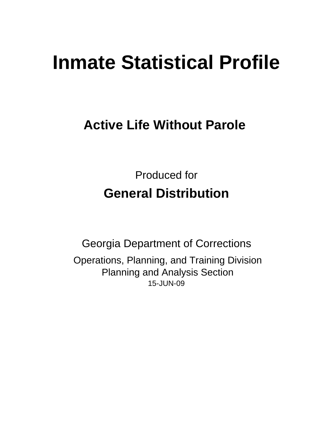# **Inmate Statistical Profile**

**Active Life Without Parole** 

Produced for **General Distribution**

15-JUN-09 Georgia Department of Corrections Operations, Planning, and Training Division Planning and Analysis Section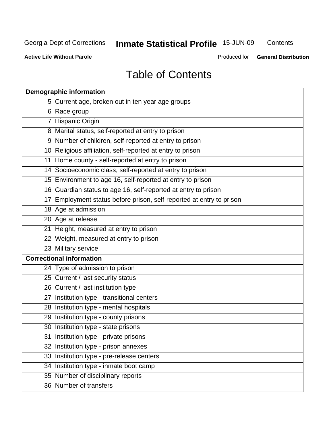**Contents** 

**Active Life Without Parole** 

Produced for **General Distribution**

## Table of Contents

| <b>Demographic information</b>                                       |
|----------------------------------------------------------------------|
| 5 Current age, broken out in ten year age groups                     |
| 6 Race group                                                         |
| 7 Hispanic Origin                                                    |
| 8 Marital status, self-reported at entry to prison                   |
| 9 Number of children, self-reported at entry to prison               |
| 10 Religious affiliation, self-reported at entry to prison           |
| 11 Home county - self-reported at entry to prison                    |
| 14 Socioeconomic class, self-reported at entry to prison             |
| 15 Environment to age 16, self-reported at entry to prison           |
| 16 Guardian status to age 16, self-reported at entry to prison       |
| 17 Employment status before prison, self-reported at entry to prison |
| 18 Age at admission                                                  |
| 20 Age at release                                                    |
| 21 Height, measured at entry to prison                               |
| 22 Weight, measured at entry to prison                               |
| 23 Military service                                                  |
| <b>Correctional information</b>                                      |
| 24 Type of admission to prison                                       |
| 25 Current / last security status                                    |
| 26 Current / last institution type                                   |
| 27 Institution type - transitional centers                           |
| 28 Institution type - mental hospitals                               |
| 29 Institution type - county prisons                                 |
| 30 Institution type - state prisons                                  |
| 31 Institution type - private prisons                                |
| 32 Institution type - prison annexes                                 |
| 33 Institution type - pre-release centers                            |
| 34 Institution type - inmate boot camp                               |
| 35 Number of disciplinary reports                                    |
| 36 Number of transfers                                               |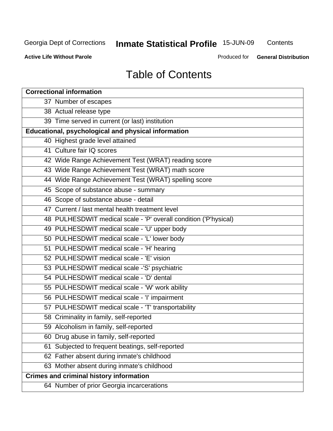**Contents** 

**Active Life Without Parole** 

Produced for **General Distribution**

## Table of Contents

| <b>Correctional information</b>                                  |
|------------------------------------------------------------------|
| 37 Number of escapes                                             |
| 38 Actual release type                                           |
| 39 Time served in current (or last) institution                  |
| Educational, psychological and physical information              |
| 40 Highest grade level attained                                  |
| 41 Culture fair IQ scores                                        |
| 42 Wide Range Achievement Test (WRAT) reading score              |
| 43 Wide Range Achievement Test (WRAT) math score                 |
| 44 Wide Range Achievement Test (WRAT) spelling score             |
| 45 Scope of substance abuse - summary                            |
| 46 Scope of substance abuse - detail                             |
| 47 Current / last mental health treatment level                  |
| 48 PULHESDWIT medical scale - 'P' overall condition ('P'hysical) |
| 49 PULHESDWIT medical scale - 'U' upper body                     |
| 50 PULHESDWIT medical scale - 'L' lower body                     |
| 51 PULHESDWIT medical scale - 'H' hearing                        |
| 52 PULHESDWIT medical scale - 'E' vision                         |
| 53 PULHESDWIT medical scale -'S' psychiatric                     |
| 54 PULHESDWIT medical scale - 'D' dental                         |
| 55 PULHESDWIT medical scale - 'W' work ability                   |
| 56 PULHESDWIT medical scale - 'I' impairment                     |
| 57 PULHESDWIT medical scale - 'T' transportability               |
| 58 Criminality in family, self-reported                          |
| 59 Alcoholism in family, self-reported                           |
| 60 Drug abuse in family, self-reported                           |
| Subjected to frequent beatings, self-reported<br>61              |
| 62 Father absent during inmate's childhood                       |
| 63 Mother absent during inmate's childhood                       |
| <b>Crimes and criminal history information</b>                   |
| 64 Number of prior Georgia incarcerations                        |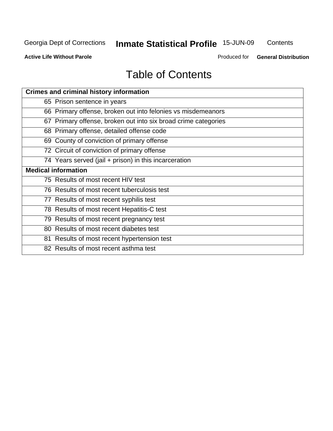**Contents** 

**Active Life Without Parole** 

Produced for **General Distribution**

## Table of Contents

| <b>Crimes and criminal history information</b>                 |
|----------------------------------------------------------------|
| 65 Prison sentence in years                                    |
| 66 Primary offense, broken out into felonies vs misdemeanors   |
| 67 Primary offense, broken out into six broad crime categories |
| 68 Primary offense, detailed offense code                      |
| 69 County of conviction of primary offense                     |
| 72 Circuit of conviction of primary offense                    |
| 74 Years served (jail + prison) in this incarceration          |
| <b>Medical information</b>                                     |
| 75 Results of most recent HIV test                             |
| 76 Results of most recent tuberculosis test                    |
| 77 Results of most recent syphilis test                        |
| 78 Results of most recent Hepatitis-C test                     |
| 79 Results of most recent pregnancy test                       |
| 80 Results of most recent diabetes test                        |
| 81 Results of most recent hypertension test                    |
| 82 Results of most recent asthma test                          |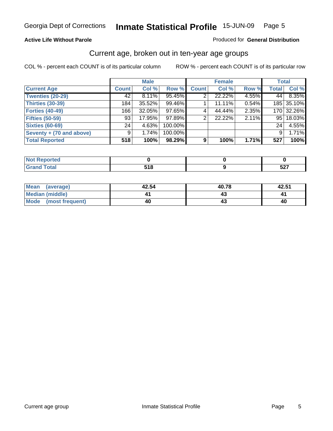#### **Active Life Without Parole**

#### Produced for **General Distribution**

#### Current age, broken out in ten-year age groups

|                          |              | <b>Male</b> |         |              | <b>Female</b> |       | <b>Total</b> |            |
|--------------------------|--------------|-------------|---------|--------------|---------------|-------|--------------|------------|
| <b>Current Age</b>       | <b>Count</b> | Col %       | Row %   | <b>Count</b> | Col %         | Row % | <b>Total</b> | Col %      |
| <b>Twenties (20-29)</b>  | 42           | $8.11\%$    | 95.45%  |              | 22.22%        | 4.55% | 44           | 8.35%      |
| <b>Thirties (30-39)</b>  | 184          | 35.52%      | 99.46%  |              | 11.11%        | 0.54% |              | 185 35.10% |
| <b>Forties (40-49)</b>   | 166          | $32.05\%$   | 97.65%  | $\sim$       | 44.44%        | 2.35% |              | 170 32.26% |
| <b>Fifties (50-59)</b>   | 93           | 17.95%      | 97.89%  | 2            | 22.22%        | 2.11% |              | 95 18.03%  |
| <b>Sixties (60-69)</b>   | 24           | 4.63%       | 100.00% |              |               |       | 24           | 4.55%      |
| Seventy + (70 and above) | 9            | 1.74%       | 100.00% |              |               |       | 9            | 1.71%      |
| <b>Total Reported</b>    | 518          | 100%        | 98.29%  | 9            | 100%          | 1.71% | 527          | 100%       |

| <b>NOT Reported</b> |              |                    |
|---------------------|--------------|--------------------|
| <b>Grand Total</b>  | E 4 C<br>. . | $F \cap T$<br>32 I |

| <b>Mean</b><br>(average) | 42.54 | 40.78 | 42.51 |
|--------------------------|-------|-------|-------|
| <b>Median (middle)</b>   |       |       |       |
| Mode<br>(most frequent)  | 40    |       | 40    |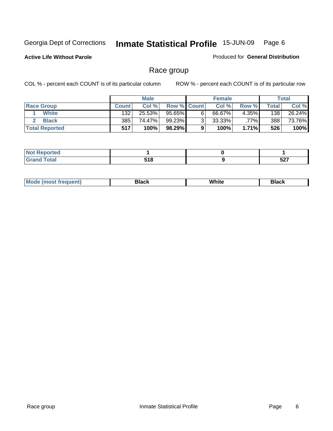**Active Life Without Parole** 

Produced for **General Distribution**

### Race group

|                       |              | <b>Male</b> |                    | <b>Female</b> |          |       | Total  |
|-----------------------|--------------|-------------|--------------------|---------------|----------|-------|--------|
| <b>Race Group</b>     | <b>Count</b> | Col %       | <b>Row % Count</b> | Col %         | Row %    | Total | Col %  |
| White                 | 132          | 25.53%      | 95.65%             | 66.67%        | 4.35%    | 138   | 26.24% |
| <b>Black</b>          | 385          | 74.47%      | 99.23%             | 33.33%        | $.77\%$  | 388   | 73.76% |
| <b>Total Reported</b> | 517          | 100%        | 98.29%             | 100%          | $1.71\%$ | 526   | 100%   |

| <b>Contract Contract Contract Contract</b><br>rtea<br>$\cdots$ |                 |            |
|----------------------------------------------------------------|-----------------|------------|
| Contact:<br>$\sim$ $\sim$ $\sim$ $\sim$ $\sim$                 | 54 O<br>,<br>__ | ヒヘラ<br>JLI |

| ' M∩ | ---<br>віясь | White | Rlack |
|------|--------------|-------|-------|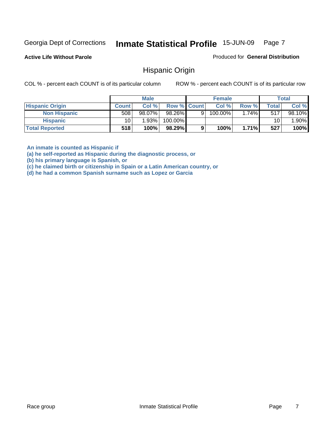**Active Life Without Parole** 

Produced for **General Distribution**

#### Hispanic Origin

COL % - percent each COUNT is of its particular column ROW % - percent each COUNT is of its particular row

|                        |              | <b>Male</b> |                    |   | <b>Female</b> |       |              | <b>Total</b> |
|------------------------|--------------|-------------|--------------------|---|---------------|-------|--------------|--------------|
| <b>Hispanic Origin</b> | <b>Count</b> | Col%        | <b>Row % Count</b> |   | Col %         | Row % | <b>Total</b> | Col %        |
| <b>Non Hispanic</b>    | 508          | 98.07%      | 98.26%             | 9 | $100.00\%$    | 1.74% | 517          | 98.10%       |
| <b>Hispanic</b>        | 10           | 1.93%       | 100.00%            |   |               |       | 10           | $.90\%$      |
| <b>Total Reported</b>  | 518          | 100%        | 98.29%             |   | 100%          | 1.71% | 527          | 100%         |

**An inmate is counted as Hispanic if** 

**(a) he self-reported as Hispanic during the diagnostic process, or** 

**(b) his primary language is Spanish, or** 

**(c) he claimed birth or citizenship in Spain or a Latin American country, or** 

**(d) he had a common Spanish surname such as Lopez or Garcia**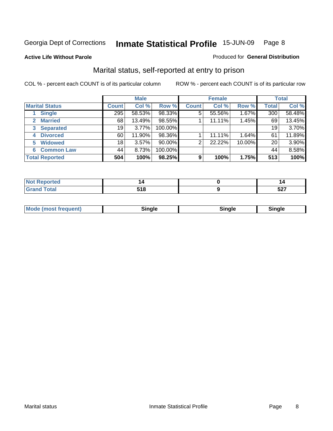#### **Active Life Without Parole**

#### Produced for **General Distribution**

### Marital status, self-reported at entry to prison

|                        | <b>Male</b>     |        |           | <b>Female</b> |        |        | <b>Total</b> |        |
|------------------------|-----------------|--------|-----------|---------------|--------|--------|--------------|--------|
| <b>Marital Status</b>  | <b>Count</b>    | Col %  | Row %     | <b>Count</b>  | Col %  | Row %  | <b>Total</b> | Col %  |
| <b>Single</b>          | 295             | 58.53% | 98.33%    | 5             | 55.56% | 1.67%  | 300          | 58.48% |
| <b>Married</b>         | 68              | 13.49% | 98.55%    |               | 11.11% | 1.45%  | 69           | 13.45% |
| <b>Separated</b><br>3  | 19              | 3.77%  | 100.00%   |               |        |        | 19           | 3.70%  |
| <b>Divorced</b><br>4   | 60              | 11.90% | 98.36%    |               | 11.11% | 1.64%  | 61           | 11.89% |
| <b>Widowed</b><br>5    | 18 <sub>1</sub> | 3.57%  | $90.00\%$ | 2             | 22.22% | 10.00% | 20           | 3.90%  |
| <b>Common Law</b><br>6 | 44              | 8.73%  | 100.00%   |               |        |        | 44           | 8.58%  |
| <b>Total Reported</b>  | 504             | 100%   | 98.25%    | 9             | 100%   | 1.75%  | 513          | 100%   |

| $- - - - -$ | - -<br>٠, | -^-<br>JL 1 |
|-------------|-----------|-------------|

|  | Moc<br>(most frequent) | .<br>וומר | --- | Sinale |
|--|------------------------|-----------|-----|--------|
|--|------------------------|-----------|-----|--------|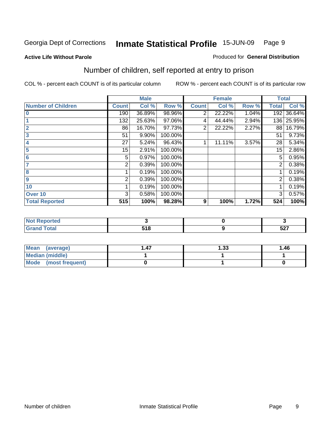#### **Active Life Without Parole**

#### Produced for **General Distribution**

### Number of children, self reported at entry to prison

|                           |              | <b>Male</b> |         |              | <b>Female</b> |       | <b>Total</b>   |        |
|---------------------------|--------------|-------------|---------|--------------|---------------|-------|----------------|--------|
| <b>Number of Children</b> | <b>Count</b> | Col %       | Row %   | <b>Count</b> | Col %         | Row % | <b>Total</b>   | Col %  |
| $\overline{\mathbf{0}}$   | 190          | 36.89%      | 98.96%  | 2            | 22.22%        | 1.04% | 192            | 36.64% |
|                           | 132          | 25.63%      | 97.06%  | 4            | 44.44%        | 2.94% | 136            | 25.95% |
| $\overline{2}$            | 86           | 16.70%      | 97.73%  | 2            | 22.22%        | 2.27% | 88             | 16.79% |
| 3                         | 51           | 9.90%       | 100.00% |              |               |       | 51             | 9.73%  |
| 4                         | 27           | 5.24%       | 96.43%  |              | 11.11%        | 3.57% | 28             | 5.34%  |
| 5                         | 15           | 2.91%       | 100.00% |              |               |       | 15             | 2.86%  |
| 6                         | 5            | 0.97%       | 100.00% |              |               |       | 5              | 0.95%  |
|                           | 2            | 0.39%       | 100.00% |              |               |       | 2              | 0.38%  |
| 8                         |              | 0.19%       | 100.00% |              |               |       |                | 0.19%  |
| 9                         | 2            | 0.39%       | 100.00% |              |               |       | $\overline{2}$ | 0.38%  |
| 10                        |              | 0.19%       | 100.00% |              |               |       |                | 0.19%  |
| Over 10                   | 3            | 0.58%       | 100.00% |              |               |       | 3              | 0.57%  |
| <b>Total Reported</b>     | 515          | 100%        | 98.28%  | 9            | 100%          | 1.72% | 524            | 100%   |

| rtea<br>.<br>.        |       |                      |
|-----------------------|-------|----------------------|
| <b>Utal</b><br>$\sim$ | E 4 O | $F \wedge T$<br>32 I |

| <b>Mean</b><br>(average)       | l .47 | l.33 | 1.46 |
|--------------------------------|-------|------|------|
| Median (middle)                |       |      |      |
| <b>Mode</b><br>(most frequent) |       |      |      |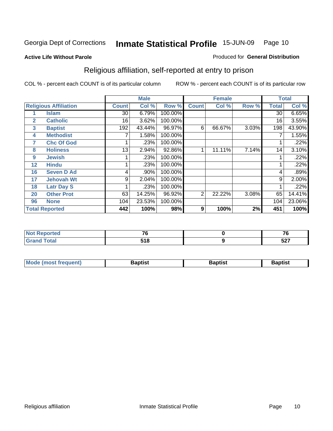#### **Active Life Without Parole**

#### Produced for **General Distribution**

### Religious affiliation, self-reported at entry to prison

|                   |                              |                 | <b>Male</b> |         |                | <b>Female</b> |       |              | <b>Total</b> |
|-------------------|------------------------------|-----------------|-------------|---------|----------------|---------------|-------|--------------|--------------|
|                   | <b>Religious Affiliation</b> | <b>Count</b>    | Col %       | Row %   | <b>Count</b>   | Col %         | Row % | <b>Total</b> | Col %        |
|                   | <b>Islam</b>                 | $\overline{30}$ | 6.79%       | 100.00% |                |               |       | 30           | 6.65%        |
| $\overline{2}$    | <b>Catholic</b>              | 16              | 3.62%       | 100.00% |                |               |       | 16           | 3.55%        |
| 3                 | <b>Baptist</b>               | 192             | 43.44%      | 96.97%  | 6              | 66.67%        | 3.03% | 198          | 43.90%       |
| 4                 | <b>Methodist</b>             |                 | 1.58%       | 100.00% |                |               |       |              | 1.55%        |
| 7                 | <b>Chc Of God</b>            |                 | .23%        | 100.00% |                |               |       |              | .22%         |
| 8                 | <b>Holiness</b>              | 13              | 2.94%       | 92.86%  |                | 11.11%        | 7.14% | 14           | 3.10%        |
| 9                 | <b>Jewish</b>                |                 | .23%        | 100.00% |                |               |       |              | .22%         |
| $12 \overline{ }$ | <b>Hindu</b>                 |                 | .23%        | 100.00% |                |               |       |              | .22%         |
| 16                | <b>Seven D Ad</b>            | 4               | .90%        | 100.00% |                |               |       | 4            | .89%         |
| 17                | <b>Jehovah Wt</b>            | 9               | 2.04%       | 100.00% |                |               |       | 9            | 2.00%        |
| 18                | <b>Latr Day S</b>            |                 | .23%        | 100.00% |                |               |       |              | .22%         |
| 20                | <b>Other Prot</b>            | 63              | 14.25%      | 96.92%  | $\overline{2}$ | 22.22%        | 3.08% | 65           | 14.41%       |
| 96                | <b>None</b>                  | 104             | 23.53%      | 100.00% |                |               |       | 104          | 23.06%       |
|                   | <b>Total Reported</b>        | 442             | 100%        | 98%     | 9              | 100%          | 2%    | 451          | 100%         |

| <b>Reported</b><br><b>NOT</b> | $-$        | --          |
|-------------------------------|------------|-------------|
| <b>Grand Total</b>            | E40<br>. . | E27<br>32 I |

| <b>Mode (most frequent)</b><br>Baptist<br>3aptist<br>Baptist |  |  |
|--------------------------------------------------------------|--|--|
|                                                              |  |  |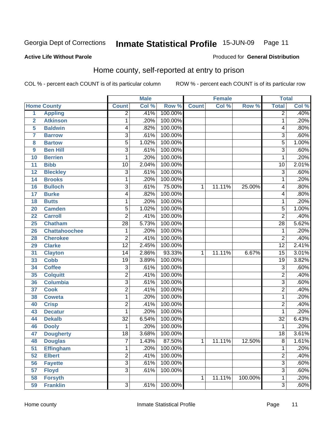#### **Active Life Without Parole**

#### Produced for **General Distribution**

### Home county, self-reported at entry to prison

|                 |                      |                 | <b>Male</b> |         |              | <b>Female</b> |         | <b>Total</b>    |       |
|-----------------|----------------------|-----------------|-------------|---------|--------------|---------------|---------|-----------------|-------|
|                 | <b>Home County</b>   | <b>Count</b>    | Col %       | Row %   | <b>Count</b> | Col %         | Row %   | <b>Total</b>    | Col % |
| $\overline{1}$  | <b>Appling</b>       | $\overline{2}$  | .41%        | 100.00% |              |               |         | $\overline{2}$  | .40%  |
| $\overline{2}$  | <b>Atkinson</b>      | 1               | .20%        | 100.00% |              |               |         | $\mathbf{1}$    | .20%  |
| 5               | <b>Baldwin</b>       | 4               | .82%        | 100.00% |              |               |         | 4               | .80%  |
| 7               | <b>Barrow</b>        | 3               | .61%        | 100.00% |              |               |         | $\overline{3}$  | .60%  |
| 8               | <b>Bartow</b>        | $\overline{5}$  | 1.02%       | 100.00% |              |               |         | $\overline{5}$  | 1.00% |
| 9               | <b>Ben Hill</b>      | $\overline{3}$  | .61%        | 100.00% |              |               |         | $\overline{3}$  | .60%  |
| 10              | <b>Berrien</b>       | 1               | .20%        | 100.00% |              |               |         | 1               | .20%  |
| 11              | <b>Bibb</b>          | 10              | 2.04%       | 100.00% |              |               |         | 10              | 2.01% |
| 12              | <b>Bleckley</b>      | $\overline{3}$  | .61%        | 100.00% |              |               |         | $\overline{3}$  | .60%  |
| 14              | <b>Brooks</b>        | 1               | .20%        | 100.00% |              |               |         | 1               | .20%  |
| 16              | <b>Bulloch</b>       | $\overline{3}$  | .61%        | 75.00%  | 1            | 11.11%        | 25.00%  | 4               | .80%  |
| 17              | <b>Burke</b>         | 4               | .82%        | 100.00% |              |               |         | 4               | .80%  |
| 18              | <b>Butts</b>         | 1               | .20%        | 100.00% |              |               |         | 1               | .20%  |
| 20              | <b>Camden</b>        | $\overline{5}$  | 1.02%       | 100.00% |              |               |         | $\overline{5}$  | 1.00% |
| 22              | <b>Carroll</b>       | $\overline{2}$  | .41%        | 100.00% |              |               |         | $\overline{2}$  | .40%  |
| 25              | <b>Chatham</b>       | $\overline{28}$ | 5.73%       | 100.00% |              |               |         | 28              | 5.62% |
| 26              | <b>Chattahoochee</b> | 1               | .20%        | 100.00% |              |               |         | 1               | .20%  |
| 28              | <b>Cherokee</b>      | 2               | .41%        | 100.00% |              |               |         | $\overline{2}$  | .40%  |
| 29              | <b>Clarke</b>        | $\overline{12}$ | 2.45%       | 100.00% |              |               |         | $\overline{12}$ | 2.41% |
| 31              | <b>Clayton</b>       | 14              | 2.86%       | 93.33%  | 1            | 11.11%        | 6.67%   | $\overline{15}$ | 3.01% |
| 33              | <b>Cobb</b>          | $\overline{19}$ | 3.89%       | 100.00% |              |               |         | $\overline{19}$ | 3.82% |
| $\overline{34}$ | <b>Coffee</b>        | $\overline{3}$  | .61%        | 100.00% |              |               |         | 3               | .60%  |
| 35              | <b>Colquitt</b>      | $\overline{2}$  | .41%        | 100.00% |              |               |         | $\overline{2}$  | .40%  |
| 36              | <b>Columbia</b>      | $\overline{3}$  | .61%        | 100.00% |              |               |         | $\overline{3}$  | .60%  |
| 37              | <b>Cook</b>          | $\overline{2}$  | .41%        | 100.00% |              |               |         | $\overline{2}$  | .40%  |
| 38              | <b>Coweta</b>        | 1               | .20%        | 100.00% |              |               |         | 1               | .20%  |
| 40              | <b>Crisp</b>         | $\overline{2}$  | .41%        | 100.00% |              |               |         | $\overline{2}$  | .40%  |
| 43              | <b>Decatur</b>       | 1               | .20%        | 100.00% |              |               |         | 1               | .20%  |
| 44              | <b>Dekalb</b>        | $\overline{32}$ | 6.54%       | 100.00% |              |               |         | $\overline{32}$ | 6.43% |
| 46              | <b>Dooly</b>         | 1               | .20%        | 100.00% |              |               |         | 1               | .20%  |
| 47              | <b>Dougherty</b>     | $\overline{18}$ | 3.68%       | 100.00% |              |               |         | 18              | 3.61% |
| 48              | <b>Douglas</b>       | 7               | 1.43%       | 87.50%  | 1            | 11.11%        | 12.50%  | 8               | 1.61% |
| 51              | <b>Effingham</b>     | 1               | .20%        | 100.00% |              |               |         | $\mathbf{1}$    | .20%  |
| 52              | <b>Elbert</b>        | $\overline{2}$  | .41%        | 100.00% |              |               |         | $\overline{2}$  | .40%  |
| 56              | <b>Fayette</b>       | $\overline{3}$  | .61%        | 100.00% |              |               |         | $\overline{3}$  | .60%  |
| 57              | <b>Floyd</b>         | $\overline{3}$  | .61%        | 100.00% |              |               |         | $\overline{3}$  | .60%  |
| 58              | <b>Forsyth</b>       |                 |             |         | 1            | 11.11%        | 100.00% | $\mathbf{1}$    | .20%  |
| 59              | <b>Franklin</b>      | $\overline{3}$  | .61%        | 100.00% |              |               |         | $\overline{3}$  | .60%  |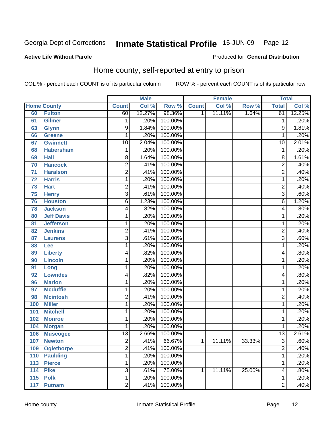#### **Active Life Without Parole**

#### Produced for **General Distribution**

### Home county, self-reported at entry to prison

|     |                    |                 | <b>Male</b> |         |              | <b>Female</b> |        | <b>Total</b>    |        |
|-----|--------------------|-----------------|-------------|---------|--------------|---------------|--------|-----------------|--------|
|     | <b>Home County</b> | <b>Count</b>    | Col %       | Row %   | <b>Count</b> | Col %         | Row %  | <b>Total</b>    | Col %  |
| 60  | <b>Fulton</b>      | 60              | 12.27%      | 98.36%  | 1            | 11.11%        | 1.64%  | 61              | 12.25% |
| 61  | <b>Gilmer</b>      | 1               | .20%        | 100.00% |              |               |        | 1               | .20%   |
| 63  | <b>Glynn</b>       | 9               | 1.84%       | 100.00% |              |               |        | 9               | 1.81%  |
| 66  | <b>Greene</b>      | 1               | .20%        | 100.00% |              |               |        | 1               | .20%   |
| 67  | <b>Gwinnett</b>    | $\overline{10}$ | 2.04%       | 100.00% |              |               |        | $\overline{10}$ | 2.01%  |
| 68  | <b>Habersham</b>   | 1               | .20%        | 100.00% |              |               |        | 1               | .20%   |
| 69  | <b>Hall</b>        | 8               | 1.64%       | 100.00% |              |               |        | 8               | 1.61%  |
| 70  | <b>Hancock</b>     | $\overline{2}$  | .41%        | 100.00% |              |               |        | $\overline{2}$  | .40%   |
| 71  | <b>Haralson</b>    | 2               | .41%        | 100.00% |              |               |        | 2               | .40%   |
| 72  | <b>Harris</b>      | 1               | .20%        | 100.00% |              |               |        | 1               | .20%   |
| 73  | <b>Hart</b>        | 2               | .41%        | 100.00% |              |               |        | $\overline{c}$  | .40%   |
| 75  | <b>Henry</b>       | $\overline{3}$  | .61%        | 100.00% |              |               |        | $\overline{3}$  | .60%   |
| 76  | <b>Houston</b>     | 6               | 1.23%       | 100.00% |              |               |        | 6               | 1.20%  |
| 78  | <b>Jackson</b>     | 4               | .82%        | 100.00% |              |               |        | 4               | .80%   |
| 80  | <b>Jeff Davis</b>  | 1               | .20%        | 100.00% |              |               |        | 1               | .20%   |
| 81  | <b>Jefferson</b>   | 1               | .20%        | 100.00% |              |               |        | 1               | .20%   |
| 82  | <b>Jenkins</b>     | $\overline{2}$  | .41%        | 100.00% |              |               |        | 2               | .40%   |
| 87  | <b>Laurens</b>     | $\overline{3}$  | .61%        | 100.00% |              |               |        | $\overline{3}$  | .60%   |
| 88  | Lee                | 1               | .20%        | 100.00% |              |               |        | 1               | .20%   |
| 89  | <b>Liberty</b>     | 4               | .82%        | 100.00% |              |               |        | 4               | .80%   |
| 90  | <b>Lincoln</b>     | 1               | .20%        | 100.00% |              |               |        | 1               | .20%   |
| 91  | Long               | 1               | .20%        | 100.00% |              |               |        | 1               | .20%   |
| 92  | <b>Lowndes</b>     | 4               | .82%        | 100.00% |              |               |        | 4               | .80%   |
| 96  | <b>Marion</b>      | 1               | .20%        | 100.00% |              |               |        | 1               | .20%   |
| 97  | <b>Mcduffie</b>    | 1               | .20%        | 100.00% |              |               |        | 1               | .20%   |
| 98  | <b>Mcintosh</b>    | $\overline{2}$  | .41%        | 100.00% |              |               |        | $\overline{2}$  | .40%   |
| 100 | <b>Miller</b>      | $\mathbf{1}$    | .20%        | 100.00% |              |               |        | 1               | .20%   |
| 101 | <b>Mitchell</b>    | 1               | .20%        | 100.00% |              |               |        | 1               | .20%   |
| 102 | <b>Monroe</b>      | 1               | .20%        | 100.00% |              |               |        | 1               | .20%   |
| 104 | <b>Morgan</b>      | 1               | .20%        | 100.00% |              |               |        | 1               | .20%   |
| 106 | <b>Muscogee</b>    | $\overline{13}$ | 2.66%       | 100.00% |              |               |        | $\overline{13}$ | 2.61%  |
| 107 | <b>Newton</b>      | 2               | .41%        | 66.67%  | 1            | 11.11%        | 33.33% | 3               | .60%   |
| 109 | <b>Oglethorpe</b>  | $\overline{2}$  | .41%        | 100.00% |              |               |        | $\overline{2}$  | .40%   |
| 110 | <b>Paulding</b>    | 1               | .20%        | 100.00% |              |               |        | 1               | .20%   |
| 113 | <b>Pierce</b>      | 1               | .20%        | 100.00% |              |               |        | 1               | .20%   |
| 114 | <b>Pike</b>        | $\overline{3}$  | .61%        | 75.00%  | 1            | 11.11%        | 25.00% | 4               | .80%   |
| 115 | <b>Polk</b>        | 1               | .20%        | 100.00% |              |               |        | 1               | .20%   |
| 117 | <b>Putnam</b>      | $\overline{2}$  | .41%        | 100.00% |              |               |        | $\overline{2}$  | .40%   |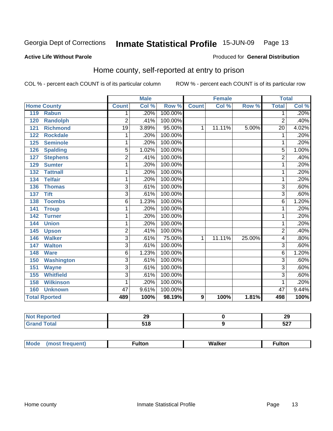Produced for **General Distribution**

#### **Active Life Without Parole**

### Home county, self-reported at entry to prison

|     |                      |                | <b>Male</b> |         |                | Female |        | <b>Total</b>    |       |
|-----|----------------------|----------------|-------------|---------|----------------|--------|--------|-----------------|-------|
|     | <b>Home County</b>   | <b>Count</b>   | Col %       | Row %   | <b>Count</b>   | Col %  | Row %  | <b>Total</b>    | Col % |
| 119 | <b>Rabun</b>         | 1              | .20%        | 100.00% |                |        |        | $\overline{1}$  | .20%  |
| 120 | <b>Randolph</b>      | 2              | .41%        | 100.00% |                |        |        | $\overline{2}$  | .40%  |
| 121 | <b>Richmond</b>      | 19             | 3.89%       | 95.00%  | 1              | 11.11% | 5.00%  | $\overline{20}$ | 4.02% |
| 122 | <b>Rockdale</b>      | 1              | .20%        | 100.00% |                |        |        | 1               | .20%  |
| 125 | <b>Seminole</b>      | 1              | .20%        | 100.00% |                |        |        | 1               | .20%  |
| 126 | <b>Spalding</b>      | $\overline{5}$ | 1.02%       | 100.00% |                |        |        | $\overline{5}$  | 1.00% |
| 127 | <b>Stephens</b>      | 2              | .41%        | 100.00% |                |        |        | $\overline{2}$  | .40%  |
| 129 | <b>Sumter</b>        | 1              | .20%        | 100.00% |                |        |        | 1               | .20%  |
| 132 | <b>Tattnall</b>      | 1              | .20%        | 100.00% |                |        |        | 1               | .20%  |
| 134 | <b>Telfair</b>       | 1              | .20%        | 100.00% |                |        |        | 1               | .20%  |
| 136 | <b>Thomas</b>        | $\overline{3}$ | .61%        | 100.00% |                |        |        | 3               | .60%  |
| 137 | <b>Tift</b>          | $\overline{3}$ | .61%        | 100.00% |                |        |        | $\overline{3}$  | .60%  |
| 138 | <b>Toombs</b>        | 6              | 1.23%       | 100.00% |                |        |        | 6               | 1.20% |
| 141 | <b>Troup</b>         | 1              | .20%        | 100.00% |                |        |        | 1               | .20%  |
| 142 | <b>Turner</b>        | 1              | .20%        | 100.00% |                |        |        | 1               | .20%  |
| 144 | <b>Union</b>         | 1              | .20%        | 100.00% |                |        |        | 1               | .20%  |
| 145 | <b>Upson</b>         | $\overline{c}$ | .41%        | 100.00% |                |        |        | $\overline{2}$  | .40%  |
| 146 | <b>Walker</b>        | $\overline{3}$ | .61%        | 75.00%  | 1              | 11.11% | 25.00% | 4               | .80%  |
| 147 | <b>Walton</b>        | $\overline{3}$ | .61%        | 100.00% |                |        |        | $\overline{3}$  | .60%  |
| 148 | <b>Ware</b>          | 6              | 1.23%       | 100.00% |                |        |        | 6               | 1.20% |
| 150 | <b>Washington</b>    | 3              | .61%        | 100.00% |                |        |        | $\overline{3}$  | .60%  |
| 151 | <b>Wayne</b>         | $\overline{3}$ | .61%        | 100.00% |                |        |        | $\overline{3}$  | .60%  |
| 155 | <b>Whitfield</b>     | $\overline{3}$ | .61%        | 100.00% |                |        |        | $\overline{3}$  | .60%  |
| 158 | <b>Wilkinson</b>     | 1              | .20%        | 100.00% |                |        |        | 1               | .20%  |
| 160 | <b>Unknown</b>       | 47             | 9.61%       | 100.00% |                |        |        | 47              | 9.44% |
|     | <b>Total Rported</b> | 489            | 100%        | 98.19%  | $\overline{9}$ | 100%   | 1.81%  | 498             | 100%  |

| τeα<br>$\cdots$       | n,<br>⊷<br>__ | 29         |
|-----------------------|---------------|------------|
| $f \wedge f \wedge f$ | - - -<br>.    | ヒヘラ<br>JZI |

| Mode | (most frequent) | <sup>∓</sup> ulton | Walker<br>________ | <b>ulton</b> |
|------|-----------------|--------------------|--------------------|--------------|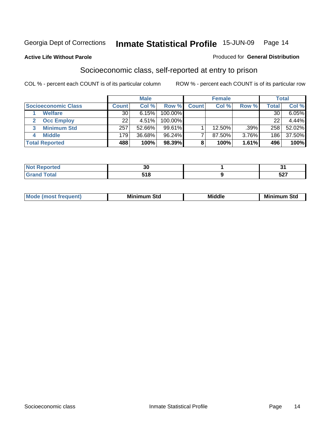#### **Active Life Without Parole**

#### Produced for **General Distribution**

### Socioeconomic class, self-reported at entry to prison

|                            | <b>Male</b>  |        | <b>Female</b> |              |        | <b>Total</b> |       |        |
|----------------------------|--------------|--------|---------------|--------------|--------|--------------|-------|--------|
| <b>Socioeconomic Class</b> | <b>Count</b> | Col %  | Row %         | <b>Count</b> | Col %  | Row %        | Total | Col %  |
| <b>Welfare</b>             | 30           | 6.15%  | 100.00%       |              |        |              | 30    | 6.05%  |
| <b>Occ Employ</b>          | 22           | 4.51%  | $100.00\%$    |              |        |              | 22    | 4.44%  |
| <b>Minimum Std</b>         | 257          | 52.66% | $99.61\%$     |              | 12.50% | .39%         | 258   | 52.02% |
| <b>Middle</b>              | 179          | 36.68% | $96.24\%$     |              | 87.50% | 3.76%        | 186   | 37.50% |
| <b>Total Reported</b>      | 488          | 100%   | 98.39%        | 8            | 100%   | 1.61%        | 496   | 100%   |

| neo              | ה בי<br>აυ |              |
|------------------|------------|--------------|
| <b>otal</b>      | E4 0       | $F \wedge T$ |
| $\mathbf{v}$ and |            | JZ 1         |

| <b>Middle</b><br>Mi<br>___ |
|----------------------------|
|----------------------------|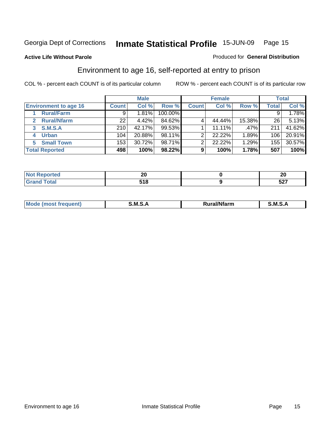#### **Active Life Without Parole**

#### Produced for **General Distribution**

### Environment to age 16, self-reported at entry to prison

|                              | <b>Male</b>  |        | <b>Female</b> |              |        | <b>Total</b> |       |        |
|------------------------------|--------------|--------|---------------|--------------|--------|--------------|-------|--------|
| <b>Environment to age 16</b> | <b>Count</b> | Col %  | Row %         | <b>Count</b> | Col %  | Row %        | Total | Col %  |
| <b>Rural/Farm</b>            | 9            | 1.81%  | 100.00%       |              |        |              | 9     | 1.78%  |
| <b>Rural/Nfarm</b><br>2      | 22           | 4.42%  | 84.62%        |              | 44.44% | 15.38%       | 26    | 5.13%  |
| <b>S.M.S.A</b><br>3          | 210          | 42.17% | $99.53\%$     |              | 11.11% | .47%         | 211   | 41.62% |
| <b>Urban</b><br>4            | 104          | 20.88% | 98.11%        | ◠            | 22.22% | 1.89%        | 106   | 20.91% |
| <b>Small Town</b><br>5       | 153          | 30.72% | 98.71%        | ◠            | 22.22% | 1.29%        | 155   | 30.57% |
| <b>Total Reported</b>        | 498          | 100%   | 98.22%        | 9            | 100%   | 1.78%        | 507   | 100%   |

| <b>rted</b>        | חה<br>∸∪ | Zu          |
|--------------------|----------|-------------|
| <b>Grand Total</b> | 518      | ヒヘラ<br>JZ 1 |

| Mo<br>.<br>MS<br>M<br>'farm<br>.<br>______ |  |  |
|--------------------------------------------|--|--|
|                                            |  |  |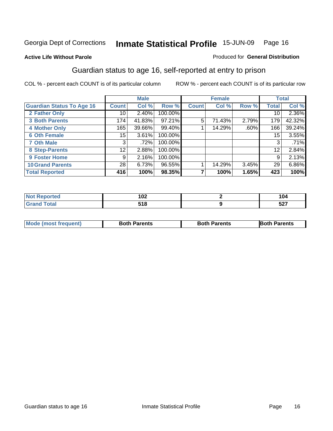#### **Active Life Without Parole**

#### Produced for **General Distribution**

### Guardian status to age 16, self-reported at entry to prison

|                                  |                 | <b>Male</b> |         |              | <b>Female</b> |       |              | <b>Total</b> |
|----------------------------------|-----------------|-------------|---------|--------------|---------------|-------|--------------|--------------|
| <b>Guardian Status To Age 16</b> | <b>Count</b>    | Col %       | Row %   | <b>Count</b> | Col %         | Row % | <b>Total</b> | Col %        |
| 2 Father Only                    | 10              | 2.40%       | 100.00% |              |               |       | 10           | 2.36%        |
| <b>3 Both Parents</b>            | 174             | 41.83%      | 97.21%  | 5            | 71.43%        | 2.79% | 179          | 42.32%       |
| <b>4 Mother Only</b>             | 165             | 39.66%      | 99.40%  |              | 14.29%        | .60%  | 166          | 39.24%       |
| <b>6 Oth Female</b>              | 15              | 3.61%       | 100.00% |              |               |       | 15           | 3.55%        |
| <b>7 Oth Male</b>                | 3               | .72%        | 100.00% |              |               |       | 3            | .71%         |
| 8 Step-Parents                   | 12 <sub>1</sub> | 2.88%       | 100.00% |              |               |       | 12           | 2.84%        |
| 9 Foster Home                    | 9               | 2.16%       | 100.00% |              |               |       | 9            | 2.13%        |
| <b>10 Grand Parents</b>          | 28              | 6.73%       | 96.55%  |              | 14.29%        | 3.45% | 29           | 6.86%        |
| <b>Total Reported</b>            | 416             | 100%        | 98.35%  |              | 100%          | 1.65% | 423          | 100%         |

| 102         | . .<br>104 |
|-------------|------------|
| '4 O<br>JIU | E27<br>וגכ |

| <b>Mode (most frequent)</b> | <b>Both Parents</b> | <b>Both Parents</b> | <b>IBoth Parents</b> |
|-----------------------------|---------------------|---------------------|----------------------|
|                             |                     |                     |                      |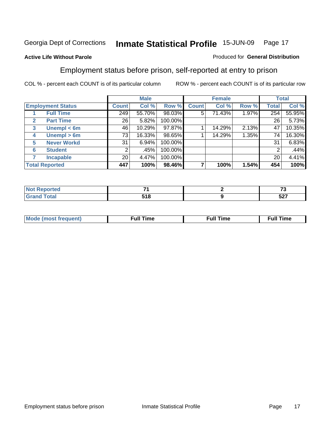#### **Active Life Without Parole**

#### Produced for **General Distribution**

### Employment status before prison, self-reported at entry to prison

|                          |                    | <b>Male</b>     |        | <b>Female</b> |              |        | <b>Total</b> |              |        |
|--------------------------|--------------------|-----------------|--------|---------------|--------------|--------|--------------|--------------|--------|
| <b>Employment Status</b> |                    | <b>Count</b>    | Col %  | Row %         | <b>Count</b> | Col %  | Row %        | <b>Total</b> | Col %  |
|                          | <b>Full Time</b>   | 249             | 55.70% | 98.03%        | 5            | 71.43% | 1.97%        | 254          | 55.95% |
| $\mathbf{2}$             | <b>Part Time</b>   | 26              | 5.82%  | 100.00%       |              |        |              | 26           | 5.73%  |
| 3                        | Unempl $<$ 6m      | 46              | 10.29% | 97.87%        |              | 14.29% | 2.13%        | 47           | 10.35% |
| 4                        | Unempl $> 6m$      | 73              | 16.33% | 98.65%        |              | 14.29% | 1.35%        | 74           | 16.30% |
| 5                        | <b>Never Workd</b> | 31              | 6.94%  | 100.00%       |              |        |              | 31           | 6.83%  |
| 6                        | <b>Student</b>     | 2               | .45%   | 100.00%       |              |        |              |              | .44%   |
|                          | <b>Incapable</b>   | 20 <sub>1</sub> | 4.47%  | 100.00%       |              |        |              | 20           | 4.41%  |
| <b>Total Reported</b>    |                    | 447             | 100%   | 98.46%        |              | 100%   | 1.54%        | 454          | 100%   |

| тес                   | - -  | $\sim$     |
|-----------------------|------|------------|
| $T \wedge f \wedge f$ | E4 0 | $E^{\sim}$ |
| _______               | JIU  | ו אפ       |

| <b>Mo</b><br>treauent) | ----<br>me | ïme |
|------------------------|------------|-----|
|                        |            |     |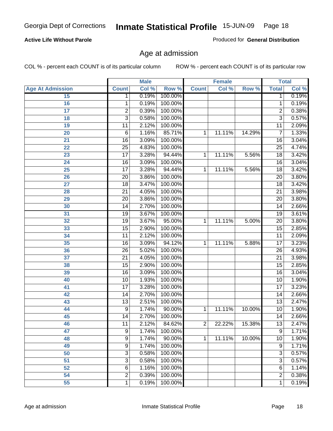| 15              | 1               | 0.19% | 100.00%   |                |        |           | $\mathbf{1}$    | 0.19% |
|-----------------|-----------------|-------|-----------|----------------|--------|-----------|-----------------|-------|
| 16              | 1               | 0.19% | 100.00%   |                |        |           | 1               | 0.19% |
| $\overline{17}$ | $\overline{2}$  | 0.39% | 100.00%   |                |        |           | 2               | 0.38% |
| 18              | $\overline{3}$  | 0.58% | 100.00%   |                |        |           | $\overline{3}$  | 0.57% |
| 19              | 11              | 2.12% | 100.00%   |                |        |           | $\overline{11}$ | 2.09% |
| 20              | 6               | 1.16% | 85.71%    | 1              | 11.11% | 14.29%    | 7               | 1.33% |
| $\overline{21}$ | $\overline{16}$ | 3.09% | 100.00%   |                |        |           | 16              | 3.04% |
| 22              | $\overline{25}$ | 4.83% | 100.00%   |                |        |           | $\overline{25}$ | 4.74% |
| 23              | $\overline{17}$ | 3.28% | 94.44%    | 1              | 11.11% | 5.56%     | $\overline{18}$ | 3.42% |
| 24              | $\overline{16}$ | 3.09% | 100.00%   |                |        |           | 16              | 3.04% |
| $\overline{25}$ | $\overline{17}$ | 3.28% | 94.44%    | 1              | 11.11% | 5.56%     | $\overline{18}$ | 3.42% |
| 26              | $\overline{20}$ | 3.86% | 100.00%   |                |        |           | 20              | 3.80% |
| 27              | $\overline{18}$ | 3.47% | 100.00%   |                |        |           | $\overline{18}$ | 3.42% |
| 28              | $\overline{21}$ | 4.05% | 100.00%   |                |        |           | $\overline{21}$ | 3.98% |
| 29              | $\overline{20}$ | 3.86% | 100.00%   |                |        |           | $\overline{20}$ | 3.80% |
| 30              | $\overline{14}$ | 2.70% | 100.00%   |                |        |           | 14              | 2.66% |
| 31              | $\overline{19}$ | 3.67% | 100.00%   |                |        |           | $\overline{19}$ | 3.61% |
| 32              | $\overline{19}$ | 3.67% | 95.00%    | 1              | 11.11% | 5.00%     | $\overline{20}$ | 3.80% |
| 33              | $\overline{15}$ | 2.90% | 100.00%   |                |        |           | 15              | 2.85% |
| 34              | $\overline{11}$ | 2.12% | 100.00%   |                |        |           | 11              | 2.09% |
| 35              | $\overline{16}$ | 3.09% | 94.12%    | 1              | 11.11% | 5.88%     | $\overline{17}$ | 3.23% |
| 36              | $\overline{26}$ | 5.02% | 100.00%   |                |        |           | $\overline{26}$ | 4.93% |
| 37              | $\overline{21}$ | 4.05% | 100.00%   |                |        |           | $\overline{21}$ | 3.98% |
| 38              | $\overline{15}$ | 2.90% | 100.00%   |                |        |           | $\overline{15}$ | 2.85% |
| 39              | $\overline{16}$ | 3.09% | 100.00%   |                |        |           | $\overline{16}$ | 3.04% |
| 40              | 10              | 1.93% | 100.00%   |                |        |           | 10              | 1.90% |
| 41              | $\overline{17}$ | 3.28% | 100.00%   |                |        |           | 17              | 3.23% |
| 42              | $\overline{14}$ | 2.70% | 100.00%   |                |        |           | 14              | 2.66% |
| 43              | $\overline{13}$ | 2.51% | 100.00%   |                |        |           | $\overline{13}$ | 2.47% |
| 44              | 9               | 1.74% | 90.00%    | 1              | 11.11% | 10.00%    | 10              | 1.90% |
| 45              | 14              | 2.70% | 100.00%   |                |        |           | 14              | 2.66% |
| 46              | $\overline{11}$ | 2.12% | 84.62%    | $\overline{2}$ | 22.22% | 15.38%    | $\overline{13}$ | 2.47% |
| 47              | 9               | 1.74% | 100.00%   |                |        |           | 9               | 1.71% |
| 48              | 9               | 1.74% | $90.00\%$ | 1              | 11.11% | $10.00\%$ | 10              | 1.90% |
| 49              | $\overline{9}$  | 1.74% | 100.00%   |                |        |           | 9               | 1.71% |
| 50              | $\overline{3}$  | 0.58% | 100.00%   |                |        |           | 3               | 0.57% |
| 51              | 3               | 0.58% | 100.00%   |                |        |           | 3               | 0.57% |
| 52              | 6               | 1.16% | 100.00%   |                |        |           | 6               | 1.14% |
| 54              | $\overline{2}$  | 0.39% | 100.00%   |                |        |           | 2               | 0.38% |
| 55              | 1               | 0.19% | 100.00%   |                |        |           | 1               | 0.19% |

#### **Active Life Without Parole**

Produced for **General Distribution**

**Female Total**

### Age at admission

COL % - percent each COUNT is of its particular column ROW % - percent each COUNT is of its particular row

 **Age At Admission Count Col % Row % Count Col % Row % Total Col %** 

**Male**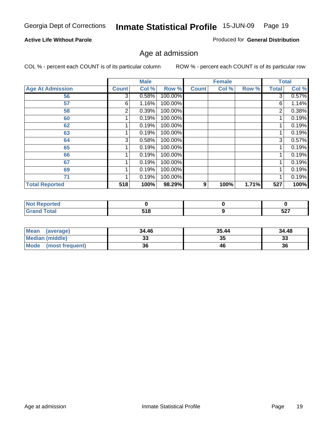#### **Active Life Without Parole**

Produced for **General Distribution**

### Age at admission

|                         |              | <b>Male</b> |         |              | <b>Female</b> |       |              | <b>Total</b> |
|-------------------------|--------------|-------------|---------|--------------|---------------|-------|--------------|--------------|
| <b>Age At Admission</b> | <b>Count</b> | Col %       | Row %   | <b>Count</b> | Col %         | Row % | <b>Total</b> | Col %        |
| 56                      | 3            | 0.58%       | 100.00% |              |               |       | 3            | 0.57%        |
| 57                      | 6            | 1.16%       | 100.00% |              |               |       | 6            | 1.14%        |
| 58                      | 2            | 0.39%       | 100.00% |              |               |       | 2            | 0.38%        |
| 60                      |              | 0.19%       | 100.00% |              |               |       |              | 0.19%        |
| 62                      |              | 0.19%       | 100.00% |              |               |       |              | 0.19%        |
| 63                      |              | 0.19%       | 100.00% |              |               |       |              | 0.19%        |
| 64                      | 3            | 0.58%       | 100.00% |              |               |       | 3            | 0.57%        |
| 65                      |              | 0.19%       | 100.00% |              |               |       |              | 0.19%        |
| 66                      |              | 0.19%       | 100.00% |              |               |       |              | 0.19%        |
| 67                      |              | 0.19%       | 100.00% |              |               |       |              | 0.19%        |
| 69                      |              | 0.19%       | 100.00% |              |               |       | 1            | 0.19%        |
| 71                      |              | 0.19%       | 100.00% |              |               |       | 4            | 0.19%        |
| <b>Total Reported</b>   | 518          | 100%        | 98.29%  | 9            | 100%          | 1.71% | 527          | 100%         |

| orted<br>N  |     |      |
|-------------|-----|------|
| <b>otal</b> | ЕАО | E27  |
| $\sim$      | .   | 34 I |

| <b>Mean</b><br>(average)       | 34.46 | 35.44 | 34.48     |
|--------------------------------|-------|-------|-----------|
| <b>Median (middle)</b>         |       | 35    | າາ<br>JЗ. |
| <b>Mode</b><br>(most frequent) | 36    | 46    | 36        |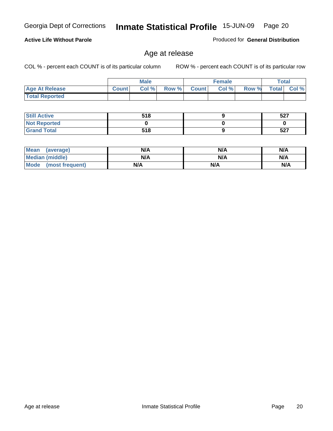Age at release **Inmate Statistical Profile Inmate Statistical Profile** Page 20

### Georgia Dept of Corrections **Inmate Statistical Profile** 15-JUN-09 Page 20

#### **Active Life Without Parole**

Produced for **General Distribution**

### Age at release

|                       |              | <b>Male</b> |       |              | <b>Female</b> |       |              | Total |
|-----------------------|--------------|-------------|-------|--------------|---------------|-------|--------------|-------|
| <b>Age At Release</b> | <b>Count</b> | Col %       | Row % | <b>Count</b> | Col%          | Row % | <b>Total</b> | Col % |
| <b>Total Reported</b> |              |             |       |              |               |       |              |       |

| <b>Still Active</b> | 518 | 527 |
|---------------------|-----|-----|
| <b>Not Reported</b> |     |     |
| <b>Grand Total</b>  | 518 | 527 |

| <b>Mean</b><br>(average) | N/A | N/A | N/A |
|--------------------------|-----|-----|-----|
| Median (middle)          | N/A | N/A | N/A |
| Mode<br>(most frequent)  | N/A | N/A | N/A |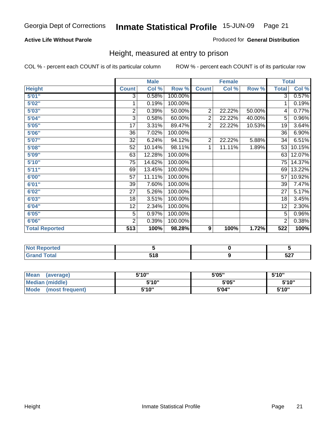#### **Active Life Without Parole**

#### Produced for **General Distribution**

### Height, measured at entry to prison

|                       |                 | <b>Male</b> |         |                  | <b>Female</b> |        |                 | <b>Total</b> |
|-----------------------|-----------------|-------------|---------|------------------|---------------|--------|-----------------|--------------|
| <b>Height</b>         | <b>Count</b>    | Col %       | Row %   | <b>Count</b>     | Col %         | Row %  | <b>Total</b>    | Col %        |
| 5'01''                | 3               | 0.58%       | 100.00% |                  |               |        | 3               | 0.57%        |
| 5'02"                 | 1               | 0.19%       | 100.00% |                  |               |        | 1               | 0.19%        |
| 5'03''                | 2               | 0.39%       | 50.00%  | $\overline{2}$   | 22.22%        | 50.00% | 4               | 0.77%        |
| 5'04"                 | 3               | 0.58%       | 60.00%  | $\overline{2}$   | 22.22%        | 40.00% | 5               | 0.96%        |
| 5'05"                 | 17              | 3.31%       | 89.47%  | $\overline{2}$   | 22.22%        | 10.53% | 19              | 3.64%        |
| 5'06"                 | 36              | 7.02%       | 100.00% |                  |               |        | $\overline{36}$ | 6.90%        |
| 5'07"                 | 32              | 6.24%       | 94.12%  | 2                | 22.22%        | 5.88%  | 34              | 6.51%        |
| 5'08''                | $\overline{52}$ | 10.14%      | 98.11%  | 1                | 11.11%        | 1.89%  | 53              | 10.15%       |
| 5'09"                 | 63              | 12.28%      | 100.00% |                  |               |        | 63              | 12.07%       |
| 5'10''                | 75              | 14.62%      | 100.00% |                  |               |        | 75              | 14.37%       |
| 5'11"                 | 69              | 13.45%      | 100.00% |                  |               |        | 69              | 13.22%       |
| 6'00"                 | 57              | 11.11%      | 100.00% |                  |               |        | 57              | 10.92%       |
| 6'01"                 | 39              | 7.60%       | 100.00% |                  |               |        | 39              | 7.47%        |
| 6'02"                 | 27              | 5.26%       | 100.00% |                  |               |        | 27              | 5.17%        |
| 6'03"                 | 18              | 3.51%       | 100.00% |                  |               |        | 18              | 3.45%        |
| 6'04"                 | 12              | 2.34%       | 100.00% |                  |               |        | 12              | 2.30%        |
| 6'05"                 | 5               | 0.97%       | 100.00% |                  |               |        | 5               | 0.96%        |
| 6'06"                 | $\overline{2}$  | 0.39%       | 100.00% |                  |               |        | $\overline{2}$  | 0.38%        |
| <b>Total Reported</b> | 513             | 100%        | 98.28%  | $\boldsymbol{9}$ | 100%          | 1.72%  | 522             | 100%         |

| ortea<br>. |                   |                    |
|------------|-------------------|--------------------|
|            | <b>EAO</b><br>JIU | $F^{\sim}$<br>JZ 1 |

| <b>Mean</b><br>(average)       | 5'10" | 5'05" | 5'10"  |
|--------------------------------|-------|-------|--------|
| Median (middle)                | 5'10" | 5'05" | 5'10'' |
| <b>Mode</b><br>(most frequent) | 5'10" | 5'04" | 5'10"  |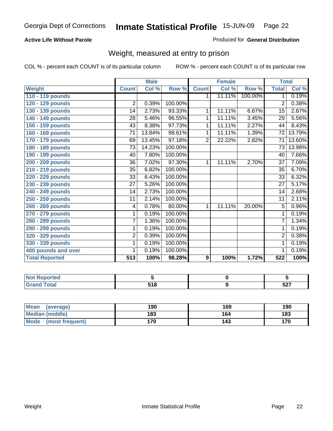#### **Active Life Without Parole**

#### Produced for **General Distribution**

### Weight, measured at entry to prison

|                       |                 | <b>Male</b> |         |                | <b>Female</b> |         | <b>Total</b>    |        |
|-----------------------|-----------------|-------------|---------|----------------|---------------|---------|-----------------|--------|
| <b>Weight</b>         | <b>Count</b>    | Col %       | Row %   | <b>Count</b>   | Col %         | Row %   | <b>Total</b>    | Col %  |
| 110 - 119 pounds      |                 |             |         | 1.             | 11.11%        | 100.00% | $\mathbf 1$     | 0.19%  |
| 120 - 129 pounds      | $\overline{2}$  | 0.39%       | 100.00% |                |               |         | $\overline{2}$  | 0.38%  |
| 130 - 139 pounds      | 14              | 2.73%       | 93.33%  | 1              | 11.11%        | 6.67%   | 15              | 2.87%  |
| 140 - 149 pounds      | 28              | 5.46%       | 96.55%  | 1              | 11.11%        | 3.45%   | $\overline{29}$ | 5.56%  |
| 150 - 159 pounds      | 43              | 8.38%       | 97.73%  | 1              | 11.11%        | 2.27%   | 44              | 8.43%  |
| 160 - 169 pounds      | 71              | 13.84%      | 98.61%  | 1              | 11.11%        | 1.39%   | 72              | 13.79% |
| 170 - 179 pounds      | 69              | 13.45%      | 97.18%  | $\overline{2}$ | 22.22%        | 2.82%   | 71              | 13.60% |
| 180 - 189 pounds      | 73              | 14.23%      | 100.00% |                |               |         | 73              | 13.98% |
| 190 - 199 pounds      | 40              | 7.80%       | 100.00% |                |               |         | 40              | 7.66%  |
| 200 - 209 pounds      | 36              | 7.02%       | 97.30%  | 1              | 11.11%        | 2.70%   | $\overline{37}$ | 7.09%  |
| 210 - 219 pounds      | 35              | 6.82%       | 100.00% |                |               |         | 35              | 6.70%  |
| 220 - 229 pounds      | 33              | 6.43%       | 100.00% |                |               |         | $\overline{33}$ | 6.32%  |
| 230 - 239 pounds      | $\overline{27}$ | 5.26%       | 100.00% |                |               |         | $\overline{27}$ | 5.17%  |
| 240 - 249 pounds      | 14              | 2.73%       | 100.00% |                |               |         | $\overline{14}$ | 2.68%  |
| 250 - 259 pounds      | $\overline{11}$ | 2.14%       | 100.00% |                |               |         | 11              | 2.11%  |
| 260 - 269 pounds      | 4               | 0.78%       | 80.00%  | $\mathbf 1$    | 11.11%        | 20.00%  | $\overline{5}$  | 0.96%  |
| 270 - 279 pounds      | 1               | 0.19%       | 100.00% |                |               |         | $\overline{1}$  | 0.19%  |
| 280 - 289 pounds      | 7               | 1.36%       | 100.00% |                |               |         | $\overline{7}$  | 1.34%  |
| 290 - 299 pounds      | 1               | 0.19%       | 100.00% |                |               |         | 1               | 0.19%  |
| 320 - 329 pounds      | $\overline{2}$  | 0.39%       | 100.00% |                |               |         | $\overline{2}$  | 0.38%  |
| 330 - 339 pounds      | 1               | 0.19%       | 100.00% |                |               |         | 1               | 0.19%  |
| 400 pounds and over   | 1               | 0.19%       | 100.00% |                |               |         | 1               | 0.19%  |
| <b>Total Reported</b> | 513             | 100%        | 98.28%  | 9              | 100%          | 1.72%   | 522             | 100%   |

| Reported<br>NOT<br>$\sim$        |            |                    |
|----------------------------------|------------|--------------------|
| <b>cotal</b><br>$\mathbf{v}$ and | <b>240</b> | <b>E07</b><br>JZ 1 |

| <b>Mean</b><br>(average)       | 190 | 169 | 190 |
|--------------------------------|-----|-----|-----|
| <b>Median (middle)</b>         | 183 | 164 | 183 |
| <b>Mode</b><br>(most frequent) | 170 | 143 | 170 |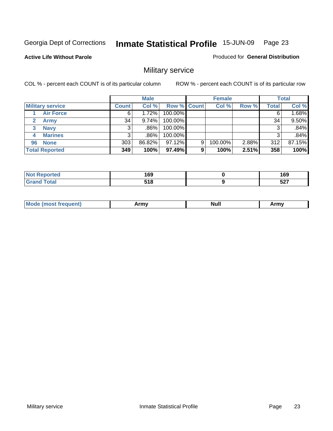Produced for **General Distribution**

#### **Active Life Without Parole**

### Military service

|                         |              | <b>Male</b> |                    |   | <b>Female</b> |       |       | <b>Total</b> |
|-------------------------|--------------|-------------|--------------------|---|---------------|-------|-------|--------------|
| <b>Military service</b> | <b>Count</b> | Col %       | <b>Row % Count</b> |   | Col %         | Row % | Total | Col %        |
| <b>Air Force</b>        | 6            | 1.72%       | 100.00%            |   |               |       |       | 1.68%        |
| <b>Army</b>             | 34           | 9.74%       | 100.00%            |   |               |       | 34    | 9.50%        |
| <b>Navy</b><br>3        |              | .86%        | 100.00%            |   |               |       |       | .84%         |
| <b>Marines</b><br>4     | 3            | .86%        | 100.00%            |   |               |       | 3     | .84%         |
| 96 None                 | 303          | 86.82%      | 97.12%             | 9 | 100.00%       | 2.88% | 312   | 87.15%       |
| <b>Total Reported</b>   | 349          | 100%        | 97.49%             | 9 | 100%          | 2.51% | 358   | 100%         |

| rted -       | 1 C N<br>כט ו<br>__ | 160<br>כט ו<br>- - |
|--------------|---------------------|--------------------|
| <b>Total</b> | E4 0<br>. .         | -07<br><b>JZI</b>  |

|  | M | .<br>. | . .<br>Null | .<br>ATM <sub>V</sub> |
|--|---|--------|-------------|-----------------------|
|--|---|--------|-------------|-----------------------|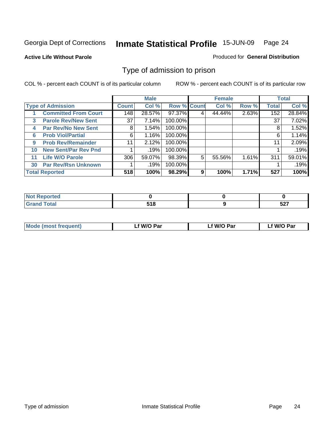#### **Active Life Without Parole**

#### Produced for **General Distribution**

### Type of admission to prison

|    |                             |                 | <b>Male</b> |                    |   | <b>Female</b> |       |              | <b>Total</b> |
|----|-----------------------------|-----------------|-------------|--------------------|---|---------------|-------|--------------|--------------|
|    | <b>Type of Admission</b>    | <b>Count</b>    | Col %       | <b>Row % Count</b> |   | Col %         | Row % | <b>Total</b> | Col %        |
|    | <b>Committed From Court</b> | 148             | 28.57%      | 97.37%             | 4 | 44.44%        | 2.63% | 152          | 28.84%       |
| 3  | <b>Parole Rev/New Sent</b>  | 37 <sup>1</sup> | 7.14%       | 100.00%            |   |               |       | 37           | 7.02%        |
| 4  | <b>Par Rev/No New Sent</b>  | 8               | 1.54%       | 100.00%            |   |               |       | 8            | 1.52%        |
| 6  | <b>Prob Viol/Partial</b>    | 6               | 1.16%       | 100.00%            |   |               |       | 6            | 1.14%        |
| 9  | <b>Prob Rev/Remainder</b>   | 11              | 2.12%       | 100.00%            |   |               |       | 11           | 2.09%        |
| 10 | <b>New Sent/Par Rev Pnd</b> |                 | .19%        | 100.00%            |   |               |       |              | .19%         |
| 11 | <b>Life W/O Parole</b>      | 306             | 59.07%      | 98.39%             | 5 | 55.56%        | 1.61% | 311          | 59.01%       |
| 30 | <b>Par Rev/Rsn Unknown</b>  |                 | .19%        | 100.00%            |   |               |       |              | .19%         |
|    | <b>Total Reported</b>       | 518             | 100%        | 98.29%             | 9 | 100%          | 1.71% | 527          | 100%         |

| المنصبة للمعان<br>rtea |       |      |
|------------------------|-------|------|
| $f \wedge f \wedge f'$ | :40   | ドヘブ  |
| υιαι                   | J I O | 34 I |

| <b>Mode (most frequent)</b> | f W/O Par | <sup>€</sup> W/O Par | W/O Par |
|-----------------------------|-----------|----------------------|---------|
|                             |           |                      |         |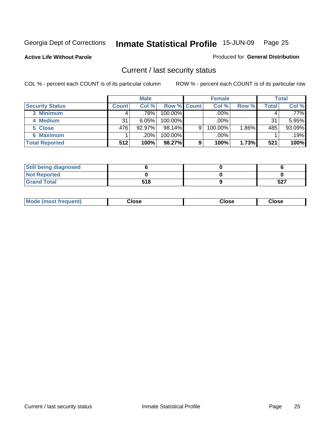**Active Life Without Parole** 

Produced for **General Distribution**

### Current / last security status

|                        |              | <b>Male</b> |                    |   | <b>Female</b> |       |              | <b>Total</b> |
|------------------------|--------------|-------------|--------------------|---|---------------|-------|--------------|--------------|
| <b>Security Status</b> | <b>Count</b> | Col %       | <b>Row % Count</b> |   | Col %         | Row % | <b>Total</b> | Col %        |
| 3 Minimum              |              | .78%        | $100.00\%$         |   | .00%          |       |              | .77%         |
| 4 Medium               | 31           | 6.05%       | $100.00\%$         |   | $.00\%$       |       | 31           | 5.95%        |
| 5 Close                | 476          | $92.97\%$   | $98.14\%$          | 9 | 100.00%       | 1.86% | 485          | 93.09%       |
| 6 Maximum              |              | .20%        | 100.00%            |   | .00%          |       |              | .19%         |
| <b>Total Reported</b>  | 512          | 100%        | 98.27%             | 9 | 100%          | 1.73% | 521          | 100%         |

| <b>Still being diagnosed</b> |     |     |
|------------------------------|-----|-----|
| <b>Not Reported</b>          |     |     |
| <b>Grand Total</b>           | 518 | 527 |

| <b>Mode</b><br>lose<br>lose<br>Close<br>(most frequent)<br>- - - -<br>- - - - |  |
|-------------------------------------------------------------------------------|--|
|-------------------------------------------------------------------------------|--|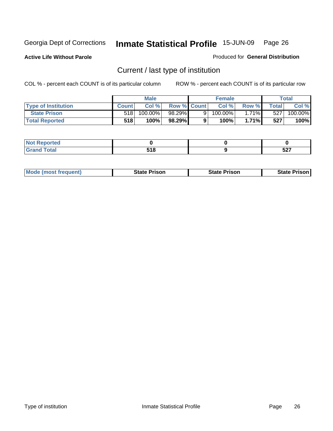**Active Life Without Parole** 

Produced for **General Distribution**

### Current / last type of institution

|                            |              | <b>Male</b> |                    |   | <b>Female</b> |          |              | Total                 |
|----------------------------|--------------|-------------|--------------------|---|---------------|----------|--------------|-----------------------|
| <b>Type of Institution</b> | <b>Count</b> | Col%        | <b>Row % Count</b> |   | Col%          | Row %I   | <b>Total</b> | Col %                 |
| <b>State Prison</b>        | 518          | 100.00%     | 98.29%             | 9 | 100.00%」      | $1.71\%$ | 527          | $100.\overline{00\%}$ |
| <b>Total Reported</b>      | 518          | 100%        | 98.29%             |   | $100\%$ .     | $1.71\%$ | 527          | 100%                  |

| المنتبط المتعارف<br>rtea<br>$\sim$ |             |                   |
|------------------------------------|-------------|-------------------|
| _____                              | 740<br>$ -$ | <b>FA7</b><br>וגע |

|  | <b>Mode (most frequent)</b> | <b>State Prison</b> | <b>State Prison</b> | <b>State Prison</b> |
|--|-----------------------------|---------------------|---------------------|---------------------|
|--|-----------------------------|---------------------|---------------------|---------------------|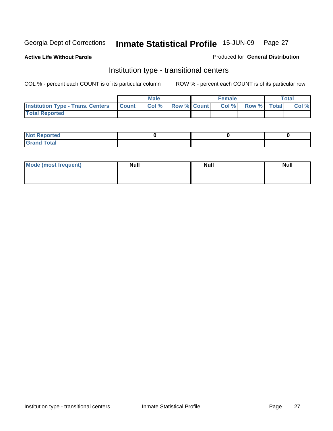**Active Life Without Parole** 

#### Produced for **General Distribution**

### Institution type - transitional centers

|                                                | <b>Male</b> |                   | <b>Female</b> |                   | <b>Total</b> |
|------------------------------------------------|-------------|-------------------|---------------|-------------------|--------------|
| <b>Institution Type - Trans. Centers Count</b> |             | Col % Row % Count |               | Col % Row % Total | Col %        |
| <b>Total Reported</b>                          |             |                   |               |                   |              |

| Reported<br><b>NOT</b><br>$\cdots$ |  |  |
|------------------------------------|--|--|
| $f$ oto $f$<br>$\sim$<br>-         |  |  |

| Mode (most frequent) | <b>Null</b> | <b>Null</b> | <b>Null</b> |
|----------------------|-------------|-------------|-------------|
|                      |             |             |             |
|                      |             |             |             |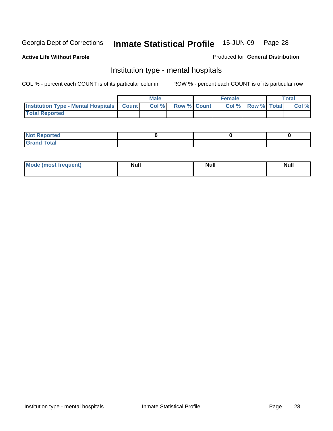#### **Active Life Without Parole**

#### Produced for **General Distribution**

### Institution type - mental hospitals

|                                                  | Male  |                    | <b>Female</b> |                          | Total |
|--------------------------------------------------|-------|--------------------|---------------|--------------------------|-------|
| <b>Institution Type - Mental Hospitals Count</b> | Col % | <b>Row % Count</b> |               | <b>Col % Row % Total</b> | Col % |
| <b>Total Reported</b>                            |       |                    |               |                          |       |

| <b>Not Reported</b>           |  |  |
|-------------------------------|--|--|
| <b>otal</b><br>C <sub>r</sub> |  |  |

| Mode (most frequent) | <b>Null</b> | <b>Null</b> | <b>Null</b> |
|----------------------|-------------|-------------|-------------|
|                      |             |             |             |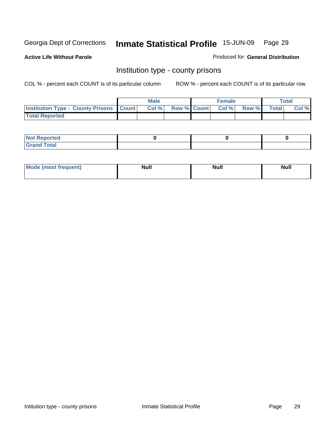**Active Life Without Parole** 

Produced for **General Distribution**

### Institution type - county prisons

|                                                    | <b>Male</b> |                         | <b>Female</b> |             | <b>Total</b> |
|----------------------------------------------------|-------------|-------------------------|---------------|-------------|--------------|
| <b>Institution Type - County Prisons   Count  </b> |             | Col % Row % Count Col % |               | Row % Total | Col %        |
| <b>Total Reported</b>                              |             |                         |               |             |              |

| <b>Not Reported</b>    |  |  |
|------------------------|--|--|
| <b>Total</b><br>$\sim$ |  |  |

| Mode (most<br>frequent) | N I I I<br>чин. | <b>Null</b> | <b>Null</b><br>$- - - - - - -$ |
|-------------------------|-----------------|-------------|--------------------------------|
|                         |                 |             |                                |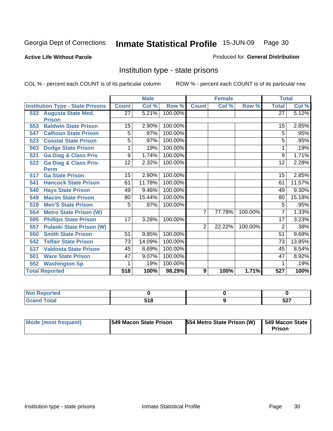#### **Active Life Without Parole**

#### Produced for **General Distribution**

### Institution type - state prisons

|     |                                         | <b>Male</b><br><b>Female</b> |        | <b>Total</b> |                |        |         |                 |        |
|-----|-----------------------------------------|------------------------------|--------|--------------|----------------|--------|---------|-----------------|--------|
|     | <b>Institution Type - State Prisons</b> | <b>Count</b>                 | Col %  | Row %        | <b>Count</b>   | Col %  | Row %   | <b>Total</b>    | Col %  |
|     | 532 Augusta State Med.                  | 27                           | 5.21%  | 100.00%      |                |        |         | $\overline{27}$ | 5.12%  |
|     | <b>Prison</b>                           |                              |        |              |                |        |         |                 |        |
| 553 | <b>Baldwin State Prison</b>             | 15                           | 2.90%  | 100.00%      |                |        |         | 15              | 2.85%  |
| 547 | <b>Calhoun State Prison</b>             | 5                            | .97%   | 100.00%      |                |        |         | 5               | .95%   |
| 523 | <b>Coastal State Prison</b>             | 5                            | .97%   | 100.00%      |                |        |         | 5               | .95%   |
| 503 | <b>Dodge State Prison</b>               |                              | .19%   | 100.00%      |                |        |         |                 | .19%   |
| 521 | <b>Ga Diag &amp; Class Pris</b>         | 9                            | 1.74%  | 100.00%      |                |        |         | 9               | 1.71%  |
| 522 | <b>Ga Diag &amp; Class Pris-</b>        | 12                           | 2.32%  | 100.00%      |                |        |         | 12              | 2.28%  |
|     | <b>Perm</b>                             |                              |        |              |                |        |         |                 |        |
| 517 | <b>Ga State Prison</b>                  | 15                           | 2.90%  | 100.00%      |                |        |         | 15              | 2.85%  |
| 541 | <b>Hancock State Prison</b>             | 61                           | 11.78% | 100.00%      |                |        |         | 61              | 11.57% |
| 540 | <b>Hays State Prison</b>                | 49                           | 9.46%  | 100.00%      |                |        |         | 49              | 9.30%  |
| 549 | <b>Macon State Prison</b>               | 80                           | 15.44% | 100.00%      |                |        |         | 80              | 15.18% |
| 519 | <b>Men'S State Prison</b>               | 5                            | .97%   | 100.00%      |                |        |         | 5               | .95%   |
| 554 | <b>Metro State Prison (W)</b>           |                              |        |              | 7              | 77.78% | 100.00% | 7               | 1.33%  |
| 505 | <b>Phillips State Prison</b>            | 17                           | 3.28%  | 100.00%      |                |        |         | 17              | 3.23%  |
| 557 | <b>Pulaski State Prison (W)</b>         |                              |        |              | $\overline{2}$ | 22.22% | 100.00% | 2               | .38%   |
| 550 | <b>Smith State Prison</b>               | 51                           | 9.85%  | 100.00%      |                |        |         | 51              | 9.68%  |
| 542 | <b>Telfair State Prison</b>             | 73                           | 14.09% | 100.00%      |                |        |         | 73              | 13.85% |
| 537 | <b>Valdosta State Prison</b>            | 45                           | 8.69%  | 100.00%      |                |        |         | 45              | 8.54%  |
| 501 | <b>Ware State Prison</b>                | 47                           | 9.07%  | 100.00%      |                |        |         | 47              | 8.92%  |
| 552 | <b>Washington Sp</b>                    | 1                            | .19%   | 100.00%      |                |        |         | 1               | .19%   |
|     | <b>Total Reported</b>                   | 518                          | 100%   | 98.29%       | 9              | 100%   | 1.71%   | 527             | 100%   |

| Reported     |       |       |
|--------------|-------|-------|
| <b>Total</b> | E4 0  | - ^ - |
| Gra          | J I O | JLI   |

| Mode (most frequent) | 1549 Macon State Prison | 554 Metro State Prison (W) | 549 Macon State<br>Prison |
|----------------------|-------------------------|----------------------------|---------------------------|
|----------------------|-------------------------|----------------------------|---------------------------|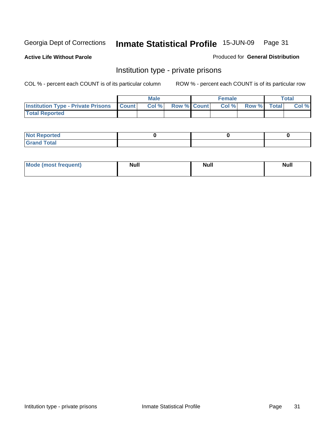**Active Life Without Parole** 

Produced for **General Distribution**

### Institution type - private prisons

|                                                     | <b>Male</b> |                    | <b>Female</b> |             | Total |
|-----------------------------------------------------|-------------|--------------------|---------------|-------------|-------|
| <b>Institution Type - Private Prisons   Count  </b> | Col %       | <b>Row % Count</b> | Col %         | Row % Total | Col % |
| <b>Total Reported</b>                               |             |                    |               |             |       |

| <b>Not Reported</b>       |  |  |
|---------------------------|--|--|
| intal<br>. Gror<br>$\sim$ |  |  |

| Mode (most frequent) | <b>Null</b> | <b>Null</b> | <b>Null</b> |
|----------------------|-------------|-------------|-------------|
|                      |             |             |             |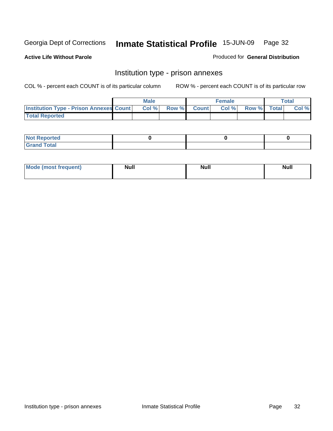**Active Life Without Parole** 

Produced for **General Distribution**

### Institution type - prison annexes

|                                                | <b>Male</b> |             | <b>Female</b> |             | <b>Total</b> |
|------------------------------------------------|-------------|-------------|---------------|-------------|--------------|
| <b>Institution Type - Prison Annexes Count</b> | Col %       | Row % Count | Col%          | Row % Total | Col %        |
| <b>Total Reported</b>                          |             |             |               |             |              |

| $N$ nt<br><b>Reported</b>                |  |  |
|------------------------------------------|--|--|
| <b>Total</b><br>Gr2r<br>$\mathbf{v}$ and |  |  |

| Mode (most frequent) | <b>Null</b> | <b>Null</b> | <b>Null</b> |
|----------------------|-------------|-------------|-------------|
|                      |             |             |             |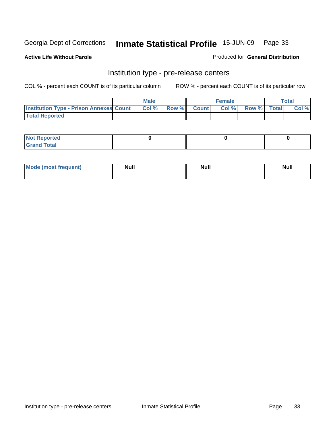**Active Life Without Parole** 

Produced for **General Distribution**

### Institution type - pre-release centers

|                                                | <b>Male</b> |              |              | <b>Female</b> |             | <b>Total</b> |
|------------------------------------------------|-------------|--------------|--------------|---------------|-------------|--------------|
| <b>Institution Type - Prison Annexes Count</b> | Col %       | <b>Row %</b> | <b>Count</b> | Col%          | Row % Total | Col %        |
| <b>Total Reported</b>                          |             |              |              |               |             |              |

| $N$ nt<br><b>Reported</b>                |  |  |
|------------------------------------------|--|--|
| <b>Total</b><br>Gr2r<br>$\mathbf{v}$ and |  |  |

| Mode (most frequent) | <b>Null</b> | <b>Null</b> | <b>Null</b> |
|----------------------|-------------|-------------|-------------|
|                      |             |             |             |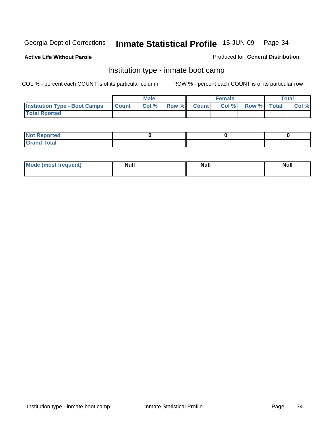**Active Life Without Parole** 

#### Produced for **General Distribution**

### Institution type - inmate boot camp

|                                      |              | Male  |       |              | <b>Female</b> |             | <b>Total</b> |
|--------------------------------------|--------------|-------|-------|--------------|---------------|-------------|--------------|
| <b>Institution Type - Boot Camps</b> | <b>Count</b> | Col % | Row % | <b>Count</b> | Col%          | Row % Total | Col %        |
| <b>Total Rported</b>                 |              |       |       |              |               |             |              |

| <b>Not Reported</b>                     |  |  |
|-----------------------------------------|--|--|
| <b>fotal</b><br>10 <sup>2</sup><br>____ |  |  |

| <b>Mode (most frequent)</b> | <b>Null</b> | <b>Null</b> | <b>Null</b> |
|-----------------------------|-------------|-------------|-------------|
|                             |             |             |             |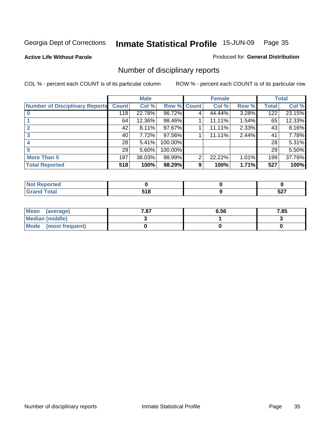#### **Active Life Without Parole**

#### Produced for **General Distribution**

### Number of disciplinary reports

|                                       |                 | <b>Male</b> |         |              | <b>Female</b> |       |                 | <b>Total</b> |
|---------------------------------------|-----------------|-------------|---------|--------------|---------------|-------|-----------------|--------------|
| <b>Number of Disciplinary Reports</b> | <b>Count</b>    | Col %       | Row %   | <b>Count</b> | Col %         | Row % | <b>Total</b>    | Col %        |
|                                       | 118             | 22.78%      | 96.72%  | 4            | 44.44%        | 3.28% | 122             | 23.15%       |
|                                       | 64              | 12.36%      | 98.46%  |              | 11.11%        | 1.54% | 65              | 12.33%       |
|                                       | 42              | $8.11\%$    | 97.67%  |              | 11.11%        | 2.33% | 43              | 8.16%        |
| 3                                     | 40              | 7.72%       | 97.56%  |              | 11.11%        | 2.44% | 41              | 7.78%        |
|                                       | 28 <sup>1</sup> | 5.41%       | 100.00% |              |               |       | 28              | 5.31%        |
| 5                                     | 29              | 5.60%       | 100.00% |              |               |       | 29 <sup>1</sup> | 5.50%        |
| <b>More Than 5</b>                    | 197             | 38.03%      | 98.99%  | 2            | 22.22%        | 1.01% | 199             | 37.76%       |
| <b>Total Reported</b>                 | 518             | 100%        | 98.29%  | 9            | 100%          | 1.71% | 527             | 100%         |

| тео<br>N |           |             |
|----------|-----------|-------------|
|          | .<br>$ -$ | - 27<br>JLI |

| Mean (average)       | 7.87 | 6.56 | 7.85 |
|----------------------|------|------|------|
| Median (middle)      |      |      |      |
| Mode (most frequent) |      |      |      |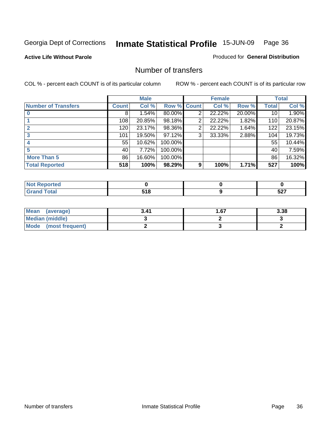#### **Active Life Without Parole**

#### Produced for **General Distribution**

#### Number of transfers

|                            |              | <b>Male</b> |         |              | <b>Female</b> |        |              | <b>Total</b> |
|----------------------------|--------------|-------------|---------|--------------|---------------|--------|--------------|--------------|
| <b>Number of Transfers</b> | <b>Count</b> | Col %       | Row %   | <b>Count</b> | Col %         | Row %  | <b>Total</b> | Col %        |
|                            | 8            | 1.54%       | 80.00%  | 2            | 22.22%        | 20.00% | 10           | 1.90%        |
|                            | 108          | 20.85%      | 98.18%  | 2            | 22.22%        | 1.82%  | 110          | 20.87%       |
| $\mathbf{2}$               | 120          | 23.17%      | 98.36%  | 2            | 22.22%        | 1.64%  | 122          | 23.15%       |
| 3                          | 101          | 19.50%      | 97.12%  | 3            | 33.33%        | 2.88%  | 104          | 19.73%       |
|                            | 55           | 10.62%      | 100.00% |              |               |        | 55           | 10.44%       |
|                            | 40           | 7.72%       | 100.00% |              |               |        | 40           | 7.59%        |
| <b>More Than 5</b>         | 86           | 16.60%      | 100.00% |              |               |        | 86           | 16.32%       |
| <b>Total Reported</b>      | 518          | 100%        | 98.29%  | 9            | 100%          | 1.71%  | 527          | 100%         |

| N<br>men |           |             |
|----------|-----------|-------------|
|          | .<br>$ -$ | -^-<br>JL 1 |

| Mean (average)       | 3.41 | 67. ا | 3.38 |
|----------------------|------|-------|------|
| Median (middle)      |      |       |      |
| Mode (most frequent) |      |       |      |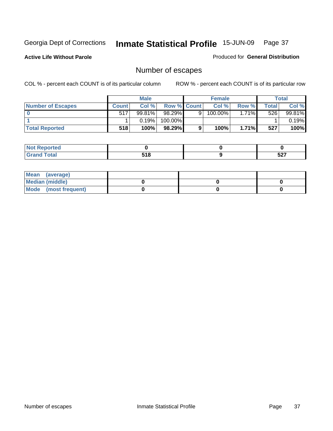**Active Life Without Parole** 

Produced for **General Distribution**

## Number of escapes

|                       |         | <b>Male</b> |                    |   | <b>Female</b> |              |        | Total  |
|-----------------------|---------|-------------|--------------------|---|---------------|--------------|--------|--------|
| Number of Escapes     | Count l | Col %       | <b>Row % Count</b> |   | Col %         | Row %        | Totall | Col %  |
|                       | 517     | 99.81%      | $98.29\%$          | 9 | 100.00%       | $.71\%$<br>4 | 526    | 99.81% |
|                       |         | 0.19%       | 100.00%            |   |               |              |        | 0.19%  |
| <b>Total Reported</b> | 518     | 100%        | 98.29%             | 9 | 100%          | 1.71%        | 527    | 100%   |

| للمستقصاء<br>тео                                    |               |            |
|-----------------------------------------------------|---------------|------------|
| $\sim$<br>$\blacksquare$ . Juan<br>$\mathbf{v}$ and | 74 O<br>/ I V | -07<br>JLI |

| Mean (average)       |  |  |
|----------------------|--|--|
| Median (middle)      |  |  |
| Mode (most frequent) |  |  |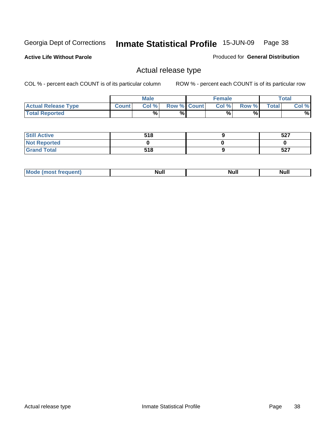**Active Life Without Parole** 

Produced for **General Distribution**

### Actual release type

|                            |              | <b>Male</b> |             | Female |       |              | $\tau$ otal |
|----------------------------|--------------|-------------|-------------|--------|-------|--------------|-------------|
| <b>Actual Release Type</b> | <b>Count</b> | Col %       | Row % Count | Col %  | Row % | <b>Total</b> | Col %       |
| <b>Total Reported</b>      |              | $\%$        | %           | %      | %     |              | %           |

| <b>Still Active</b> | 518 | 527 |
|---------------------|-----|-----|
| <b>Not Reported</b> |     |     |
| <b>Grand Total</b>  | 518 | 527 |

| m.<br>_____<br>_____ | M | Null | <u></u> |
|----------------------|---|------|---------|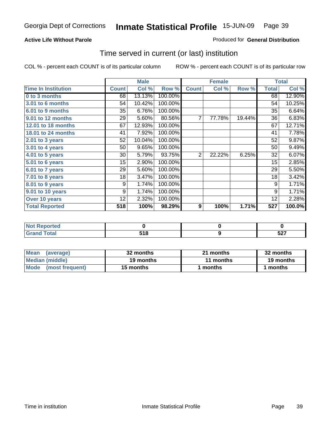### **Active Life Without Parole**

#### Produced for **General Distribution**

### Time served in current (or last) institution

|                            |              | <b>Male</b> |         |                | <b>Female</b> |        |              | <b>Total</b> |
|----------------------------|--------------|-------------|---------|----------------|---------------|--------|--------------|--------------|
| <b>Time In Institution</b> | <b>Count</b> | Col %       | Row %   | <b>Count</b>   | Col %         | Row %  | <b>Total</b> | Col %        |
| 0 to 3 months              | 68           | 13.13%      | 100.00% |                |               |        | 68           | 12.90%       |
| <b>3.01 to 6 months</b>    | 54           | 10.42%      | 100.00% |                |               |        | 54           | 10.25%       |
| 6.01 to 9 months           | 35           | 6.76%       | 100.00% |                |               |        | 35           | 6.64%        |
| 9.01 to 12 months          | 29           | 5.60%       | 80.56%  | 7              | 77.78%        | 19.44% | 36           | 6.83%        |
| 12.01 to 18 months         | 67           | 12.93%      | 100.00% |                |               |        | 67           | 12.71%       |
| 18.01 to 24 months         | 41           | 7.92%       | 100.00% |                |               |        | 41           | 7.78%        |
| 2.01 to 3 years            | 52           | 10.04%      | 100.00% |                |               |        | 52           | 9.87%        |
| 3.01 to 4 years            | 50           | 9.65%       | 100.00% |                |               |        | 50           | 9.49%        |
| 4.01 to 5 years            | 30           | 5.79%       | 93.75%  | $\overline{2}$ | 22.22%        | 6.25%  | 32           | 6.07%        |
| 5.01 to 6 years            | 15           | 2.90%       | 100.00% |                |               |        | 15           | 2.85%        |
| 6.01 to 7 years            | 29           | 5.60%       | 100.00% |                |               |        | 29           | 5.50%        |
| 7.01 to 8 years            | 18           | 3.47%       | 100.00% |                |               |        | 18           | 3.42%        |
| 8.01 to 9 years            | 9            | 1.74%       | 100.00% |                |               |        | 9            | 1.71%        |
| 9.01 to 10 years           | 9            | 1.74%       | 100.00% |                |               |        | 9            | 1.71%        |
| Over 10 years              | 12           | 2.32%       | 100.00% |                |               |        | 12           | 2.28%        |
| <b>Total Reported</b>      | 518          | 100%        | 98.29%  | 9              | 100%          | 1.71%  | 527          | 100.0%       |

| <b>Not Reported</b> |             |              |
|---------------------|-------------|--------------|
| <b>Total</b>        | E4 O<br>''C | - ^ -<br>JLI |

| <b>Mean</b><br>(average)       | 32 months | 21 months | 32 months |
|--------------------------------|-----------|-----------|-----------|
| Median (middle)                | 19 months | 11 months | 19 months |
| <b>Mode</b><br>(most frequent) | 15 months | l months  | months    |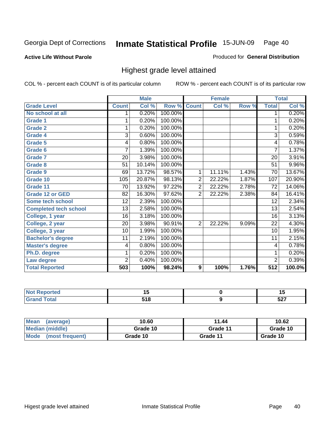#### **Active Life Without Parole**

### Produced for **General Distribution**

### Highest grade level attained

|                              |                 | <b>Male</b> |         |                | <b>Female</b> |       |                  | <b>Total</b> |
|------------------------------|-----------------|-------------|---------|----------------|---------------|-------|------------------|--------------|
| <b>Grade Level</b>           | <b>Count</b>    | Col %       | Row %   | <b>Count</b>   | Col %         | Row % | <b>Total</b>     | Col %        |
| No school at all             | 1               | 0.20%       | 100.00% |                |               |       | 1                | 0.20%        |
| <b>Grade 1</b>               | 1               | 0.20%       | 100.00% |                |               |       | 1                | 0.20%        |
| <b>Grade 2</b>               | 1               | 0.20%       | 100.00% |                |               |       | 1                | 0.20%        |
| <b>Grade 4</b>               | 3               | 0.60%       | 100.00% |                |               |       | $\overline{3}$   | 0.59%        |
| <b>Grade 5</b>               | 4               | 0.80%       | 100.00% |                |               |       | 4                | 0.78%        |
| Grade 6                      | 7               | 1.39%       | 100.00% |                |               |       | $\overline{7}$   | 1.37%        |
| <b>Grade 7</b>               | 20              | 3.98%       | 100.00% |                |               |       | 20               | 3.91%        |
| <b>Grade 8</b>               | 51              | 10.14%      | 100.00% |                |               |       | 51               | 9.96%        |
| <b>Grade 9</b>               | 69              | 13.72%      | 98.57%  | 1              | 11.11%        | 1.43% | 70               | 13.67%       |
| Grade 10                     | 105             | 20.87%      | 98.13%  | $\overline{2}$ | 22.22%        | 1.87% | 107              | 20.90%       |
| Grade 11                     | 70              | 13.92%      | 97.22%  | $\overline{2}$ | 22.22%        | 2.78% | 72               | 14.06%       |
| <b>Grade 12 or GED</b>       | 82              | 16.30%      | 97.62%  | $\overline{2}$ | 22.22%        | 2.38% | 84               | 16.41%       |
| <b>Some tech school</b>      | 12              | 2.39%       | 100.00% |                |               |       | 12               | 2.34%        |
| <b>Completed tech school</b> | $\overline{13}$ | 2.58%       | 100.00% |                |               |       | 13               | 2.54%        |
| College, 1 year              | 16              | 3.18%       | 100.00% |                |               |       | 16               | 3.13%        |
| College, 2 year              | 20              | 3.98%       | 90.91%  | $\overline{2}$ | 22.22%        | 9.09% | 22               | 4.30%        |
| College, 3 year              | 10              | 1.99%       | 100.00% |                |               |       | 10               | 1.95%        |
| <b>Bachelor's degree</b>     | 11              | 2.19%       | 100.00% |                |               |       | 11               | 2.15%        |
| <b>Master's degree</b>       | 4               | 0.80%       | 100.00% |                |               |       | 4                | 0.78%        |
| Ph.D. degree                 | 1               | 0.20%       | 100.00% |                |               |       | 1                | 0.20%        |
| Law degree                   | $\overline{2}$  | 0.40%       | 100.00% |                |               |       | $\overline{2}$   | 0.39%        |
| <b>Total Reported</b>        | 503             | 100%        | 98.24%  | 9              | 100%          | 1.76% | $\overline{5}12$ | 100.0%       |

| הבזמנ | .,    | <br>$\sim$   |
|-------|-------|--------------|
| ัวta⊾ | - - - | - ~ ~<br>JLI |

| Mean<br>(average)              | 10.60    | 11.44    | 10.62    |
|--------------------------------|----------|----------|----------|
| Median (middle)                | Grade 10 | Grade 11 | Grade 10 |
| <b>Mode</b><br>(most frequent) | Grade 10 | Grade 11 | Grade 10 |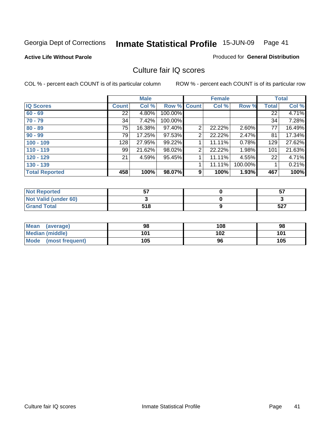#### **Active Life Without Parole**

#### Produced for **General Distribution**

### Culture fair IQ scores

|                       |              | <b>Male</b> |             |                | <b>Female</b> |         |              | <b>Total</b> |
|-----------------------|--------------|-------------|-------------|----------------|---------------|---------|--------------|--------------|
| <b>IQ Scores</b>      | <b>Count</b> | Col %       | Row % Count |                | Col %         | Row %   | <b>Total</b> | Col %        |
| $60 - 69$             | 22           | 4.80%       | 100.00%     |                |               |         | 22           | 4.71%        |
| $70 - 79$             | 34           | 7.42%       | 100.00%     |                |               |         | 34           | 7.28%        |
| $80 - 89$             | 75           | 16.38%      | 97.40%      | $\overline{2}$ | 22.22%        | 2.60%   | 77           | 16.49%       |
| $90 - 99$             | 79           | 17.25%      | 97.53%      | 2              | 22.22%        | 2.47%   | 81           | 17.34%       |
| $100 - 109$           | 128          | 27.95%      | 99.22%      | 4              | 11.11%        | 0.78%   | 129          | 27.62%       |
| $110 - 119$           | 99           | 21.62%      | 98.02%      | 2              | 22.22%        | 1.98%   | 101          | 21.63%       |
| $120 - 129$           | 21           | 4.59%       | 95.45%      |                | 11.11%        | 4.55%   | 22           | 4.71%        |
| $130 - 139$           |              |             |             | 1              | 11.11%        | 100.00% |              | 0.21%        |
| <b>Total Reported</b> | 458          | 100%        | 98.07%      | 9              | 100%          | 1.93%   | 467          | 100%         |

| <b>Not Reported</b>  | --  | 57         |
|----------------------|-----|------------|
| Not Valid (under 60) |     |            |
| <b>Grand Total</b>   | 518 | ドウブ<br>32. |

| <b>Mean</b><br>(average) | 98  | 108 | 98  |
|--------------------------|-----|-----|-----|
| <b>Median (middle)</b>   | 101 | 102 | 101 |
| Mode<br>(most frequent)  | 105 | 96  | 105 |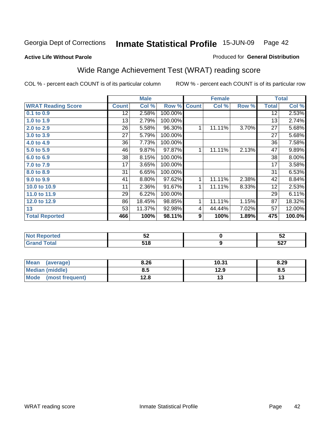**Active Life Without Parole** 

#### Produced for **General Distribution**

## Wide Range Achievement Test (WRAT) reading score

|                           |              | <b>Male</b> |         |              | <b>Female</b> |       |                 | <b>Total</b> |
|---------------------------|--------------|-------------|---------|--------------|---------------|-------|-----------------|--------------|
| <b>WRAT Reading Score</b> | <b>Count</b> | Col %       | Row %   | <b>Count</b> | Col %         | Row % | <b>Total</b>    | Col %        |
| $0.1$ to $0.9$            | 12           | 2.58%       | 100.00% |              |               |       | $\overline{12}$ | 2.53%        |
| 1.0 to 1.9                | 13           | 2.79%       | 100.00% |              |               |       | 13              | 2.74%        |
| 2.0 to 2.9                | 26           | 5.58%       | 96.30%  | 1            | 11.11%        | 3.70% | 27              | 5.68%        |
| 3.0 to 3.9                | 27           | 5.79%       | 100.00% |              |               |       | 27              | 5.68%        |
| 4.0 to 4.9                | 36           | 7.73%       | 100.00% |              |               |       | 36              | 7.58%        |
| 5.0 to 5.9                | 46           | 9.87%       | 97.87%  | 1            | 11.11%        | 2.13% | 47              | 9.89%        |
| 6.0 to 6.9                | 38           | 8.15%       | 100.00% |              |               |       | 38              | 8.00%        |
| 7.0 to 7.9                | 17           | 3.65%       | 100.00% |              |               |       | 17              | 3.58%        |
| 8.0 to 8.9                | 31           | 6.65%       | 100.00% |              |               |       | 31              | 6.53%        |
| 9.0 to 9.9                | 41           | 8.80%       | 97.62%  | 1            | 11.11%        | 2.38% | 42              | 8.84%        |
| 10.0 to 10.9              | 11           | 2.36%       | 91.67%  | 1            | 11.11%        | 8.33% | 12              | 2.53%        |
| 11.0 to 11.9              | 29           | 6.22%       | 100.00% |              |               |       | 29              | 6.11%        |
| 12.0 to 12.9              | 86           | 18.45%      | 98.85%  | 1            | 11.11%        | 1.15% | 87              | 18.32%       |
| 13                        | 53           | 11.37%      | 92.98%  | 4            | 44.44%        | 7.02% | 57              | 12.00%       |
| <b>Total Reported</b>     | 466          | 100%        | 98.11%  | 9            | 100%          | 1.89% | 475             | 100.0%       |
|                           |              |             |         |              |               |       |                 |              |
| <b>NEW PROGRAMMENT</b>    |              | <b>ro</b>   |         |              | $\sim$        |       |                 | <b>ro</b>    |

| νι ιθα<br>$\cdot$ | -0<br>◡▵            | - -<br>◡▵   |
|-------------------|---------------------|-------------|
|                   | <b>540</b><br>J I O | -07<br>JZ 1 |
|                   |                     |             |

| <b>Mean</b><br>(average) | 8.26 | 10.31 | 8.29 |
|--------------------------|------|-------|------|
| Median (middle)          | 8.5  | 12.9  | 8.5  |
| Mode<br>(most frequent)  | 12.8 |       | 15   |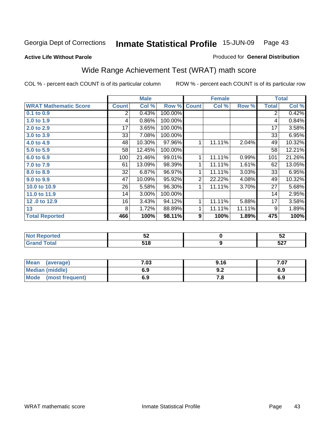#### **Active Life Without Parole**

#### Produced for **General Distribution**

## Wide Range Achievement Test (WRAT) math score

|                              |              | <b>Male</b> |         |                | <b>Female</b> |        |              | <b>Total</b> |
|------------------------------|--------------|-------------|---------|----------------|---------------|--------|--------------|--------------|
| <b>WRAT Mathematic Score</b> | <b>Count</b> | Col %       | Row %   | <b>Count</b>   | Col %         | Row %  | <b>Total</b> | Col %        |
| 0.1 to 0.9                   | 2            | 0.43%       | 100.00% |                |               |        | 2            | 0.42%        |
| 1.0 to 1.9                   | 4            | 0.86%       | 100.00% |                |               |        | 4            | 0.84%        |
| 2.0 to 2.9                   | 17           | 3.65%       | 100.00% |                |               |        | 17           | 3.58%        |
| 3.0 to 3.9                   | 33           | 7.08%       | 100.00% |                |               |        | 33           | 6.95%        |
| 4.0 to 4.9                   | 48           | 10.30%      | 97.96%  | 1              | 11.11%        | 2.04%  | 49           | 10.32%       |
| 5.0 to 5.9                   | 58           | 12.45%      | 100.00% |                |               |        | 58           | 12.21%       |
| 6.0 to 6.9                   | 100          | 21.46%      | 99.01%  | 1              | 11.11%        | 0.99%  | 101          | 21.26%       |
| 7.0 to 7.9                   | 61           | 13.09%      | 98.39%  | 1              | 11.11%        | 1.61%  | 62           | 13.05%       |
| 8.0 to 8.9                   | 32           | 6.87%       | 96.97%  | 1              | 11.11%        | 3.03%  | 33           | 6.95%        |
| 9.0 to 9.9                   | 47           | 10.09%      | 95.92%  | $\overline{2}$ | 22.22%        | 4.08%  | 49           | 10.32%       |
| 10.0 to 10.9                 | 26           | 5.58%       | 96.30%  | 1              | 11.11%        | 3.70%  | 27           | 5.68%        |
| 11.0 to 11.9                 | 14           | 3.00%       | 100.00% |                |               |        | 14           | 2.95%        |
| 12.0 to 12.9                 | 16           | 3.43%       | 94.12%  | 1              | 11.11%        | 5.88%  | 17           | 3.58%        |
| 13                           | 8            | 1.72%       | 88.89%  | 1              | 11.11%        | 11.11% | 9            | 1.89%        |
| <b>Total Reported</b>        | 466          | 100%        | 98.11%  | 9              | 100%          | 1.89%  | 475          | 100%         |
|                              |              |             |         |                |               |        |              |              |
| Not Poportod                 |              | <b>ΓΩ</b>   |         |                | <sup>o</sup>  |        |              | <b>EQ</b>    |

| the seat of the<br><b>ceported</b><br><b>NOT</b><br>.<br>. | -0<br>JZ    | E C<br>◡∠  |
|------------------------------------------------------------|-------------|------------|
| υιαι                                                       | 54 O<br>JIU | -^-<br>JLI |
|                                                            |             |            |

| <b>Mean</b><br>(average) | 7.03 | 9.16 | 7.07 |
|--------------------------|------|------|------|
| Median (middle)          | 6.9  | J.Z  | 6.9  |
| Mode<br>(most frequent)  | 6.9  | 4.O  | 6.9  |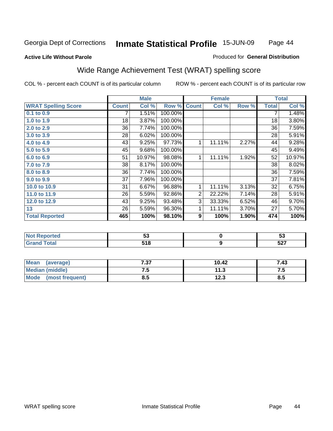#### **Active Life Without Parole**

### Produced for **General Distribution**

### Wide Range Achievement Test (WRAT) spelling score

|                            |                 | <b>Male</b> |         |              | <b>Female</b> |       |              | <b>Total</b> |
|----------------------------|-----------------|-------------|---------|--------------|---------------|-------|--------------|--------------|
| <b>WRAT Spelling Score</b> | <b>Count</b>    | Col %       | Row %   | <b>Count</b> | Col %         | Row % | <b>Total</b> | Col %        |
| 0.1 to 0.9                 |                 | 1.51%       | 100.00% |              |               |       | 7            | 1.48%        |
| 1.0 to 1.9                 | 18              | 3.87%       | 100.00% |              |               |       | 18           | 3.80%        |
| 2.0 to 2.9                 | $\overline{36}$ | 7.74%       | 100.00% |              |               |       | 36           | 7.59%        |
| 3.0 to 3.9                 | 28              | 6.02%       | 100.00% |              |               |       | 28           | 5.91%        |
| 4.0 to 4.9                 | 43              | 9.25%       | 97.73%  | 1            | 11.11%        | 2.27% | 44           | 9.28%        |
| 5.0 to 5.9                 | 45              | 9.68%       | 100.00% |              |               |       | 45           | 9.49%        |
| 6.0 to 6.9                 | 51              | 10.97%      | 98.08%  | 1            | 11.11%        | 1.92% | 52           | 10.97%       |
| 7.0 to 7.9                 | 38              | 8.17%       | 100.00% |              |               |       | 38           | 8.02%        |
| 8.0 to 8.9                 | 36              | 7.74%       | 100.00% |              |               |       | 36           | 7.59%        |
| 9.0 to 9.9                 | 37              | 7.96%       | 100.00% |              |               |       | 37           | 7.81%        |
| 10.0 to 10.9               | 31              | 6.67%       | 96.88%  | 1            | 11.11%        | 3.13% | 32           | 6.75%        |
| 11.0 to 11.9               | 26              | 5.59%       | 92.86%  | 2            | 22.22%        | 7.14% | 28           | 5.91%        |
| 12.0 to 12.9               | 43              | 9.25%       | 93.48%  | 3            | 33.33%        | 6.52% | 46           | 9.70%        |
| 13                         | 26              | 5.59%       | 96.30%  | 1            | 11.11%        | 3.70% | 27           | 5.70%        |
| <b>Total Reported</b>      | 465             | 100%        | 98.10%  | 9            | 100%          | 1.90% | 474          | 100%         |
|                            |                 |             |         |              |               |       |              |              |
| <b>Not Reported</b>        |                 | 53          |         |              | $\pmb{0}$     |       |              | 53           |
| <b>Grand Total</b>         |                 | 518         |         |              | 9             |       |              | 527          |

| <b>Mean</b><br>(average)       | , ,,<br>. J | 10.42 | 7.43 |
|--------------------------------|-------------|-------|------|
| Median (middle)                | ن. ا        | 11.3  | ن. ا |
| <b>Mode</b><br>(most frequent) | ο.υ         | 12.3  | ช.ว  |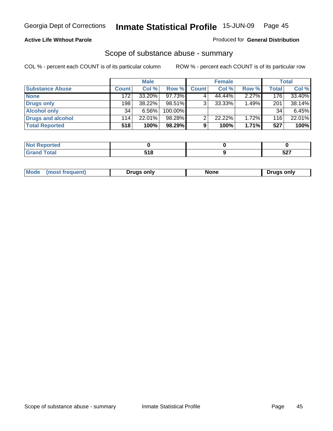#### **Active Life Without Parole**

#### Produced for **General Distribution**

### Scope of substance abuse - summary

|                        |              | <b>Male</b> |            |              | <b>Female</b> |          |              | <b>Total</b> |
|------------------------|--------------|-------------|------------|--------------|---------------|----------|--------------|--------------|
| <b>Substance Abuse</b> | <b>Count</b> | Col %       | Row %      | <b>Count</b> | Col %         | Row %    | <b>Total</b> | Col %        |
| <b>None</b>            | 172          | 33.20%      | $97.73\%$  |              | 44.44%        | $2.27\%$ | 176          | 33.40%       |
| Drugs only             | 198          | 38.22%      | 98.51%     |              | $33.33\%$     | 1.49%    | 201          | 38.14%       |
| <b>Alcohol only</b>    | 34           | 6.56%       | $100.00\%$ |              |               |          | 34           | 6.45%        |
| Drugs and alcohol      | 114          | 22.01%      | 98.28%     |              | 22.22%        | 1.72%    | 116          | 22.01%       |
| <b>Total Reported</b>  | 518          | 100%        | 98.29%     | 9            | 100%          | 1.71%    | 527          | 100%         |

| <b>Not</b><br>Reported  |   |            |
|-------------------------|---|------------|
| <b>Total</b><br>' Grano | . | -^-<br>וגט |

|  | Mode | ruas only | one | only<br>ruas. |
|--|------|-----------|-----|---------------|
|--|------|-----------|-----|---------------|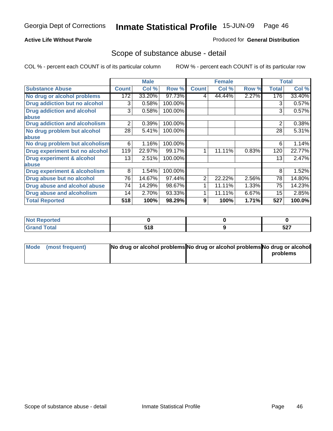### **Active Life Without Parole**

#### Produced for **General Distribution**

### Scope of substance abuse - detail

|                                      |              | <b>Male</b> |         |              | <b>Female</b> |       |              | <b>Total</b> |
|--------------------------------------|--------------|-------------|---------|--------------|---------------|-------|--------------|--------------|
| <b>Substance Abuse</b>               | <b>Count</b> | Col %       | Row %   | <b>Count</b> | Col %         | Row % | <b>Total</b> | Col %        |
| No drug or alcohol problems          | 172          | 33.20%      | 97.73%  | 4            | 44.44%        | 2.27% | 176          | 33.40%       |
| Drug addiction but no alcohol        | 3            | 0.58%       | 100.00% |              |               |       | 3            | 0.57%        |
| <b>Drug addiction and alcohol</b>    | 3            | 0.58%       | 100.00% |              |               |       | 3            | 0.57%        |
| abuse                                |              |             |         |              |               |       |              |              |
| <b>Drug addiction and alcoholism</b> | 2            | 0.39%       | 100.00% |              |               |       | 2            | 0.38%        |
| No drug problem but alcohol          | 28           | 5.41%       | 100.00% |              |               |       | 28           | 5.31%        |
| abuse                                |              |             |         |              |               |       |              |              |
| No drug problem but alcoholism       | 6            | 1.16%       | 100.00% |              |               |       | 6            | 1.14%        |
| Drug experiment but no alcohol       | 119          | 22.97%      | 99.17%  | 4            | 11.11%        | 0.83% | 120          | 22.77%       |
| <b>Drug experiment &amp; alcohol</b> | 13           | 2.51%       | 100.00% |              |               |       | 13           | 2.47%        |
| abuse                                |              |             |         |              |               |       |              |              |
| Drug experiment & alcoholism         | 8            | 1.54%       | 100.00% |              |               |       | 8            | 1.52%        |
| Drug abuse but no alcohol            | 76           | 14.67%      | 97.44%  | 2            | 22.22%        | 2.56% | 78           | 14.80%       |
| Drug abuse and alcohol abuse         | 74           | 14.29%      | 98.67%  |              | 11.11%        | 1.33% | 75           | 14.23%       |
| Drug abuse and alcoholism            | 14           | 2.70%       | 93.33%  |              | 11.11%        | 6.67% | 15           | 2.85%        |
| <b>Total Reported</b>                | 518          | 100%        | 98.29%  | 9            | 100%          | 1.71% | 527          | 100.0%       |

| Reportea<br> |               |                   |
|--------------|---------------|-------------------|
| <b>otal</b>  | E4 O<br>J I U | <b>EO7</b><br>JZI |

| Mode (most frequent) | No drug or alcohol problems No drug or alcohol problems No drug or alcohol |          |
|----------------------|----------------------------------------------------------------------------|----------|
|                      |                                                                            | problems |
|                      |                                                                            |          |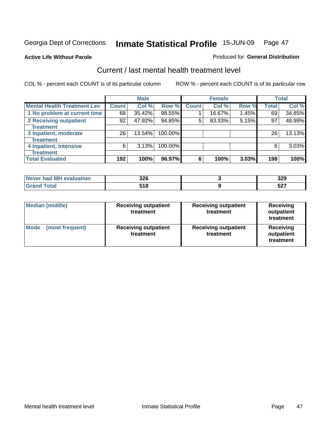#### **Active Life Without Parole**

#### Produced for **General Distribution**

### Current / last mental health treatment level

|                                    |              | <b>Male</b> |         |              | <b>Female</b> |       |              | <b>Total</b> |
|------------------------------------|--------------|-------------|---------|--------------|---------------|-------|--------------|--------------|
| <b>Mental Health Treatment Lev</b> | <b>Count</b> | Col %       | Row %   | <b>Count</b> | Col %         | Row % | <b>Total</b> | Col %        |
| 1 No problem at current time       | 68           | 35.42%      | 98.55%  |              | 16.67%        | 1.45% | 69           | 34.85%       |
| 2 Receiving outpatient             | 92           | 47.92%      | 94.85%  | 5            | 83.33%        | 5.15% | 97           | 48.99%       |
| treatment                          |              |             |         |              |               |       |              |              |
| 3 Inpatient, moderate              | 26           | 13.54%      | 100.00% |              |               |       | 26           | 13.13%       |
| <b>Treatment</b>                   |              |             |         |              |               |       |              |              |
| 4 Inpatient, intensive             | 6            | 3.13%       | 100.00% |              |               |       | 6            | 3.03%        |
| <b>Treatment</b>                   |              |             |         |              |               |       |              |              |
| <b>Total Evaluated</b>             | 192          | 100%        | 96.97%  | 6            | 100%          | 3.03% | 198          | 100%         |

| Never had MH evaluation | 326         | 329                |
|-------------------------|-------------|--------------------|
| <b>Total</b>            | 34 O<br>JIU | $F \cap T$<br>JZ 1 |

| <b>Median (middle)</b>         | <b>Receiving outpatient</b><br>treatment | <b>Receiving outpatient</b><br>treatment | <b>Receiving</b><br>outpatient<br>treatment |  |  |
|--------------------------------|------------------------------------------|------------------------------------------|---------------------------------------------|--|--|
| <b>Mode</b><br>(most frequent) | <b>Receiving outpatient</b><br>treatment | <b>Receiving outpatient</b><br>treatment | <b>Receiving</b><br>outpatient<br>treatment |  |  |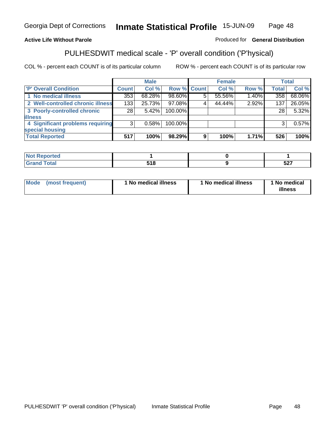### **Active Life Without Parole**

#### Produced for **General Distribution**

## PULHESDWIT medical scale - 'P' overall condition ('P'hysical)

|                                   |                 | <b>Male</b> |                    |   | <b>Female</b> |          |              | <b>Total</b> |
|-----------------------------------|-----------------|-------------|--------------------|---|---------------|----------|--------------|--------------|
| 'P' Overall Condition             | <b>Count</b>    | Col %       | <b>Row % Count</b> |   | Col %         | Row %    | <b>Total</b> | Col %        |
| 1 No medical illness              | 353             | 68.28%      | 98.60%             | 5 | 55.56%        | $1.40\%$ | 358          | 68.06%       |
| 2 Well-controlled chronic illness | 133             | 25.73%      | 97.08%             |   | 44.44%        | 2.92%    | 137          | 26.05%       |
| 3 Poorly-controlled chronic       | 28 <sub>1</sub> | $5.42\%$    | 100.00%            |   |               |          | 28           | 5.32%        |
| <b>illness</b>                    |                 |             |                    |   |               |          |              |              |
| 4 Significant problems requiring  | 3               | 0.58%       | 100.00%            |   |               |          | 3            | 0.57%        |
| special housing                   |                 |             |                    |   |               |          |              |              |
| <b>Total Reported</b>             | 517             | 100%        | 98.29%             | 9 | 100%          | 1.71%    | 526          | 100%         |

| $^{\dagger}$ Not $\ddot{\phantom{1}}$<br>Reported |       |            |
|---------------------------------------------------|-------|------------|
| <b>Total</b><br>Gra                               | ວ ເ ໐ | ドウフ<br>ואפ |

| Mode | (most frequent) | 1 No medical illness | 1 No medical illness | 1 No medical<br>illness |
|------|-----------------|----------------------|----------------------|-------------------------|
|------|-----------------|----------------------|----------------------|-------------------------|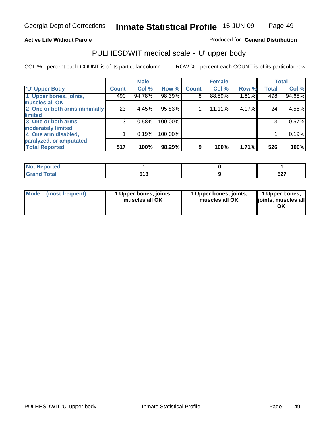#### **Active Life Without Parole**

#### Produced for **General Distribution**

### PULHESDWIT medical scale - 'U' upper body

|                              |              | <b>Male</b> |         |              | <b>Female</b> |       |              | <b>Total</b> |
|------------------------------|--------------|-------------|---------|--------------|---------------|-------|--------------|--------------|
| <b>TU' Upper Body</b>        | <b>Count</b> | Col %       | Row %   | <b>Count</b> | Col %         | Row % | <b>Total</b> | Col %        |
| 1 Upper bones, joints,       | 490          | 94.78%      | 98.39%  | 8            | 88.89%        | 1.61% | 498          | 94.68%       |
| muscles all OK               |              |             |         |              |               |       |              |              |
| 2 One or both arms minimally | 23           | 4.45%       | 95.83%  |              | $11.11\%$     | 4.17% | 24           | 4.56%        |
| limited                      |              |             |         |              |               |       |              |              |
| 3 One or both arms           | 3            | 0.58%       | 100.00% |              |               |       | 3            | 0.57%        |
| moderately limited           |              |             |         |              |               |       |              |              |
| 4 One arm disabled,          |              | 0.19%       | 100.00% |              |               |       |              | 0.19%        |
| paralyzed, or amputated      |              |             |         |              |               |       |              |              |
| <b>Total Reported</b>        | 517          | 100%        | 98.29%  | 9            | 100%          | 1.71% | 526          | 100%         |

| <b>Not Reported</b> |               |            |
|---------------------|---------------|------------|
| <b>Grand Total</b>  | 54 C<br>ס ו כ | ヒヘラ<br>וגס |

| Mode (most frequent) | 1 Upper bones, joints,<br>muscles all OK | 1 Upper bones, joints,<br>muscles all OK | 1 Upper bones,<br>joints, muscles all<br>ОK |
|----------------------|------------------------------------------|------------------------------------------|---------------------------------------------|
|                      |                                          |                                          |                                             |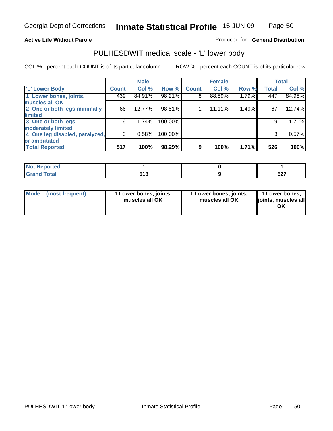#### **Active Life Without Parole**

#### Produced for **General Distribution**

### PULHESDWIT medical scale - 'L' lower body

|                                |              | <b>Male</b> |         |              | <b>Female</b> |       |              | <b>Total</b> |
|--------------------------------|--------------|-------------|---------|--------------|---------------|-------|--------------|--------------|
| 'L' Lower Body                 | <b>Count</b> | Col %       | Row %   | <b>Count</b> | Col %         | Row % | <b>Total</b> | Col %        |
| 1 Lower bones, joints,         | 439          | 84.91%      | 98.21%  | $8^{\circ}$  | 88.89%        | 1.79% | 447          | 84.98%       |
| muscles all OK                 |              |             |         |              |               |       |              |              |
| 2 One or both legs minimally   | 66           | 12.77%      | 98.51%  |              | 11.11%        | 1.49% | 67           | 12.74%       |
| limited                        |              |             |         |              |               |       |              |              |
| 3 One or both legs             | 9            | 1.74%       | 100.00% |              |               |       | 9            | 1.71%        |
| moderately limited             |              |             |         |              |               |       |              |              |
| 4 One leg disabled, paralyzed, | 3            | 0.58%       | 100.00% |              |               |       | 3            | 0.57%        |
| or amputated                   |              |             |         |              |               |       |              |              |
| <b>Total Reported</b>          | 517          | 100%        | 98.29%  | 9            | 100%          | 1.71% | 526          | 100%         |

| <b>Not Reported</b> |     |     |
|---------------------|-----|-----|
| <b>Grand Total</b>  | 518 | 527 |

| <b>Mode</b><br>(most frequent) | 1 Lower bones, joints,<br>muscles all OK | 1 Lower bones, joints,<br>muscles all OK | 1 Lower bones,<br>joints, muscles all<br>OK |
|--------------------------------|------------------------------------------|------------------------------------------|---------------------------------------------|
|--------------------------------|------------------------------------------|------------------------------------------|---------------------------------------------|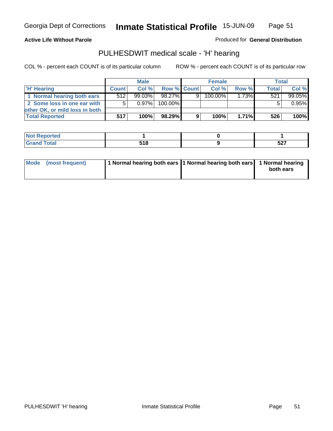**Active Life Without Parole** 

Produced for **General Distribution**

### PULHESDWIT medical scale - 'H' hearing

|                                |              | <b>Male</b> |                    | <b>Female</b> |         |          | <b>Total</b> |        |
|--------------------------------|--------------|-------------|--------------------|---------------|---------|----------|--------------|--------|
| 'H' Hearing                    | <b>Count</b> | Col %       | <b>Row % Count</b> |               | Col %   | Row %    | Total        | Col %  |
| 1 Normal hearing both ears     | 512          | $99.03\%$   | 98.27%             | 9             | 100.00% | $1.73\%$ | 521          | 99.05% |
| 2 Some loss in one ear with    | 5            | $0.97\%$    | 100.00%            |               |         |          |              | 0.95%  |
| other OK, or mild loss in both |              |             |                    |               |         |          |              |        |
| <b>Total Reported</b>          | 517          | 100%        | 98.29%             |               | 100%    | 1.71%    | 526          | 100%   |

| <b>NIAL DA</b><br><b>information</b><br>. |                     |     |
|-------------------------------------------|---------------------|-----|
| $T = 4 - 1$<br>C <sub>uc</sub><br>_____   | <b>E40</b><br>J I U | 527 |

| Mode (most frequent) | 1 Normal hearing both ears 1 Normal hearing both ears 1 Normal hearing | both ears |
|----------------------|------------------------------------------------------------------------|-----------|
|                      |                                                                        |           |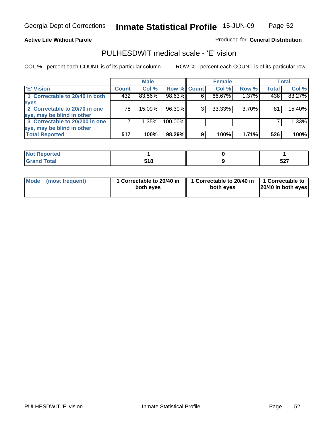#### **Active Life Without Parole**

Produced for **General Distribution**

### PULHESDWIT medical scale - 'E' vision

|                                |       | <b>Male</b> |             |   | <b>Female</b> |          |              | Total  |
|--------------------------------|-------|-------------|-------------|---|---------------|----------|--------------|--------|
| <b>E' Vision</b>               | Count | Col %       | Row % Count |   | Col %         | Row %    | <b>Total</b> | Col %  |
| 1 Correctable to 20/40 in both | 432   | 83.56%      | 98.63%      | 6 | 66.67%        | 1.37%    | 438          | 83.27% |
| eyes                           |       |             |             |   |               |          |              |        |
| 2 Correctable to 20/70 in one  | 78    | $15.09\%$   | 96.30%      |   | 33.33%        | $3.70\%$ | 81           | 15.40% |
| eye, may be blind in other     |       |             |             |   |               |          |              |        |
| 3 Correctable to 20/200 in one |       | $1.35\%$    | 100.00%     |   |               |          |              | 1.33%  |
| eye, may be blind in other     |       |             |             |   |               |          |              |        |
| <b>Total Reported</b>          | 517   | 100%        | 98.29%      | 9 | 100%          | 1.71%    | 526          | 100%   |

| المتحدثة والمسار<br>τeα<br>. |             |                            |
|------------------------------|-------------|----------------------------|
| $f = 4 - 7$                  | 64 C<br>. . | $F \wedge T$<br><b>JZ1</b> |

| Mode (most frequent) | 1 Correctable to 20/40 in<br>both eyes | 1 Correctable to 20/40 in   1 Correctable to<br>both eves | 20/40 in both eyes |
|----------------------|----------------------------------------|-----------------------------------------------------------|--------------------|
|----------------------|----------------------------------------|-----------------------------------------------------------|--------------------|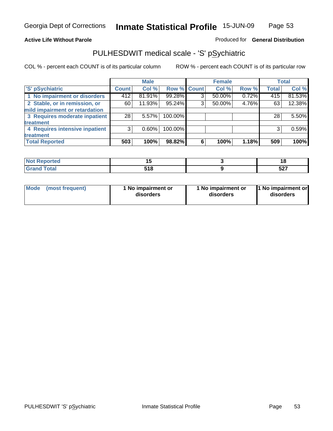#### **Active Life Without Parole**

#### Produced for **General Distribution**

### PULHESDWIT medical scale - 'S' pSychiatric

|                                |              | <b>Male</b> |             |   | <b>Female</b> |       |              | <b>Total</b> |
|--------------------------------|--------------|-------------|-------------|---|---------------|-------|--------------|--------------|
| 'S' pSychiatric                | <b>Count</b> | Col %       | Row % Count |   | Col %         | Row % | <b>Total</b> | Col %        |
| 1 No impairment or disorders   | 412          | 81.91%      | 99.28%      | ◠ | 50.00%        | 0.72% | 415          | 81.53%       |
| 2 Stable, or in remission, or  | 60           | 11.93%      | 95.24%      | 3 | 50.00%        | 4.76% | 63           | 12.38%       |
| mild impairment or retardation |              |             |             |   |               |       |              |              |
| 3 Requires moderate inpatient  | 28           | $5.57\%$    | 100.00%     |   |               |       | 28           | 5.50%        |
| <b>treatment</b>               |              |             |             |   |               |       |              |              |
| 4 Requires intensive inpatient | 3            | $0.60\%$    | 100.00%     |   |               |       | 3            | 0.59%        |
| treatment                      |              |             |             |   |               |       |              |              |
| <b>Total Reported</b>          | 503          | 100%        | 98.82%      | 6 | 100%          | 1.18% | 509          | 100%         |

| Reported     |     | יי             |
|--------------|-----|----------------|
| <b>Total</b> | --- | E <sub>2</sub> |
| -----        | . . | JZ 1           |

| Mode | (most frequent) | 1 No impairment or<br>disorders | 1 No impairment or<br>disorders | 11 No impairment or<br>disorders |
|------|-----------------|---------------------------------|---------------------------------|----------------------------------|
|------|-----------------|---------------------------------|---------------------------------|----------------------------------|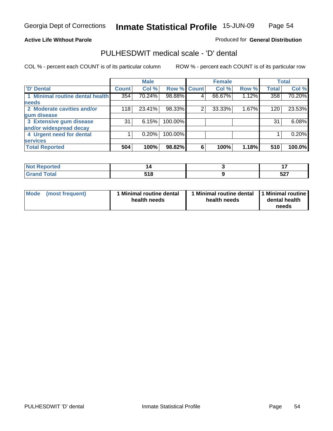#### **Active Life Without Parole**

#### Produced for **General Distribution**

### PULHESDWIT medical scale - 'D' dental

|                                 |              | <b>Male</b> |                    |   | <b>Female</b> |       |              | <b>Total</b> |
|---------------------------------|--------------|-------------|--------------------|---|---------------|-------|--------------|--------------|
| 'D' Dental                      | <b>Count</b> | Col %       | <b>Row % Count</b> |   | Col %         | Row % | <b>Total</b> | Col %        |
| 1 Minimal routine dental health | 354          | 70.24%      | 98.88%             | 4 | 66.67%        | 1.12% | 358          | 70.20%       |
| <b>needs</b>                    |              |             |                    |   |               |       |              |              |
| 2 Moderate cavities and/or      | 118          | 23.41%      | 98.33%             | 2 | 33.33%        | 1.67% | 120          | 23.53%       |
| gum disease                     |              |             |                    |   |               |       |              |              |
| 3 Extensive gum disease         | 31           | 6.15%       | 100.00%            |   |               |       | 31           | 6.08%        |
| and/or widespread decay         |              |             |                    |   |               |       |              |              |
| 4 Urgent need for dental        |              | 0.20%       | 100.00%            |   |               |       |              | 0.20%        |
| <b>services</b>                 |              |             |                    |   |               |       |              |              |
| <b>Total Reported</b>           | 504          | 100%        | 98.82%             | 6 | 100%          | 1.18% | 510          | 100.0%       |

| <b>Not Reported</b>  |       | . .            |
|----------------------|-------|----------------|
| $\overline{a}$ Total | E4 C  | E <sub>2</sub> |
| Crops                | ၁ ၊ ဝ | <b>JZI</b>     |

| <b>Mode</b><br>(most frequent) | <b>Minimal routine dental</b><br>health needs | 1 Minimal routine dental<br>health needs | 1 Minimal routine  <br>dental health<br>needs |
|--------------------------------|-----------------------------------------------|------------------------------------------|-----------------------------------------------|
|--------------------------------|-----------------------------------------------|------------------------------------------|-----------------------------------------------|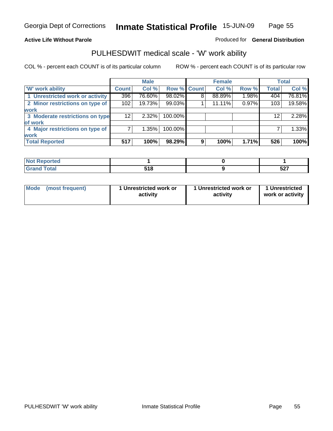#### **Active Life Without Parole**

#### Produced for **General Distribution**

### PULHESDWIT medical scale - 'W' work ability

|                                 |              | <b>Male</b> |             |   | <b>Female</b> |       |              | <b>Total</b> |
|---------------------------------|--------------|-------------|-------------|---|---------------|-------|--------------|--------------|
| <b>W</b> work ability           | <b>Count</b> | Col %       | Row % Count |   | Col %         | Row % | <b>Total</b> | Col %        |
| 1 Unrestricted work or activity | 396          | 76.60%      | 98.02%      | 8 | 88.89%        | 1.98% | 404          | 76.81%       |
| 2 Minor restrictions on type of | 102          | 19.73%      | 99.03%      |   | 11.11%        | 0.97% | 103          | 19.58%       |
| <b>work</b>                     |              |             |             |   |               |       |              |              |
| 3 Moderate restrictions on type | 12           | $2.32\%$    | 100.00%     |   |               |       | 12           | 2.28%        |
| of work                         |              |             |             |   |               |       |              |              |
| 4 Major restrictions on type of |              | 1.35%       | 100.00%     |   |               |       |              | 1.33%        |
| <b>work</b>                     |              |             |             |   |               |       |              |              |
| <b>Total Reported</b>           | 517          | 100%        | 98.29%      | 9 | 100%          | 1.71% | 526          | 100%         |

| 'ted             |       |     |
|------------------|-------|-----|
| <b>Total</b>     | E 4 C | ヒヘフ |
| $\mathbf{v}$ and | . .   | JZI |

| Mode            | 1 Unrestricted work or |  | 1 Unrestricted   |
|-----------------|------------------------|--|------------------|
| (most frequent) | activity               |  | work or activity |
|                 |                        |  |                  |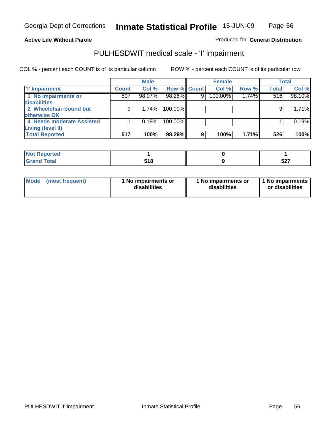Page 56

#### **Active Life Without Parole**

### Produced for **General Distribution**

### PULHESDWIT medical scale - 'I' impairment

|                           |              | <b>Male</b> |             |   | <b>Female</b> |       |              | <b>Total</b> |
|---------------------------|--------------|-------------|-------------|---|---------------|-------|--------------|--------------|
| <b>T' Impairment</b>      | <b>Count</b> | Col %       | Row % Count |   | Col %         | Row % | <b>Total</b> | Col %        |
| 1 No impairments or       | 507          | 98.07%      | 98.26%      | 9 | 100.00%       | 1.74% | 516          | 98.10%       |
| disabilities              |              |             |             |   |               |       |              |              |
| 2 Wheelchair-bound but    |              | 1.74%       | 100.00%     |   |               |       |              | 1.71%        |
| otherwise OK              |              |             |             |   |               |       |              |              |
| 4 Needs moderate Assisted |              | 0.19%       | $100.00\%$  |   |               |       |              | 0.19%        |
| Living (level II)         |              |             |             |   |               |       |              |              |
| <b>Total Reported</b>     | 517          | 100%        | 98.29%      | 9 | 100%          | 1.71% | 526          | 100%         |

| eported      |             |             |
|--------------|-------------|-------------|
| <b>cotal</b> | E4 O<br>JIU | -07<br>JZ I |

| <b>Mode</b> | (most frequent) | 1 No impairments or<br>disabilities | 1 No impairments or<br>disabilities | 1 1 No impairments<br>or disabilities |
|-------------|-----------------|-------------------------------------|-------------------------------------|---------------------------------------|
|-------------|-----------------|-------------------------------------|-------------------------------------|---------------------------------------|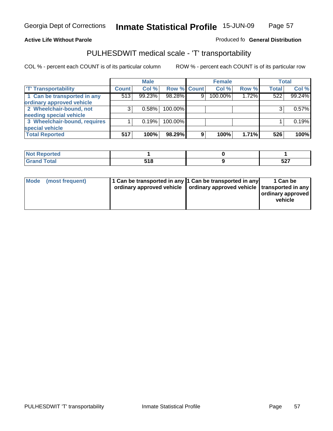#### **Inmate Statistical Profile** 15-JUN-09 Page Page 57

#### **Active Life Without Parole Produced fo Seneral Distribution**

### PULHESDWIT medical scale - 'T' transportability

|                              |              | <b>Male</b> |             |   | <b>Female</b> |       |              | <b>Total</b> |
|------------------------------|--------------|-------------|-------------|---|---------------|-------|--------------|--------------|
| <b>T' Transportability</b>   | <b>Count</b> | Col %       | Row % Count |   | Col %         | Row % | <b>Total</b> | Col %        |
| 1 Can be transported in any  | 513          | 99.23%      | 98.28%      | 9 | 100.00%       | 1.72% | 522          | 99.24%       |
| ordinary approved vehicle    |              |             |             |   |               |       |              |              |
| 2 Wheelchair-bound, not      | 3            | 0.58%       | 100.00%     |   |               |       |              | 0.57%        |
| needing special vehicle      |              |             |             |   |               |       |              |              |
| 3 Wheelchair-bound, requires |              | 0.19%       | 100.00%     |   |               |       |              | 0.19%        |
| special vehicle              |              |             |             |   |               |       |              |              |
| <b>Total Reported</b>        | 517          | 100%        | 98.29%      | 9 | 100%          | 1.71% | 526          | 100%         |

| <b>Peported</b><br>$\cdot$ Not $\cdot$<br>$\cdots$ |                      |             |
|----------------------------------------------------|----------------------|-------------|
| $\sim$ $\sim$ $\sim$ $\sim$ $\sim$                 | E 4 O<br>JIU<br>$ -$ | -^-<br>JL 1 |

|  |  | Mode (most frequent) | 1 Can be transported in any 1 Can be transported in any | ordinary approved vehicle   ordinary approved vehicle   transported in any | 1 Can be<br>  ordinary approved<br>vehicle |
|--|--|----------------------|---------------------------------------------------------|----------------------------------------------------------------------------|--------------------------------------------|
|--|--|----------------------|---------------------------------------------------------|----------------------------------------------------------------------------|--------------------------------------------|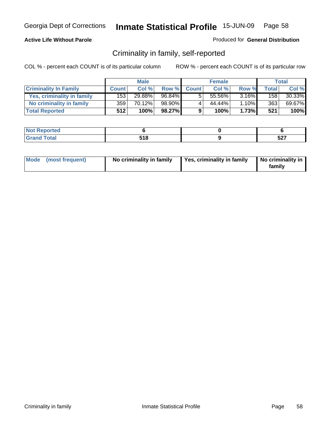#### **Active Life Without Parole**

#### Produced for **General Distribution**

### Criminality in family, self-reported

|                              | <b>Male</b>      |        | <b>Female</b> |              |        | Total    |       |        |
|------------------------------|------------------|--------|---------------|--------------|--------|----------|-------|--------|
| <b>Criminality In Family</b> | <b>Count</b>     | Col %  | Row %         | <b>Count</b> | Col %  | Row %    | Total | Col %  |
| Yes, criminality in family   | 1531             | 29.88% | 96.84%        | 5            | 55.56% | $3.16\%$ | 158   | 30.33% |
| No criminality in family     | 359 <sup>1</sup> | 70.12% | 98.90%        | 4            | 44.44% | $1.10\%$ | 363   | 69.67% |
| <b>Total Reported</b>        | 512              | 100%   | 98.27%        | 9            | 100%   | 1.73%    | 521   | 100%   |

| <b>Not</b><br>' Reported      |            |             |
|-------------------------------|------------|-------------|
| <b>otal</b><br>Gran<br>$\sim$ | $-40$<br>. | -07<br>JL 1 |

|  | Mode (most frequent) | No criminality in family | Yes, criminality in family | No criminality in<br>family |
|--|----------------------|--------------------------|----------------------------|-----------------------------|
|--|----------------------|--------------------------|----------------------------|-----------------------------|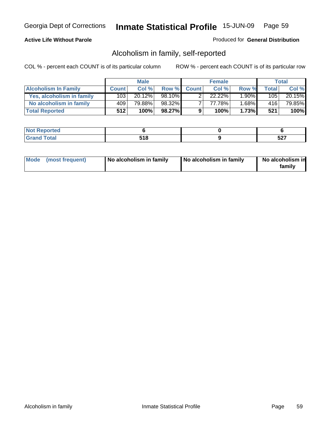#### **Active Life Without Parole**

### Produced for **General Distribution**

### Alcoholism in family, self-reported

|                             | <b>Male</b>  |        | <b>Female</b> |              |        | Total    |        |        |
|-----------------------------|--------------|--------|---------------|--------------|--------|----------|--------|--------|
| <b>Alcoholism In Family</b> | <b>Count</b> | Col %  | Row %         | <b>Count</b> | Col %  | Row %    | Totall | Col %  |
| Yes, alcoholism in family   | 103          | 20.12% | 98.10%        |              | 22.22% | $1.90\%$ | 105    | 20.15% |
| No alcoholism in family     | 409          | 79.88% | 98.32%        |              | 77.78% | $1.68\%$ | 416    | 79.85% |
| <b>Total Reported</b>       | 512          | 100%   | $98.27\%$     | 9            | 100%   | 1.73%    | 521    | 100%   |

| .              |                       |            |
|----------------|-----------------------|------------|
| $\cdots$<br>-- | 54 O<br>. . U<br>$ -$ | -^-<br>JLI |

|  | Mode (most frequent) | No alcoholism in family | No alcoholism in family | No alcoholism in<br>familv |
|--|----------------------|-------------------------|-------------------------|----------------------------|
|--|----------------------|-------------------------|-------------------------|----------------------------|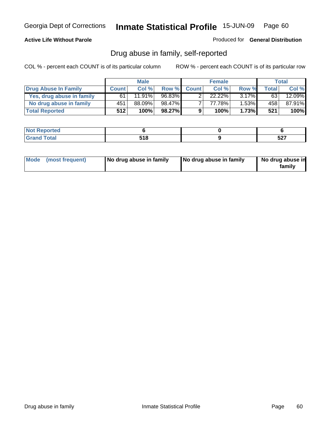#### **Active Life Without Parole**

Produced for **General Distribution**

### Drug abuse in family, self-reported

|                           | <b>Male</b>  |        | <b>Female</b> |              |        | Total    |       |           |
|---------------------------|--------------|--------|---------------|--------------|--------|----------|-------|-----------|
| Drug Abuse In Family      | <b>Count</b> | Col %  | Row %         | <b>Count</b> | Col %  | Row %    | Total | Col %     |
| Yes, drug abuse in family | 61           | 11.91% | 96.83%        |              | 22.22% | $3.17\%$ | 63    | $12.09\%$ |
| No drug abuse in family   | 451          | 88.09% | 98.47%        |              | 77.78% | $1.53\%$ | 458   | 87.91%    |
| <b>Total Reported</b>     | 512          | 100%   | 98.27%        | 9            | 100%   | 1.73%    | 521   | 100%      |

| ام د قب<br>ontea |       |     |
|------------------|-------|-----|
| <b>Total</b>     | $-40$ | ヒヘラ |
| $\sim$           | JIU   | JLI |

|  | Mode (most frequent) | No drug abuse in family | No drug abuse in family | No drug abuse in<br>family |
|--|----------------------|-------------------------|-------------------------|----------------------------|
|--|----------------------|-------------------------|-------------------------|----------------------------|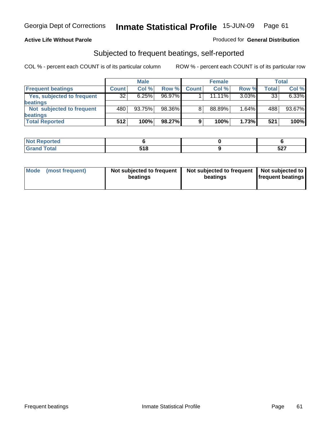#### **Active Life Without Parole**

#### Produced for **General Distribution**

### Subjected to frequent beatings, self-reported

|                                   |              | <b>Male</b> |        |              | <b>Female</b> |          |       | <b>Total</b> |
|-----------------------------------|--------------|-------------|--------|--------------|---------------|----------|-------|--------------|
| <b>Frequent beatings</b>          | <b>Count</b> | Col%        | Row %  | <b>Count</b> | Col%          | Row %    | Total | Col %        |
| <b>Yes, subjected to frequent</b> | 32           | 6.25%       | 96.97% |              | $11.11\%$     | $3.03\%$ | 33    | 6.33%        |
| beatings                          |              |             |        |              |               |          |       |              |
| Not subjected to frequent         | 480          | 93.75%      | 98.36% | 8            | 88.89%        | 1.64%    | 488   | 93.67%       |
| beatings                          |              |             |        |              |               |          |       |              |
| <b>Total Reported</b>             | 512          | 100%        | 98.27% | 9            | 100%          | 1.73%    | 521   | 100%         |

| Not Reported<br>$\sim$ . The set of $\sim$ |      |            |
|--------------------------------------------|------|------------|
| <b>Total</b>                               | E4 O | ヒヘラ        |
| Cron.                                      | . .  | <b>JZI</b> |

| <b>Mode</b> | (most frequent) | Not subjected to frequent<br>beatings | Not subjected to frequent<br>beatings | Not subjected to<br><b>frequent beatings</b> |
|-------------|-----------------|---------------------------------------|---------------------------------------|----------------------------------------------|
|             |                 |                                       |                                       |                                              |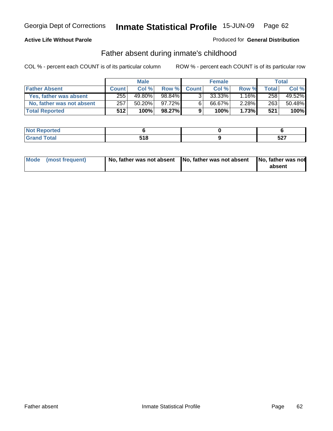#### **Active Life Without Parole**

#### Produced for **General Distribution**

### Father absent during inmate's childhood

|                           | <b>Male</b>  |           |           | <b>Female</b> |           |          | Total |        |
|---------------------------|--------------|-----------|-----------|---------------|-----------|----------|-------|--------|
| <b>Father Absent</b>      | <b>Count</b> | Col %     | Row %     | <b>Count</b>  | Col%      | Row %    | Total | Col %  |
| Yes, father was absent    | 255          | 49.80%    | 98.84%    | 3             | $33.33\%$ | .16%     | 258   | 49.52% |
| No, father was not absent | 257          | $50.20\%$ | 97.72%    | 6             | 66.67%    | $2.28\%$ | 263   | 50.48% |
| <b>Total Reported</b>     | 512          | 100%      | $98.27\%$ | 9             | 100%      | 1.73%    | 521   | 100%   |

| <b>Not</b><br>' Reported      |            |             |
|-------------------------------|------------|-------------|
| <b>otal</b><br>Gran<br>$\sim$ | $-40$<br>. | -07<br>JL 1 |

| Mode (most frequent) | No, father was not absent No, father was not absent | No, father was not<br>absent |
|----------------------|-----------------------------------------------------|------------------------------|
|----------------------|-----------------------------------------------------|------------------------------|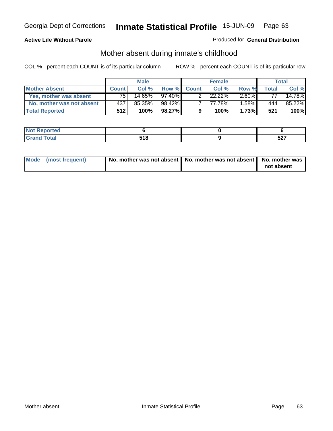### **Active Life Without Parole**

#### Produced for **General Distribution**

### Mother absent during inmate's childhood

|                           | <b>Male</b>  |        |           | <b>Female</b> |           |          | Total |        |
|---------------------------|--------------|--------|-----------|---------------|-----------|----------|-------|--------|
| <b>Mother Absent</b>      | <b>Count</b> | Col %  | Row %     | <b>Count</b>  | Col%      | Row %    | Total | Col %  |
| Yes, mother was absent    | 75.          | 14.65% | $97.40\%$ | ົ             | $22.22\%$ | $2.60\%$ | 77    | 14.78% |
| No, mother was not absent | 437          | 85.35% | 98.42%    |               | 77.78%    | 1.58%    | 444   | 85.22% |
| <b>Total Reported</b>     | 512          | 100%   | 98.27%    | 9             | 100%      | 1.73%    | 521   | 100%   |

| ام د قب<br>ontea |       |     |
|------------------|-------|-----|
| <b>Total</b>     | $-40$ | ヒヘラ |
| $\sim$           | JIU   | JLI |

| Mode (most frequent) | No, mother was not absent $\vert$ No, mother was not absent $\vert$ No, mother was | not absent |
|----------------------|------------------------------------------------------------------------------------|------------|
|                      |                                                                                    |            |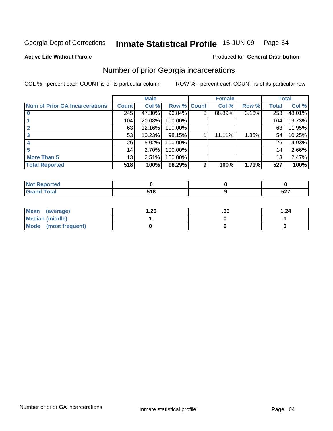#### **Active Life Without Parole**

#### Produced for **General Distribution**

## Number of prior Georgia incarcerations

|                                       | <b>Male</b>  |        |                    |   | <b>Female</b> | <b>Total</b> |       |        |
|---------------------------------------|--------------|--------|--------------------|---|---------------|--------------|-------|--------|
| <b>Num of Prior GA Incarcerations</b> | <b>Count</b> | Col %  | <b>Row % Count</b> |   | Col %         | Row %        | Total | Col %  |
|                                       | 245          | 47.30% | 96.84%             | 8 | 88.89%        | 3.16%        | 253   | 48.01% |
|                                       | 104          | 20.08% | 100.00%            |   |               |              | 104   | 19.73% |
|                                       | 63           | 12.16% | 100.00%            |   |               |              | 63    | 11.95% |
|                                       | 53           | 10.23% | 98.15%             |   | 11.11%        | 1.85%        | 54    | 10.25% |
|                                       | 26           | 5.02%  | 100.00%            |   |               |              | 26    | 4.93%  |
| 5                                     | 14           | 2.70%  | 100.00%            |   |               |              | 14    | 2.66%  |
| <b>More Than 5</b>                    | 13           | 2.51%  | 100.00%            |   |               |              | 13    | 2.47%  |
| <b>Total Reported</b>                 | 518          | 100%   | 98.29%             | 9 | 100%          | 1.71%        | 527   | 100%   |

| -<br>ж |               |            |  |  |
|--------|---------------|------------|--|--|
|        | 2 I V<br>$ -$ | ヒヘラ<br>JZI |  |  |

| Mean (average)       | 1.26 | . JJ | 1.24 |
|----------------------|------|------|------|
| Median (middle)      |      |      |      |
| Mode (most frequent) |      |      |      |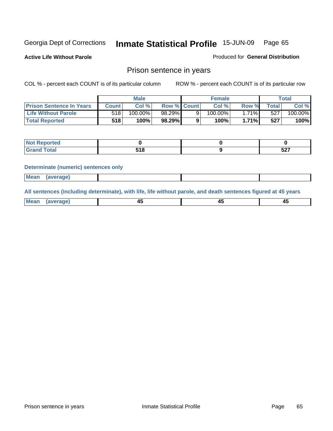**Active Life Without Parole** 

Produced for **General Distribution**

### Prison sentence in years

COL % - percent each COUNT is of its particular column ROW % - percent each COUNT is of its particular row

|                                 | <b>Male</b> |         |                    | <b>Female</b> |            |              | Total       |         |
|---------------------------------|-------------|---------|--------------------|---------------|------------|--------------|-------------|---------|
| <b>Prison Sentence In Years</b> | Count l     | Col %   | <b>Row % Count</b> |               | Col %      | Row %        | $\tau$ otal | Col %   |
| <b>Life Without Parole</b>      | 5181        | 100.00% | 98.29%             |               | $100.00\%$ | 71% <b>I</b> | 527         | 100.00% |
| <b>Total Reported</b>           | 518         | 100%    | 98.29%             |               | 100%       | 1.71%        | 527         | 100%    |

| 'eported                                         |             |                          |  |
|--------------------------------------------------|-------------|--------------------------|--|
| <b>c</b> otal<br>Gra<br>$\sim$ . $\sim$ . $\sim$ | 74 O<br>JIU | $F^{\sim}$<br><b>JZ1</b> |  |

#### **Determinate (numeric) sentences only**

| ---- | <b>Mean</b> | (average) |  |  |
|------|-------------|-----------|--|--|

**All sentences (including determinate), with life, life without parole, and death sentences figured at 45 years**

| M <sub>PA</sub><br><del>.</del> | rane | ᠇<br>$\sim$ | $\sim$ | т.<br>__ |
|---------------------------------|------|-------------|--------|----------|
|                                 |      |             |        |          |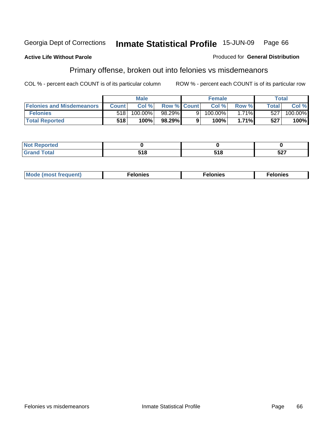#### **Active Life Without Parole**

#### Produced for **General Distribution**

## Primary offense, broken out into felonies vs misdemeanors

|                                  | <b>Male</b>  |         | <b>Female</b>      |  |         | Total |       |         |
|----------------------------------|--------------|---------|--------------------|--|---------|-------|-------|---------|
| <b>Felonies and Misdemeanors</b> | <b>Count</b> | Col%    | <b>Row % Count</b> |  | Col%    | Row % | Total | Col %   |
| <b>Felonies</b>                  | 518          | 100.00% | 98.29%             |  | 100.00% | 1.71% | 527   | 100.00% |
| <b>Total Reported</b>            | 518          | 100%    | 98.29%)            |  | 100%    | 1.71% | 527   | 100%    |

| <b>Not Reported</b><br>. |        |       |            |  |
|--------------------------|--------|-------|------------|--|
| <b>ctal</b><br>Gran      | , , ., | ס ו כ | ドクブ<br>ง∠เ |  |

| M <sub>c</sub><br>nies<br>-107<br>. | onies<br>. | . |
|-------------------------------------|------------|---|
|-------------------------------------|------------|---|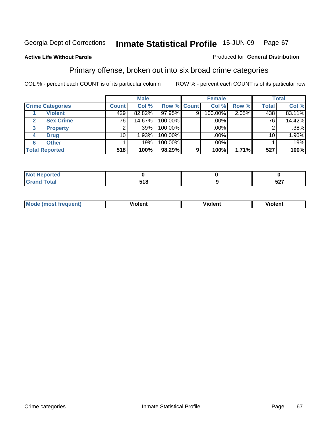### **Active Life Without Parole**

#### Produced for **General Distribution**

### Primary offense, broken out into six broad crime categories

|                         | <b>Male</b>  |        | <b>Female</b>      |   |         | <b>Total</b> |              |        |
|-------------------------|--------------|--------|--------------------|---|---------|--------------|--------------|--------|
| <b>Crime Categories</b> | <b>Count</b> | Col %  | <b>Row % Count</b> |   | Col %   | Row %        | <b>Total</b> | Col %  |
| <b>Violent</b>          | 429          | 82.82% | $97.95\%$          | 9 | 100.00% | 2.05%        | 438          | 83.11% |
| <b>Sex Crime</b>        | 76           | 14.67% | 100.00%            |   | .00%    |              | 76           | 14.42% |
| <b>Property</b><br>3    |              | .39%   | 100.00%            |   | .00%    |              |              | .38%   |
| <b>Drug</b><br>4        | 10           | 1.93%  | 100.00%            |   | .00%    |              | 10           | 1.90%  |
| <b>Other</b><br>6       |              | .19%   | 100.00%            |   | .00%    |              |              | .19%   |
| <b>Total Reported</b>   | 518          | 100%   | 98.29%             | 9 | 100%    | 1.71%        | 527          | 100%   |

| Reported<br>NOI<br>$\sim$ |     |     |
|---------------------------|-----|-----|
| <b>Total</b><br>Grand     | 518 | 527 |

| Mo | .<br>---<br>-------- | ∆len′ |  |
|----|----------------------|-------|--|
|    |                      |       |  |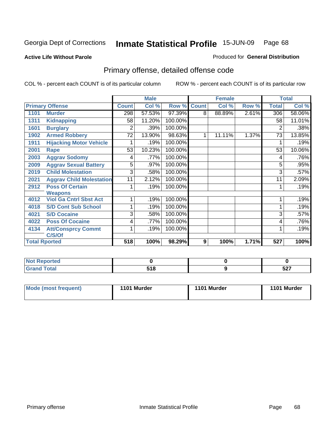#### **Active Life Without Parole**

### Produced for **General Distribution**

## Primary offense, detailed offense code

|      |                                 |                 | <b>Male</b> |         |              | <b>Female</b> |       |              | <b>Total</b> |
|------|---------------------------------|-----------------|-------------|---------|--------------|---------------|-------|--------------|--------------|
|      | <b>Primary Offense</b>          | <b>Count</b>    | Col %       | Row %   | <b>Count</b> | Col %         | Row % | <b>Total</b> | Col %        |
| 1101 | <b>Murder</b>                   | 298             | 57.53%      | 97.39%  | 8            | 88.89%        | 2.61% | 306          | 58.06%       |
| 1311 | <b>Kidnapping</b>               | 58              | 11.20%      | 100.00% |              |               |       | 58           | $11.01\%$    |
| 1601 | <b>Burglary</b>                 | 2               | .39%        | 100.00% |              |               |       | 2            | .38%         |
| 1902 | <b>Armed Robbery</b>            | $\overline{72}$ | 13.90%      | 98.63%  | 1            | 11.11%        | 1.37% | 73           | 13.85%       |
| 1911 | <b>Hijacking Motor Vehicle</b>  |                 | .19%        | 100.00% |              |               |       |              | .19%         |
| 2001 | <b>Rape</b>                     | 53              | 10.23%      | 100.00% |              |               |       | 53           | 10.06%       |
| 2003 | <b>Aggrav Sodomy</b>            | 4               | .77%        | 100.00% |              |               |       | 4            | .76%         |
| 2009 | <b>Aggrav Sexual Battery</b>    | 5               | .97%        | 100.00% |              |               |       | 5            | .95%         |
| 2019 | <b>Child Molestation</b>        | $\overline{3}$  | .58%        | 100.00% |              |               |       | 3            | .57%         |
| 2021 | <b>Aggrav Child Molestation</b> | 11              | 2.12%       | 100.00% |              |               |       | 11           | 2.09%        |
| 2912 | <b>Poss Of Certain</b>          |                 | .19%        | 100.00% |              |               |       |              | .19%         |
|      | <b>Weapons</b>                  |                 |             |         |              |               |       |              |              |
| 4012 | <b>Viol Ga Cntrl Sbst Act</b>   |                 | .19%        | 100.00% |              |               |       |              | .19%         |
| 4018 | <b>S/D Cont Sub School</b>      |                 | .19%        | 100.00% |              |               |       |              | .19%         |
| 4021 | <b>S/D Cocaine</b>              | 3               | .58%        | 100.00% |              |               |       | 3            | .57%         |
| 4022 | <b>Poss Of Cocaine</b>          | 4               | .77%        | 100.00% |              |               |       | 4            | .76%         |
| 4134 | <b>Att/Consprcy Commt</b>       |                 | .19%        | 100.00% |              |               |       |              | .19%         |
|      | C/S/Of                          |                 |             |         |              |               |       |              |              |
|      | <b>Total Rported</b>            | 518             | 100%        | 98.29%  | 9            | 100%          | 1.71% | 527          | 100%         |

| oorted<br>NOT.<br>                                         |                        |            |
|------------------------------------------------------------|------------------------|------------|
| $\sim$ $\sim$ $\sim$<br>$\sim$ $\sim$ $\sim$ $\sim$ $\sim$ | E 4 C<br>J I U<br>$ -$ | -^-<br>JLI |

| Mode (most frequent) | 1101 Murder | 1101 Murder | 1101 Murder |
|----------------------|-------------|-------------|-------------|
|----------------------|-------------|-------------|-------------|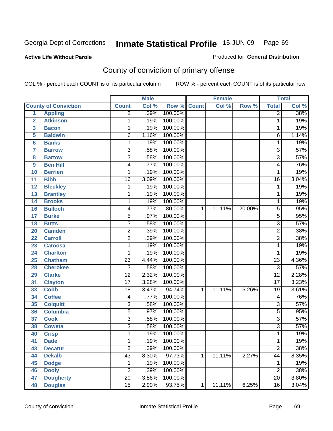#### **Active Life Without Parole**

### Produced for **General Distribution**

## County of conviction of primary offense

|                |                             |                 | <b>Male</b> |         | <b>Female</b> |        | <b>Total</b> |                 |       |
|----------------|-----------------------------|-----------------|-------------|---------|---------------|--------|--------------|-----------------|-------|
|                | <b>County of Conviction</b> | <b>Count</b>    | Col %       | Row %   | <b>Count</b>  | Col %  | Row %        | <b>Total</b>    | Col % |
| $\overline{1}$ | <b>Appling</b>              | $\overline{2}$  | .39%        | 100.00% |               |        |              | $\overline{2}$  | .38%  |
| $\overline{2}$ | <b>Atkinson</b>             | 1               | .19%        | 100.00% |               |        |              | 1               | .19%  |
| 3              | <b>Bacon</b>                | 1               | .19%        | 100.00% |               |        |              | 1               | .19%  |
| 5              | <b>Baldwin</b>              | $\overline{6}$  | 1.16%       | 100.00% |               |        |              | $\overline{6}$  | 1.14% |
| 6              | <b>Banks</b>                | 1               | .19%        | 100.00% |               |        |              | $\mathbf{1}$    | .19%  |
| 7              | <b>Barrow</b>               | $\overline{3}$  | .58%        | 100.00% |               |        |              | $\overline{3}$  | .57%  |
| 8              | <b>Bartow</b>               | $\overline{3}$  | .58%        | 100.00% |               |        |              | $\overline{3}$  | .57%  |
| 9              | <b>Ben Hill</b>             | 4               | .77%        | 100.00% |               |        |              | 4               | .76%  |
| 10             | <b>Berrien</b>              | 1               | .19%        | 100.00% |               |        |              | 1               | .19%  |
| 11             | <b>Bibb</b>                 | $\overline{16}$ | 3.09%       | 100.00% |               |        |              | $\overline{16}$ | 3.04% |
| 12             | <b>Bleckley</b>             | 1               | .19%        | 100.00% |               |        |              | 1               | .19%  |
| 13             | <b>Brantley</b>             | 1               | .19%        | 100.00% |               |        |              | $\mathbf{1}$    | .19%  |
| 14             | <b>Brooks</b>               | 1               | .19%        | 100.00% |               |        |              | $\mathbf{1}$    | .19%  |
| 16             | <b>Bulloch</b>              | 4               | .77%        | 80.00%  | 1             | 11.11% | 20.00%       | $\overline{5}$  | .95%  |
| 17             | <b>Burke</b>                | $\overline{5}$  | .97%        | 100.00% |               |        |              | $\overline{5}$  | .95%  |
| 18             | <b>Butts</b>                | $\overline{3}$  | .58%        | 100.00% |               |        |              | $\overline{3}$  | .57%  |
| 20             | <b>Camden</b>               | $\overline{c}$  | .39%        | 100.00% |               |        |              | $\overline{2}$  | .38%  |
| 22             | <b>Carroll</b>              | $\overline{2}$  | .39%        | 100.00% |               |        |              | $\overline{2}$  | .38%  |
| 23             | <b>Catoosa</b>              | 1               | .19%        | 100.00% |               |        |              | $\mathbf{1}$    | .19%  |
| 24             | <b>Charlton</b>             | 1               | .19%        | 100.00% |               |        |              | 1               | .19%  |
| 25             | <b>Chatham</b>              | $\overline{23}$ | 4.44%       | 100.00% |               |        |              | $\overline{23}$ | 4.36% |
| 28             | <b>Cherokee</b>             | $\overline{3}$  | .58%        | 100.00% |               |        |              | $\overline{3}$  | .57%  |
| 29             | <b>Clarke</b>               | $\overline{12}$ | 2.32%       | 100.00% |               |        |              | $\overline{12}$ | 2.28% |
| 31             | <b>Clayton</b>              | $\overline{17}$ | 3.28%       | 100.00% |               |        |              | $\overline{17}$ | 3.23% |
| 33             | <b>Cobb</b>                 | $\overline{18}$ | 3.47%       | 94.74%  | $\mathbf{1}$  | 11.11% | 5.26%        | $\overline{19}$ | 3.61% |
| 34             | <b>Coffee</b>               | 4               | .77%        | 100.00% |               |        |              | 4               | .76%  |
| 35             | <b>Colquitt</b>             | $\overline{3}$  | .58%        | 100.00% |               |        |              | $\overline{3}$  | .57%  |
| 36             | <b>Columbia</b>             | $\overline{5}$  | .97%        | 100.00% |               |        |              | $\overline{5}$  | .95%  |
| 37             | <b>Cook</b>                 | $\overline{3}$  | .58%        | 100.00% |               |        |              | $\overline{3}$  | .57%  |
| 38             | <b>Coweta</b>               | $\overline{3}$  | .58%        | 100.00% |               |        |              | $\overline{3}$  | .57%  |
| 40             | <b>Crisp</b>                | 1               | .19%        | 100.00% |               |        |              | 1               | .19%  |
| 41             | <b>Dade</b>                 | 1               | .19%        | 100.00% |               |        |              | 1               | .19%  |
| 43             | <b>Decatur</b>              | $\overline{2}$  | .39%        | 100.00% |               |        |              | $\overline{2}$  | .38%  |
| 44             | <b>Dekalb</b>               | $\overline{43}$ | 8.30%       | 97.73%  | $\mathbf{1}$  | 11.11% | 2.27%        | 44              | 8.35% |
| 45             | <b>Dodge</b>                | 1               | .19%        | 100.00% |               |        |              | 1               | .19%  |
| 46             | <b>Dooly</b>                | $\overline{2}$  | .39%        | 100.00% |               |        |              | $\overline{c}$  | .38%  |
| 47             | <b>Dougherty</b>            | $\overline{20}$ | 3.86%       | 100.00% |               |        |              | $\overline{20}$ | 3.80% |
| 48             | <b>Douglas</b>              | 15              | 2.90%       | 93.75%  | $\mathbf 1$   | 11.11% | 6.25%        | 16              | 3.04% |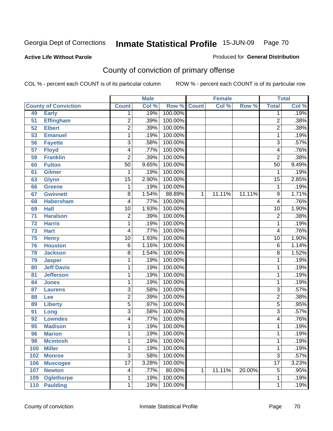Produced for **General Distribution**

### **Active Life Without Parole**

# County of conviction of primary offense

|     |                             |                 | <b>Male</b> |             | <b>Female</b> |        |        | <b>Total</b>            |       |
|-----|-----------------------------|-----------------|-------------|-------------|---------------|--------|--------|-------------------------|-------|
|     | <b>County of Conviction</b> | <b>Count</b>    | Col %       | Row % Count |               | Col %  | Row %  | <b>Total</b>            | Col % |
| 49  | <b>Early</b>                | 1               | .19%        | 100.00%     |               |        |        | 1                       | .19%  |
| 51  | <b>Effingham</b>            | $\overline{c}$  | .39%        | 100.00%     |               |        |        | $\overline{2}$          | .38%  |
| 52  | <b>Elbert</b>               | $\overline{2}$  | .39%        | 100.00%     |               |        |        | $\overline{2}$          | .38%  |
| 53  | <b>Emanuel</b>              | 1               | .19%        | 100.00%     |               |        |        | 1                       | .19%  |
| 56  | <b>Fayette</b>              | 3               | .58%        | 100.00%     |               |        |        | $\overline{3}$          | .57%  |
| 57  | <b>Floyd</b>                | 4               | .77%        | 100.00%     |               |        |        | $\overline{\mathbf{4}}$ | .76%  |
| 59  | <b>Franklin</b>             | $\overline{2}$  | .39%        | 100.00%     |               |        |        | $\overline{2}$          | .38%  |
| 60  | <b>Fulton</b>               | $\overline{50}$ | 9.65%       | 100.00%     |               |        |        | 50                      | 9.49% |
| 61  | <b>Gilmer</b>               | $\mathbf{1}$    | .19%        | 100.00%     |               |        |        | 1                       | .19%  |
| 63  | <b>Glynn</b>                | $\overline{15}$ | 2.90%       | 100.00%     |               |        |        | $\overline{15}$         | 2.85% |
| 66  | <b>Greene</b>               | 1               | .19%        | 100.00%     |               |        |        | $\mathbf{1}$            | .19%  |
| 67  | <b>Gwinnett</b>             | 8               | 1.54%       | 88.89%      | 1             | 11.11% | 11.11% | $\overline{9}$          | 1.71% |
| 68  | <b>Habersham</b>            | 4               | .77%        | 100.00%     |               |        |        | $\overline{4}$          | .76%  |
| 69  | <b>Hall</b>                 | $\overline{10}$ | 1.93%       | 100.00%     |               |        |        | $\overline{10}$         | 1.90% |
| 71  | <b>Haralson</b>             | $\overline{c}$  | .39%        | 100.00%     |               |        |        | $\overline{2}$          | .38%  |
| 72  | <b>Harris</b>               | 1               | .19%        | 100.00%     |               |        |        | 1                       | .19%  |
| 73  | <b>Hart</b>                 | 4               | .77%        | 100.00%     |               |        |        | $\overline{4}$          | .76%  |
| 75  | <b>Henry</b>                | $\overline{10}$ | 1.93%       | 100.00%     |               |        |        | $\overline{10}$         | 1.90% |
| 76  | <b>Houston</b>              | $\overline{6}$  | 1.16%       | 100.00%     |               |        |        | $\overline{6}$          | 1.14% |
| 78  | <b>Jackson</b>              | 8               | 1.54%       | 100.00%     |               |        |        | $\overline{8}$          | 1.52% |
| 79  | <b>Jasper</b>               | 1               | .19%        | 100.00%     |               |        |        | 1                       | .19%  |
| 80  | <b>Jeff Davis</b>           | 1               | .19%        | 100.00%     |               |        |        | 1                       | .19%  |
| 81  | <b>Jefferson</b>            | 1               | .19%        | 100.00%     |               |        |        | 1                       | .19%  |
| 84  | <b>Jones</b>                | 1               | .19%        | 100.00%     |               |        |        | 1                       | .19%  |
| 87  | <b>Laurens</b>              | 3               | .58%        | 100.00%     |               |        |        | 3                       | .57%  |
| 88  | Lee                         | $\overline{2}$  | .39%        | 100.00%     |               |        |        | 2                       | .38%  |
| 89  | <b>Liberty</b>              | $\overline{5}$  | .97%        | 100.00%     |               |        |        | $\overline{5}$          | .95%  |
| 91  | Long                        | $\overline{3}$  | .58%        | 100.00%     |               |        |        | $\overline{3}$          | .57%  |
| 92  | <b>Lowndes</b>              | 4               | .77%        | 100.00%     |               |        |        | $\overline{4}$          | .76%  |
| 95  | <b>Madison</b>              | 1               | .19%        | 100.00%     |               |        |        | 1                       | .19%  |
| 96  | <b>Marion</b>               | 1               | .19%        | 100.00%     |               |        |        | 1                       | .19%  |
| 98  | <b>Mcintosh</b>             | 1               | .19%        | 100.00%     |               |        |        | 1                       | .19%  |
| 100 | <b>Miller</b>               | 1               | .19%        | 100.00%     |               |        |        | 1                       | .19%  |
| 102 | <b>Monroe</b>               | $\overline{3}$  | .58%        | 100.00%     |               |        |        | $\overline{3}$          | .57%  |
| 106 | <b>Muscogee</b>             | $\overline{17}$ | 3.28%       | 100.00%     |               |        |        | $\overline{17}$         | 3.23% |
| 107 | <b>Newton</b>               | 4               | .77%        | 80.00%      | 1             | 11.11% | 20.00% | 5                       | .95%  |
| 109 | <b>Oglethorpe</b>           | 1               | .19%        | 100.00%     |               |        |        | 1                       | .19%  |
| 110 | <b>Paulding</b>             | 1               | .19%        | 100.00%     |               |        |        | 1                       | .19%  |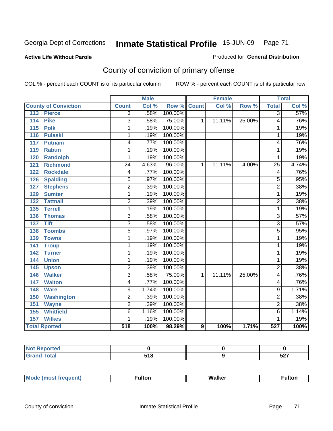#### **Active Life Without Parole**

#### Produced for **General Distribution**

## County of conviction of primary offense

|                                     |                 | <b>Male</b>               |                    | <b>Female</b> |        |        | <b>Total</b>            |       |
|-------------------------------------|-----------------|---------------------------|--------------------|---------------|--------|--------|-------------------------|-------|
| <b>County of Conviction</b>         | <b>Count</b>    | $\overline{\text{Col 9}}$ | <b>Row % Count</b> |               | Col %  | Row %  | <b>Total</b>            | Col % |
| 113<br><b>Pierce</b>                | 3               | .58%                      | 100.00%            |               |        |        | 3                       | .57%  |
| <b>Pike</b><br>114                  | $\overline{3}$  | .58%                      | 75.00%             | $\mathbf{1}$  | 11.11% | 25.00% | $\overline{4}$          | .76%  |
| 115<br><b>Polk</b>                  | 1               | .19%                      | 100.00%            |               |        |        | 1                       | .19%  |
| $\frac{116}{116}$<br><b>Pulaski</b> | 1               | .19%                      | 100.00%            |               |        |        | 1                       | .19%  |
| 117<br><b>Putnam</b>                | 4               | .77%                      | 100.00%            |               |        |        | $\overline{4}$          | .76%  |
| <b>Rabun</b><br>119                 | 1               | .19%                      | 100.00%            |               |        |        | 1                       | .19%  |
| <b>Randolph</b><br>120              | 1               | .19%                      | 100.00%            |               |        |        | 1                       | .19%  |
| <b>Richmond</b><br>121              | $\overline{24}$ | 4.63%                     | 96.00%             | 1             | 11.11% | 4.00%  | $\overline{25}$         | 4.74% |
| <b>Rockdale</b><br>122              | 4               | .77%                      | 100.00%            |               |        |        | $\overline{\mathbf{4}}$ | .76%  |
| 126<br><b>Spalding</b>              | $\overline{5}$  | .97%                      | 100.00%            |               |        |        | $\overline{5}$          | .95%  |
| <b>Stephens</b><br>127              | $\overline{2}$  | .39%                      | 100.00%            |               |        |        | $\overline{2}$          | .38%  |
| <b>Sumter</b><br>129                | 1               | .19%                      | 100.00%            |               |        |        | 1                       | .19%  |
| 132<br><b>Tattnall</b>              | $\overline{2}$  | .39%                      | 100.00%            |               |        |        | $\overline{2}$          | .38%  |
| <b>Terrell</b><br>135               | 1               | .19%                      | 100.00%            |               |        |        | 1                       | .19%  |
| 136<br><b>Thomas</b>                | $\overline{3}$  | .58%                      | 100.00%            |               |        |        | $\overline{3}$          | .57%  |
| <b>Tift</b><br>137                  | $\overline{3}$  | .58%                      | 100.00%            |               |        |        | $\overline{3}$          | .57%  |
| <b>Toombs</b><br>138                | $\overline{5}$  | .97%                      | 100.00%            |               |        |        | $\overline{5}$          | .95%  |
| 139<br><b>Towns</b>                 | 1               | .19%                      | 100.00%            |               |        |        | 1                       | .19%  |
| 141<br><b>Troup</b>                 | 1               | .19%                      | 100.00%            |               |        |        | 1                       | .19%  |
| 142<br><b>Turner</b>                | 1               | .19%                      | 100.00%            |               |        |        | 1                       | .19%  |
| <b>Union</b><br>144                 | 1               | .19%                      | 100.00%            |               |        |        | $\overline{1}$          | .19%  |
| 145<br><b>Upson</b>                 | $\overline{2}$  | .39%                      | 100.00%            |               |        |        | $\overline{2}$          | .38%  |
| <b>Walker</b><br>146                | $\overline{3}$  | .58%                      | 75.00%             | 1             | 11.11% | 25.00% | $\overline{4}$          | .76%  |
| <b>Walton</b><br>147                | 4               | .77%                      | 100.00%            |               |        |        | 4                       | .76%  |
| 148<br><b>Ware</b>                  | 9               | 1.74%                     | 100.00%            |               |        |        | $\overline{9}$          | 1.71% |
| <b>Washington</b><br>150            | $\overline{2}$  | .39%                      | 100.00%            |               |        |        | $\overline{2}$          | .38%  |
| <b>Wayne</b><br>151                 | $\overline{2}$  | .39%                      | 100.00%            |               |        |        | $\overline{2}$          | .38%  |
| <b>Whitfield</b><br>155             | $\overline{6}$  | 1.16%                     | 100.00%            |               |        |        | $\overline{6}$          | 1.14% |
| <b>Wilkes</b><br>157                | 1               | .19%                      | 100.00%            |               |        |        | 1                       | .19%  |
| <b>Total Rported</b>                | 518             | 100%                      | 98.29%             | 9             | 100%   | 1.71%  | 527                     | 100%  |

| prtea<br>, ⊾ndu⊷<br>$\sim$ |       |     |
|----------------------------|-------|-----|
| $f = 4 \pi r$              | E 4 O | ドヘブ |
| ____                       | טוע   | JLI |

|  | Mc | . | Wai.<br>$\mathbf{v}$ | ulto |
|--|----|---|----------------------|------|
|--|----|---|----------------------|------|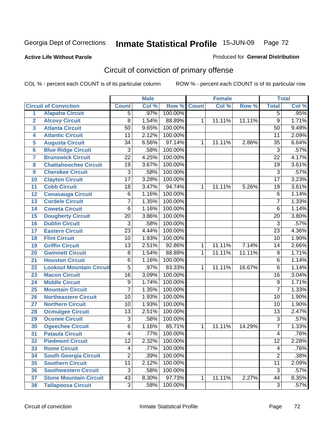### **Active Life Without Parole**

### Produced for **General Distribution**

## Circuit of conviction of primary offense

|                         |                                 |                 | <b>Male</b> |         |              | <b>Female</b> |        |                 | <b>Total</b> |
|-------------------------|---------------------------------|-----------------|-------------|---------|--------------|---------------|--------|-----------------|--------------|
|                         | <b>Circuit of Conviction</b>    | <b>Count</b>    | Col %       | Row %   | <b>Count</b> | Col %         | Row %  | <b>Total</b>    | Col %        |
| 1                       | <b>Alapaha Circuit</b>          | $\overline{5}$  | .97%        | 100.00% |              |               |        | 5               | .95%         |
| $\overline{2}$          | <b>Alcovy Circuit</b>           | 8               | 1.54%       | 88.89%  | 1            | 11.11%        | 11.11% | $\overline{9}$  | 1.71%        |
| $\overline{\mathbf{3}}$ | <b>Atlanta Circuit</b>          | $\overline{50}$ | 9.65%       | 100.00% |              |               |        | 50              | 9.49%        |
| 4                       | <b>Atlantic Circuit</b>         | $\overline{11}$ | 2.12%       | 100.00% |              |               |        | 11              | 2.09%        |
| 5                       | <b>Augusta Circuit</b>          | $\overline{34}$ | 6.56%       | 97.14%  | 1            | 11.11%        | 2.86%  | $\overline{35}$ | 6.64%        |
| 6                       | <b>Blue Ridge Circuit</b>       | $\overline{3}$  | .58%        | 100.00% |              |               |        | $\overline{3}$  | .57%         |
| $\overline{7}$          | <b>Brunswick Circuit</b>        | $\overline{22}$ | 4.25%       | 100.00% |              |               |        | $\overline{22}$ | 4.17%        |
| 8                       | <b>Chattahoochee Circuit</b>    | $\overline{19}$ | 3.67%       | 100.00% |              |               |        | $\overline{19}$ | 3.61%        |
| 9                       | <b>Cherokee Circuit</b>         | 3               | .58%        | 100.00% |              |               |        | $\overline{3}$  | .57%         |
| 10                      | <b>Clayton Circuit</b>          | $\overline{17}$ | 3.28%       | 100.00% |              |               |        | $\overline{17}$ | 3.23%        |
| 11                      | <b>Cobb Circuit</b>             | 18              | 3.47%       | 94.74%  | 1            | 11.11%        | 5.26%  | 19              | 3.61%        |
| 12                      | <b>Conasauga Circuit</b>        | $\overline{6}$  | 1.16%       | 100.00% |              |               |        | $\overline{6}$  | 1.14%        |
| 13                      | <b>Cordele Circuit</b>          | 7               | 1.35%       | 100.00% |              |               |        | $\overline{7}$  | 1.33%        |
| 14                      | <b>Coweta Circuit</b>           | 6               | 1.16%       | 100.00% |              |               |        | $\overline{6}$  | 1.14%        |
| 15                      | <b>Dougherty Circuit</b>        | $\overline{20}$ | 3.86%       | 100.00% |              |               |        | 20              | 3.80%        |
| 16                      | <b>Dublin Circuit</b>           | $\overline{3}$  | .58%        | 100.00% |              |               |        | $\overline{3}$  | .57%         |
| 17                      | <b>Eastern Circuit</b>          | $\overline{23}$ | 4.44%       | 100.00% |              |               |        | 23              | 4.36%        |
| 18                      | <b>Flint Circuit</b>            | $\overline{10}$ | 1.93%       | 100.00% |              |               |        | $\overline{10}$ | 1.90%        |
| 19                      | <b>Griffin Circuit</b>          | 13              | 2.51%       | 92.86%  | 1            | 11.11%        | 7.14%  | 14              | 2.66%        |
| 20                      | <b>Gwinnett Circuit</b>         | 8               | 1.54%       | 88.89%  | 1            | 11.11%        | 11.11% | $\overline{9}$  | 1.71%        |
| 21                      | <b>Houston Circuit</b>          | 6               | 1.16%       | 100.00% |              |               |        | $6\phantom{1}6$ | 1.14%        |
| 22                      | <b>Lookout Mountain Circuit</b> | $\overline{5}$  | .97%        | 83.33%  | 1            | 11.11%        | 16.67% | $\overline{6}$  | 1.14%        |
| 23                      | <b>Macon Circuit</b>            | $\overline{16}$ | 3.09%       | 100.00% |              |               |        | $\overline{16}$ | 3.04%        |
| 24                      | <b>Middle Circuit</b>           | 9               | 1.74%       | 100.00% |              |               |        | $\overline{9}$  | 1.71%        |
| 25                      | <b>Mountain Circuit</b>         | 7               | 1.35%       | 100.00% |              |               |        | $\overline{7}$  | 1.33%        |
| 26                      | <b>Northeastern Circuit</b>     | $\overline{10}$ | 1.93%       | 100.00% |              |               |        | $\overline{10}$ | 1.90%        |
| 27                      | <b>Northern Circuit</b>         | 10              | 1.93%       | 100.00% |              |               |        | 10              | 1.90%        |
| 28                      | <b>Ocmulgee Circuit</b>         | $\overline{13}$ | 2.51%       | 100.00% |              |               |        | $\overline{13}$ | 2.47%        |
| 29                      | <b>Oconee Circuit</b>           | 3               | .58%        | 100.00% |              |               |        | $\overline{3}$  | .57%         |
| 30                      | <b>Ogeechee Circuit</b>         | 6               | 1.16%       | 85.71%  | 1            | 11.11%        | 14.29% | $\overline{7}$  | 1.33%        |
| 31                      | <b>Pataula Circuit</b>          | 4               | .77%        | 100.00% |              |               |        | 4               | .76%         |
| $\overline{32}$         | <b>Piedmont Circuit</b>         | $\overline{12}$ | 2.32%       | 100.00% |              |               |        | $\overline{12}$ | 2.28%        |
| 33                      | <b>Rome Circuit</b>             | 4               | .77%        | 100.00% |              |               |        | 4               | .76%         |
| 34                      | <b>South Georgia Circuit</b>    | $\overline{2}$  | .39%        | 100.00% |              |               |        | $\overline{2}$  | .38%         |
| 35                      | <b>Southern Circuit</b>         | $\overline{11}$ | 2.12%       | 100.00% |              |               |        | 11              | 2.09%        |
| 36                      | <b>Southwestern Circuit</b>     | $\overline{3}$  | .58%        | 100.00% |              |               |        | $\overline{3}$  | .57%         |
| 37                      | <b>Stone Mountain Circuit</b>   | 43              | 8.30%       | 97.73%  | 1            | 11.11%        | 2.27%  | 44              | 8.35%        |
| 38                      | <b>Tallapoosa Circuit</b>       | $\overline{3}$  | .58%        | 100.00% |              |               |        | $\overline{3}$  | .57%         |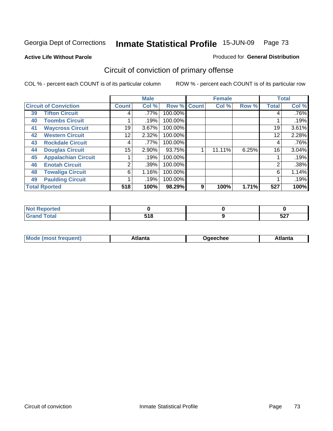### **Active Life Without Parole**

#### Produced for **General Distribution**

# Circuit of conviction of primary offense

|    |                              |              | <b>Male</b> |         |              | <b>Female</b> |       |              | <b>Total</b> |  |
|----|------------------------------|--------------|-------------|---------|--------------|---------------|-------|--------------|--------------|--|
|    | <b>Circuit of Conviction</b> | <b>Count</b> | Col %       | Row %   | <b>Count</b> | Col %         | Row % | <b>Total</b> | Col %        |  |
| 39 | <b>Tifton Circuit</b>        | 4            | .77%        | 100.00% |              |               |       | 4            | $.76\%$      |  |
| 40 | <b>Toombs Circuit</b>        |              | .19%        | 100.00% |              |               |       |              | .19%         |  |
| 41 | <b>Waycross Circuit</b>      | 19           | 3.67%       | 100.00% |              |               |       | 19           | 3.61%        |  |
| 42 | <b>Western Circuit</b>       | 12           | 2.32%       | 100.00% |              |               |       | 12           | 2.28%        |  |
| 43 | <b>Rockdale Circuit</b>      | 4            | $.77\%$     | 100.00% |              |               |       | 4            | .76%         |  |
| 44 | <b>Douglas Circuit</b>       | 15           | 2.90%       | 93.75%  |              | 11.11%        | 6.25% | 16           | 3.04%        |  |
| 45 | <b>Appalachian Circuit</b>   |              | .19%        | 100.00% |              |               |       |              | .19%         |  |
| 46 | <b>Enotah Circuit</b>        | 2            | .39%        | 100.00% |              |               |       | 2            | .38%         |  |
| 48 | <b>Towaliga Circuit</b>      | 6            | 1.16%       | 100.00% |              |               |       | 6            | 1.14%        |  |
| 49 | <b>Paulding Circuit</b>      |              | .19%        | 100.00% |              |               |       |              | .19%         |  |
|    | <b>Total Rported</b>         | 518          | 100%        | 98.29%  | 9            | 100%          | 1.71% | 527          | 100%         |  |

| .<br>rteol |      |     |
|------------|------|-----|
| $\sim$     | - 4  | ヒヘラ |
|            | $ -$ | JZI |

| <b>Mode</b>    | ∖tlanta | Daeechee | tlanta |
|----------------|---------|----------|--------|
| most frequent) |         |          |        |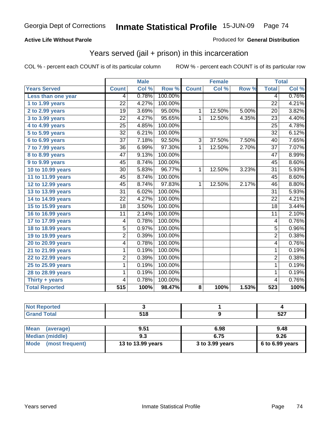### **Active Life Without Parole**

#### Produced for **General Distribution**

## Years served (jail + prison) in this incarceration

|                                            |                 | <b>Male</b> |         |                | <b>Female</b> |       |                 | <b>Total</b>               |
|--------------------------------------------|-----------------|-------------|---------|----------------|---------------|-------|-----------------|----------------------------|
| <b>Years Served</b>                        | <b>Count</b>    | Col %       | Row %   | <b>Count</b>   | Col %         | Row % | <b>Total</b>    | $\overline{\text{Col }\%}$ |
| Less than one year                         | 4               | 0.78%       | 100.00% |                |               |       | 4               | 0.76%                      |
| 1 to 1.99 years                            | $\overline{22}$ | 4.27%       | 100.00% |                |               |       | $\overline{22}$ | 4.21%                      |
| 2 to 2.99 years                            | 19              | 3.69%       | 95.00%  | 1              | 12.50%        | 5.00% | 20              | 3.82%                      |
| 3 to 3.99 years                            | 22              | 4.27%       | 95.65%  | $\mathbf{1}$   | 12.50%        | 4.35% | 23              | 4.40%                      |
| 4 to 4.99 years                            | $\overline{25}$ | 4.85%       | 100.00% |                |               |       | 25              | 4.78%                      |
| 5 to 5.99 years                            | $\overline{32}$ | 6.21%       | 100.00% |                |               |       | $\overline{32}$ | 6.12%                      |
| 6 to 6.99 years                            | $\overline{37}$ | 7.18%       | 92.50%  | 3              | 37.50%        | 7.50% | 40              | 7.65%                      |
| $\overline{7}$ to $\overline{7}$ .99 years | $\overline{36}$ | 6.99%       | 97.30%  | $\mathbf{1}$   | 12.50%        | 2.70% | $\overline{37}$ | 7.07%                      |
| <b>8 to 8.99 years</b>                     | $\overline{47}$ | 9.13%       | 100.00% |                |               |       | $\overline{47}$ | 8.99%                      |
| 9 to 9.99 years                            | 45              | 8.74%       | 100.00% |                |               |       | 45              | 8.60%                      |
| 10 to 10.99 years                          | $\overline{30}$ | 5.83%       | 96.77%  | $\mathbf{1}$   | 12.50%        | 3.23% | $\overline{31}$ | 5.93%                      |
| 11 to 11.99 years                          | 45              | 8.74%       | 100.00% |                |               |       | 45              | 8.60%                      |
| 12 to 12.99 years                          | $\overline{45}$ | 8.74%       | 97.83%  | $\overline{1}$ | 12.50%        | 2.17% | 46              | 8.80%                      |
| 13 to 13.99 years                          | $\overline{31}$ | 6.02%       | 100.00% |                |               |       | $\overline{31}$ | 5.93%                      |
| 14 to 14.99 years                          | 22              | 4.27%       | 100.00% |                |               |       | 22              | 4.21%                      |
| 15 to 15.99 years                          | 18              | 3.50%       | 100.00% |                |               |       | 18              | 3.44%                      |
| 16 to 16.99 years                          | 11              | 2.14%       | 100.00% |                |               |       | 11              | 2.10%                      |
| 17 to 17.99 years                          | 4               | 0.78%       | 100.00% |                |               |       | $\overline{4}$  | 0.76%                      |
| 18 to 18.99 years                          | $\overline{5}$  | 0.97%       | 100.00% |                |               |       | $\overline{5}$  | 0.96%                      |
| 19 to 19.99 years                          | $\overline{2}$  | 0.39%       | 100.00% |                |               |       | $\overline{2}$  | 0.38%                      |
| 20 to 20.99 years                          | 4               | 0.78%       | 100.00% |                |               |       | 4               | 0.76%                      |
| 21 to 21.99 years                          | 1               | 0.19%       | 100.00% |                |               |       | 1               | 0.19%                      |
| 22 to 22.99 years                          | $\overline{2}$  | 0.39%       | 100.00% |                |               |       | $\overline{2}$  | 0.38%                      |
| 25 to 25.99 years                          | $\overline{1}$  | 0.19%       | 100.00% |                |               |       | 1               | 0.19%                      |
| 28 to 28.99 years                          | 1               | 0.19%       | 100.00% |                |               |       | 1               | 0.19%                      |
| Thirty + years                             | 4               | 0.78%       | 100.00% |                |               |       | 4               | 0.76%                      |
| <b>Total Reported</b>                      | 515             | 100%        | 98.47%  | 8              | 100%          | 1.53% | 523             | 100%                       |

| <b>Not Reported</b>            |                   |                 |                 |
|--------------------------------|-------------------|-----------------|-----------------|
| <b>Grand Total</b>             | 518               |                 | 527             |
|                                |                   |                 |                 |
| <b>Mean</b><br>(average)       | 9.51              | 6.98            | 9.48            |
| <b>Median (middle)</b>         | 9.3               | 6.75            | 9.26            |
| <b>Mode</b><br>(most frequent) | 13 to 13.99 years | 3 to 3.99 years | 6 to 6.99 years |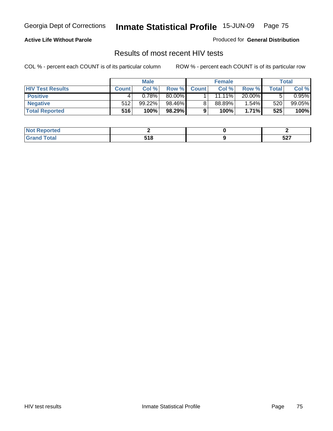### **Active Life Without Parole**

Produced for **General Distribution**

## Results of most recent HIV tests

|                         | <b>Male</b>  |        | <b>Female</b> |              |           | Total    |       |          |
|-------------------------|--------------|--------|---------------|--------------|-----------|----------|-------|----------|
| <b>HIV Test Results</b> | <b>Count</b> | Col %  | Row %         | <b>Count</b> | Col %     | Row %    | Total | Col %    |
| <b>Positive</b>         |              | 0.78%  | 80.00%        |              | $11.11\%$ | 20.00%   |       | $0.95\%$ |
| <b>Negative</b>         | 512          | 99.22% | 98.46%        |              | 88.89%    | 1.54%    | 520   | 99.05%   |
| <b>Total Reported</b>   | 516          | 100%   | 98.29%        |              | 100%      | $1.71\%$ | 525   | 100%     |

| <b>Not Reported</b> |      |      |
|---------------------|------|------|
| Total               | 54 O | -07  |
| Gra <sub>r</sub>    | JIU  | JZ 1 |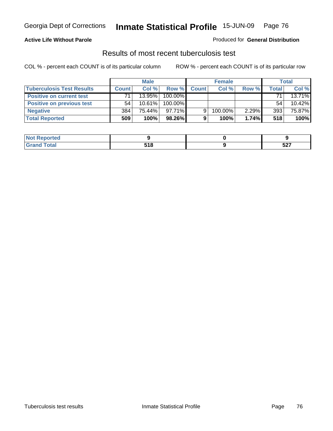### **Active Life Without Parole**

#### Produced for **General Distribution**

## Results of most recent tuberculosis test

|                                  | <b>Male</b>  |           | <b>Female</b> |              |         | <b>Total</b> |       |        |
|----------------------------------|--------------|-----------|---------------|--------------|---------|--------------|-------|--------|
| <b>Tuberculosis Test Results</b> | <b>Count</b> | Col %     | Row %         | <b>Count</b> | Col %   | Row %        | Total | Col %  |
| <b>Positive on current test</b>  | 71           | $13.95\%$ | 100.00%       |              |         |              | 71    | 13.71% |
| <b>Positive on previous test</b> | 54           | $10.61\%$ | 100.00%       |              |         |              | 54    | 10.42% |
| <b>Negative</b>                  | 384          | 75.44%    | $97.71\%$     |              | 100.00% | 2.29%        | 393   | 75.87% |
| <b>Total Reported</b>            | 509          | 100%      | 98.26%        | $\Omega$     | 100%    | 1.74%        | 518   | 100%   |

| . Reported<br><b>NOT</b> |           |     |
|--------------------------|-----------|-----|
| <b>c</b> otal            | 54 O<br>. | 527 |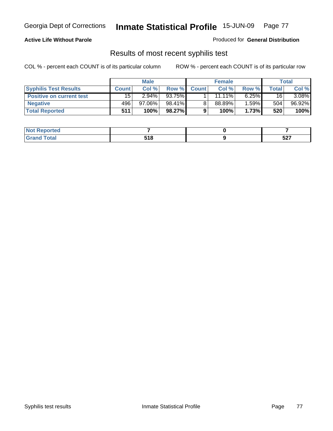### **Active Life Without Parole**

#### Produced for **General Distribution**

## Results of most recent syphilis test

|                                 | <b>Male</b>  |           | <b>Female</b> |              |           | Total    |       |        |
|---------------------------------|--------------|-----------|---------------|--------------|-----------|----------|-------|--------|
| <b>Syphilis Test Results</b>    | <b>Count</b> | Col %     | Row %         | <b>Count</b> | Col %     | Row %    | Total | Col %  |
| <b>Positive on current test</b> | 15           | $2.94\%$  | 93.75%        |              | $11.11\%$ | $6.25\%$ | 16    | 3.08%  |
| <b>Negative</b>                 | 496          | $97.06\%$ | 98.41%        |              | 88.89%    | 1.59%    | 504   | 96.92% |
| <b>Total Reported</b>           | 511          | 100%      | 98.27%        |              | 100%      | 1.73%    | 520   | 100%   |

| <b>Not Reported</b> |                      |            |
|---------------------|----------------------|------------|
| <b>Total</b>        | E4 C<br><u>ວ ເ ດ</u> | -07<br>JLI |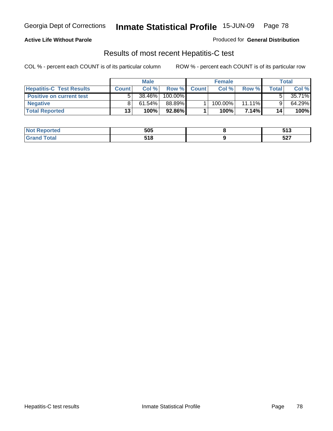### **Active Life Without Parole**

Produced for **General Distribution**

## Results of most recent Hepatitis-C test

|                                 | <b>Male</b>  |           | <b>Female</b> |              |         | Total     |              |        |
|---------------------------------|--------------|-----------|---------------|--------------|---------|-----------|--------------|--------|
| <b>Hepatitis-C Test Results</b> | <b>Count</b> | Col %     | Row %         | <b>Count</b> | Col %   | Row %     | <b>Total</b> | Col %  |
| <b>Positive on current test</b> |              | 38.46%    | 100.00%       |              |         |           |              | 35.71% |
| <b>Negative</b>                 |              | $61.54\%$ | 88.89%        |              | 100.00% | $11.11\%$ |              | 64.29% |
| <b>Total Reported</b>           | 13           | 100%      | 92.86%        |              | 100%    | 7.14%I    | 14           | 100%   |

| oorted<br>NOT. | 505         | E 4 9<br>J I J |
|----------------|-------------|----------------|
| int            | 54 O<br>JIU | -07<br>JZI     |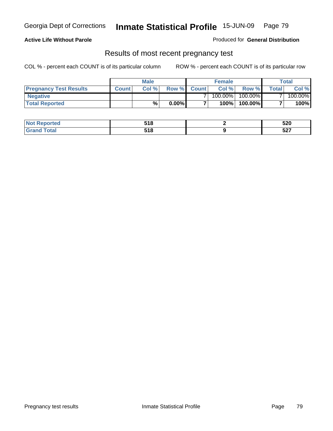#### **Active Life Without Parole**

Produced for **General Distribution**

### Results of most recent pregnancy test

|                               | Male         |       |          | <b>Female</b> |         |         | <b>Total</b> |         |
|-------------------------------|--------------|-------|----------|---------------|---------|---------|--------------|---------|
| <b>Pregnancy Test Results</b> | <b>Count</b> | Col % | Row %    | <b>Count</b>  | Col %   | Row %I  | Total        | Col %   |
| <b>Negative</b>               |              |       |          |               | 100.00% | 100.00% |              | 100.00% |
| <b>Total Reported</b>         |              | %     | $0.00\%$ |               | 100%    | 100.00% |              | 100%    |

| orted | E4 O<br>JIU | 520               |
|-------|-------------|-------------------|
| `ofa⊾ | 54 Q<br>JIU | -07<br><b>JZ1</b> |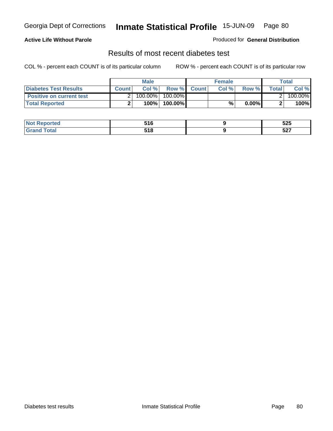### **Active Life Without Parole**

#### Produced for **General Distribution**

## Results of most recent diabetes test

|                                 |              | <b>Male</b> |                  |             | <b>Female</b> |       |       | Total    |
|---------------------------------|--------------|-------------|------------------|-------------|---------------|-------|-------|----------|
| Diabetes Test Results           | <b>Count</b> | Col%        |                  | Row % Count | Col%          | Row % | Total | Col %    |
| <b>Positive on current test</b> |              | 100.00%     | 100.00% <b>I</b> |             |               |       |       | 100.00%l |
| <b>Total Reported</b>           |              | 100%        | 100.00%          |             | %             | 0.00% |       | 100%     |

| w | -40<br>.    | よつよ<br>ວ∠ວ        |
|---|-------------|-------------------|
|   | 54 Q<br>. . | -07<br><b>JZ1</b> |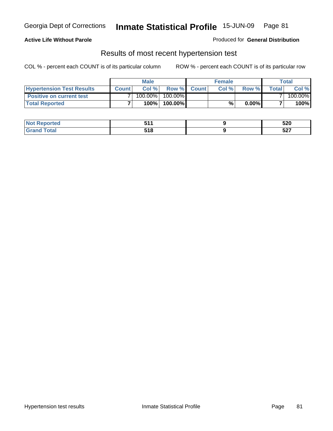### **Active Life Without Parole**

#### Produced for **General Distribution**

### Results of most recent hypertension test

|                                  |              | <b>Male</b> |                  | <b>Female</b> |          |       | Total    |
|----------------------------------|--------------|-------------|------------------|---------------|----------|-------|----------|
| <b>Hypertension Test Results</b> | <b>Count</b> | Col%        | Row % Count      | Col %         | Row %    | Total | Col %    |
| <b>Positive on current test</b>  |              | 100.00%     | 100.00% <b>I</b> |               |          |       | 100.00%l |
| <b>Total Reported</b>            |              | 100%        | 100.00%          | %             | $0.00\%$ |       | 100%     |

| المنتسبة المتناز<br>ortea | E 4 4<br>.             | 520                           |
|---------------------------|------------------------|-------------------------------|
| ota <sub>i</sub>          | E 4 O<br>ວ ເ ໐<br>$ -$ | E <sub>2</sub><br><u>ว∠ เ</u> |